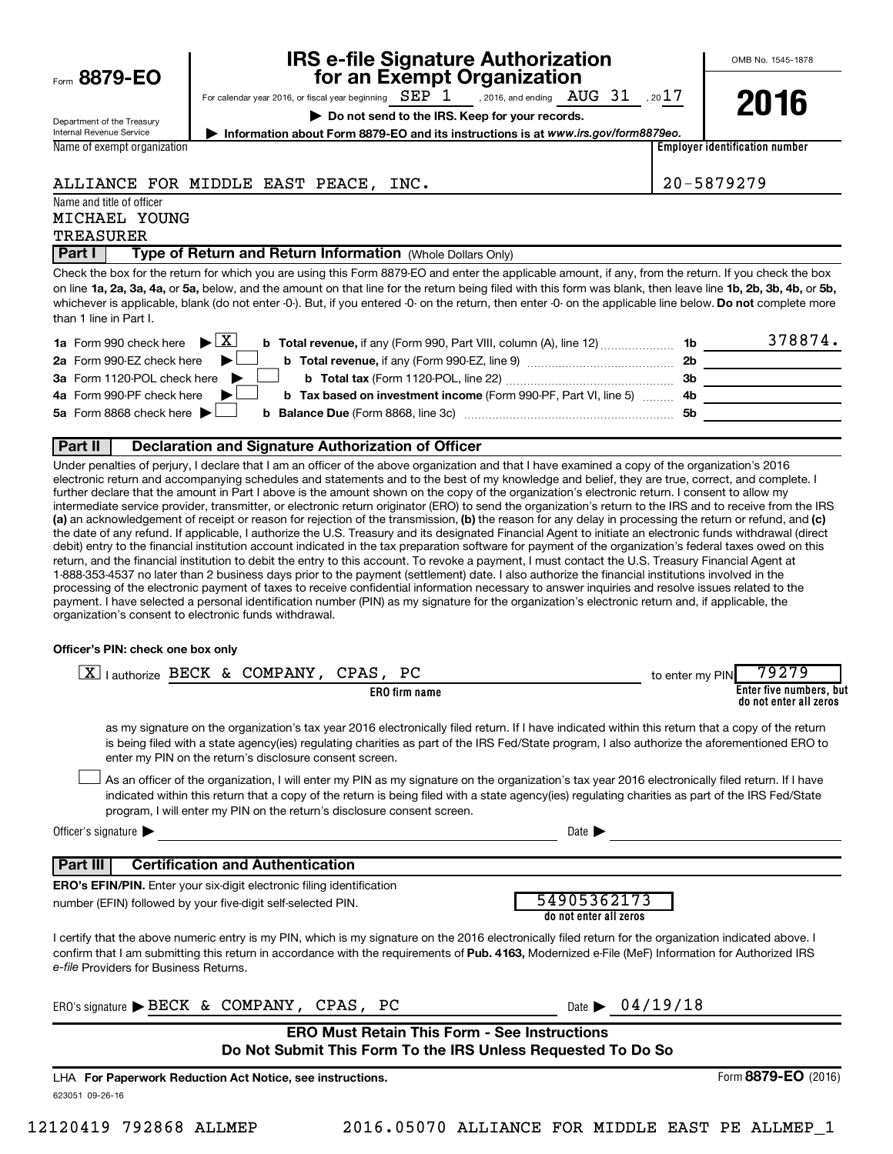| Form 8879-EO |  |  |  |  |
|--------------|--|--|--|--|
|--------------|--|--|--|--|

## **IRS e-file Signature Authorization**<br>**687 for an Exempt Organization**

OMB No. 1545-1878

For calendar year 2016, or fiscal year beginning  $\begin{array}{cccc} \text{SEP} & 1 & ,$  2016, and ending  $\begin{array}{cccc} \text{AUG} & 31 & , \text{2017} \end{array}$ , 2016, and ending  $\,$   $\rm{AUG}$   $\,$   $\,31$ 

**| Do not send to the IRS. Keep for your records.**



Department of the Treasury Internal Revenue Service Name of exempt organization

**| Information about Form 8879-EO and its instructions is at**  *www.irs.gov/form8879eo.*

**Employer identification number**

ALLIANCE FOR MIDDLE EAST PEACE, INC. 20-5879279

Name and title of officer

MICHAEL YOUNG

TREASURER

**Part I** | Type of Return and Return Information (Whole Dollars Only)

on line 1a, 2a, 3a, 4a, or 5a, below, and the amount on that line for the return being filed with this form was blank, then leave line 1b, 2b, 3b, 4b, or 5b, whichever is applicable, blank (do not enter -0-). But, if you entered -0- on the return, then enter -0- on the applicable line below. **Do not** complete more Check the box for the return for which you are using this Form 8879-EO and enter the applicable amount, if any, from the return. If you check the box than 1 line in Part I.

| <b>1a</b> Form 990 check here $\triangleright$ $\boxed{X}$                                                                    |     | 378874. |
|-------------------------------------------------------------------------------------------------------------------------------|-----|---------|
| 2a Form 990-EZ check here $\blacktriangleright$                                                                               | 2b  |         |
| 3a Form 1120-POL check here $\blacktriangleright$ $\Box$                                                                      | -3b |         |
| 4a Form 990-PF check here $\blacktriangleright$<br><b>b</b> Tax based on investment income (Form 990-PF, Part VI, line 5)  4b |     |         |
| 5a Form 8868 check here $\blacktriangleright$                                                                                 | .5b |         |
|                                                                                                                               |     |         |

### **Part II Declaration and Signature Authorization of Officer**

(a) an acknowledgement of receipt or reason for rejection of the transmission, (b) the reason for any delay in processing the return or refund, and (c) Under penalties of perjury, I declare that I am an officer of the above organization and that I have examined a copy of the organization's 2016 electronic return and accompanying schedules and statements and to the best of my knowledge and belief, they are true, correct, and complete. I further declare that the amount in Part I above is the amount shown on the copy of the organization's electronic return. I consent to allow my intermediate service provider, transmitter, or electronic return originator (ERO) to send the organization's return to the IRS and to receive from the IRS the date of any refund. If applicable, I authorize the U.S. Treasury and its designated Financial Agent to initiate an electronic funds withdrawal (direct debit) entry to the financial institution account indicated in the tax preparation software for payment of the organization's federal taxes owed on this return, and the financial institution to debit the entry to this account. To revoke a payment, I must contact the U.S. Treasury Financial Agent at 1-888-353-4537 no later than 2 business days prior to the payment (settlement) date. I also authorize the financial institutions involved in the processing of the electronic payment of taxes to receive confidential information necessary to answer inquiries and resolve issues related to the payment. I have selected a personal identification number (PIN) as my signature for the organization's electronic return and, if applicable, the organization's consent to electronic funds withdrawal.

### **Officer's PIN: check one box only**

| lauthorize BECK & COMPANY, CPAS, PC<br> X                                                                                                                                                                                                                                                                                                                                        | 79279<br>to enter my PIN                          |
|----------------------------------------------------------------------------------------------------------------------------------------------------------------------------------------------------------------------------------------------------------------------------------------------------------------------------------------------------------------------------------|---------------------------------------------------|
| <b>ERO</b> firm name                                                                                                                                                                                                                                                                                                                                                             | Enter five numbers, but<br>do not enter all zeros |
| as my signature on the organization's tax year 2016 electronically filed return. If I have indicated within this return that a copy of the return<br>is being filed with a state agency(ies) regulating charities as part of the IRS Fed/State program, I also authorize the aforementioned ERO to<br>enter my PIN on the return's disclosure consent screen.                    |                                                   |
| As an officer of the organization, I will enter my PIN as my signature on the organization's tax year 2016 electronically filed return. If I have<br>indicated within this return that a copy of the return is being filed with a state agency(ies) regulating charities as part of the IRS Fed/State<br>program, I will enter my PIN on the return's disclosure consent screen. |                                                   |
| Officer's signature $\blacktriangleright$<br>Date $\blacktriangleright$                                                                                                                                                                                                                                                                                                          |                                                   |
| <b>Certification and Authentication</b><br><b>Part III</b>                                                                                                                                                                                                                                                                                                                       |                                                   |
| <b>ERO's EFIN/PIN.</b> Enter your six-digit electronic filing identification                                                                                                                                                                                                                                                                                                     |                                                   |
| 54905362173<br>number (EFIN) followed by your five-digit self-selected PIN.<br>do not enter all zeros                                                                                                                                                                                                                                                                            |                                                   |
| I certify that the above numeric entry is my PIN, which is my signature on the 2016 electronically filed return for the organization indicated above. I<br>confirm that I am submitting this return in accordance with the requirements of Pub. 4163, Modernized e-File (MeF) Information for Authorized IRS<br>e-file Providers for Business Returns.                           |                                                   |
| ERO's signature $\triangleright$ BECK & COMPANY, CPAS, PC                                                                                                                                                                                                                                                                                                                        | Date $\triangleright$ 04/19/18                    |
| <b>ERO Must Retain This Form - See Instructions</b><br>Do Not Submit This Form To the IRS Unless Requested To Do So                                                                                                                                                                                                                                                              |                                                   |
| LHA For Paperwork Reduction Act Notice, see instructions.                                                                                                                                                                                                                                                                                                                        | Form 8879-EO (2016)                               |
| 623051 09-26-16                                                                                                                                                                                                                                                                                                                                                                  |                                                   |

12120419 792868 ALLMEP 2016.05070 ALLIANCE FOR MIDDLE EAST PE ALLMEP\_1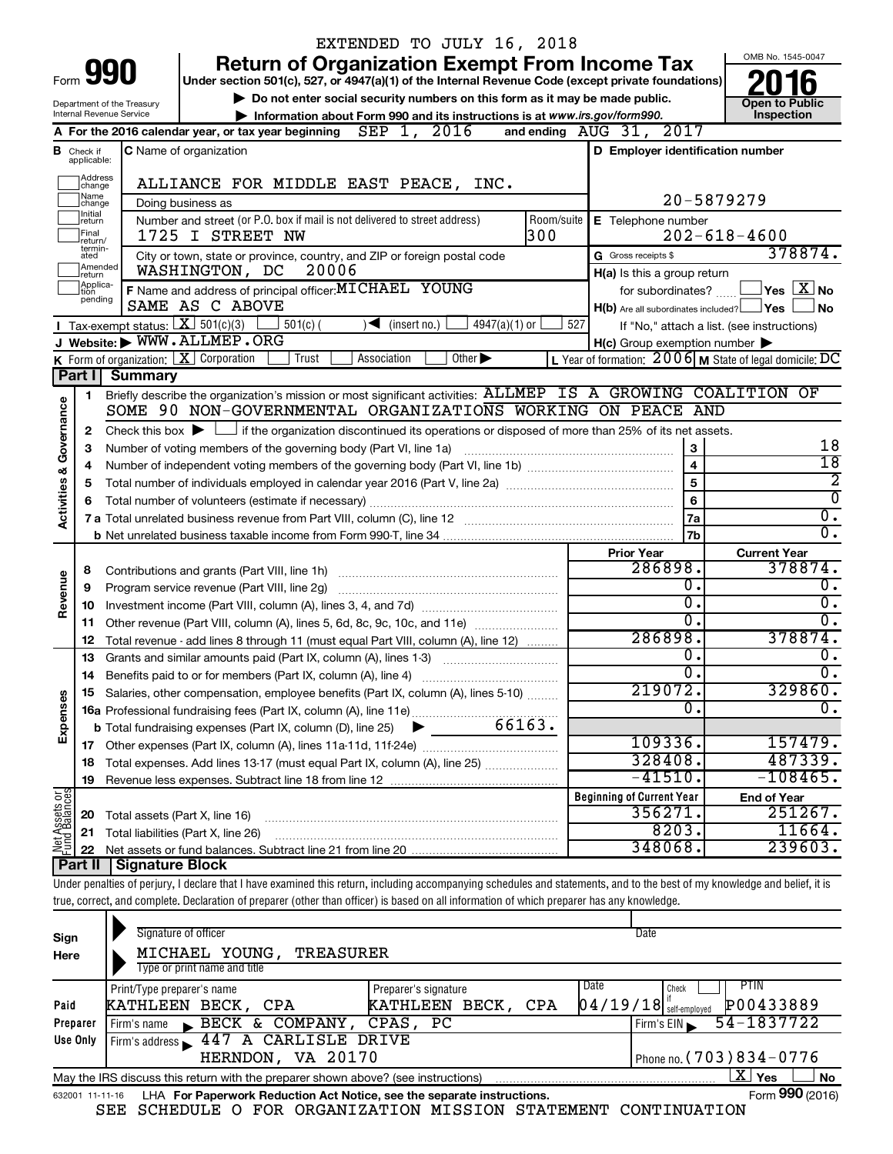|                                |                               | EXTENDED TO JULY 16, 2018                                                                                                                                                  |            |                                                     |                                                                                             |
|--------------------------------|-------------------------------|----------------------------------------------------------------------------------------------------------------------------------------------------------------------------|------------|-----------------------------------------------------|---------------------------------------------------------------------------------------------|
|                                |                               | <b>Return of Organization Exempt From Income Tax</b>                                                                                                                       |            |                                                     | OMB No. 1545-0047                                                                           |
| Form                           |                               | Under section 501(c), 527, or 4947(a)(1) of the Internal Revenue Code (except private foundations)                                                                         |            |                                                     |                                                                                             |
|                                |                               | Do not enter social security numbers on this form as it may be made public.<br>Department of the Treasury                                                                  |            |                                                     | <b>Open to Public</b>                                                                       |
|                                |                               | Internal Revenue Service<br>Information about Form 990 and its instructions is at www.irs.gov/form990.                                                                     |            |                                                     | Inspection                                                                                  |
|                                |                               | SEP 1, 2016<br>A For the 2016 calendar year, or tax year beginning                                                                                                         |            | and ending AUG 31, 2017                             |                                                                                             |
|                                | <b>B</b> Check if applicable: | <b>C</b> Name of organization                                                                                                                                              |            | D Employer identification number                    |                                                                                             |
|                                | Address<br>change             | ALLIANCE FOR MIDDLE EAST PEACE, INC.                                                                                                                                       |            |                                                     |                                                                                             |
|                                | Name<br> change               | Doing business as                                                                                                                                                          |            |                                                     | 20-5879279                                                                                  |
|                                | Initial<br>return             | Number and street (or P.O. box if mail is not delivered to street address)                                                                                                 | Room/suite | E Telephone number                                  |                                                                                             |
|                                | Final<br>return/              | 1725 I STREET NW                                                                                                                                                           | 300        |                                                     | $202 - 618 - 4600$                                                                          |
|                                | termin-<br>ated               | City or town, state or province, country, and ZIP or foreign postal code                                                                                                   |            | G Gross receipts \$                                 | 378874.                                                                                     |
|                                | Amended<br>İreturn            | 20006<br>WASHINGTON, DC                                                                                                                                                    |            | H(a) Is this a group return                         |                                                                                             |
|                                | Applica-<br>Ition<br>pending  | F Name and address of principal officer: MICHAEL YOUNG                                                                                                                     |            | for subordinates?                                   | $\left\vert \mathsf{Yes}\right\vert \overline{\mathsf{X}}\left\vert \mathsf{No}\right\vert$ |
|                                |                               | SAME AS C ABOVE                                                                                                                                                            |            | $H(b)$ Are all subordinates included? $\Box$ Yes    | l No                                                                                        |
|                                |                               | Tax-exempt status: $X \over 301(c)(3)$<br>$501(c)$ (<br>$\sqrt{\frac{1}{1}}$ (insert no.)<br>$4947(a)(1)$ or<br>J Website: WWW.ALLMEP.ORG                                  | 527        |                                                     | If "No," attach a list. (see instructions)                                                  |
|                                |                               | <b>K</b> Form of organization: $\boxed{\mathbf{X}}$ Corporation<br>Trust<br>Other $\blacktriangleright$<br>Association                                                     |            | $H(c)$ Group exemption number $\blacktriangleright$ | L Year of formation: $2006$ M State of legal domicile: DC                                   |
|                                | Part I                        | <b>Summary</b>                                                                                                                                                             |            |                                                     |                                                                                             |
|                                | 1.                            | Briefly describe the organization's mission or most significant activities: ALLMEP IS A GROWING COALITION OF                                                               |            |                                                     |                                                                                             |
| Activities & Governance        |                               | SOME 90 NON-GOVERNMENTAL ORGANIZATIONS WORKING ON PEACE AND                                                                                                                |            |                                                     |                                                                                             |
|                                | 2                             | Check this box $\blacktriangleright$ $\Box$ if the organization discontinued its operations or disposed of more than 25% of its net assets.                                |            |                                                     |                                                                                             |
|                                | З                             | Number of voting members of the governing body (Part VI, line 1a)                                                                                                          |            | 3                                                   | 18                                                                                          |
|                                | 4                             |                                                                                                                                                                            |            | $\overline{\mathbf{4}}$                             | $\overline{18}$                                                                             |
|                                | 5                             |                                                                                                                                                                            |            | 5                                                   | 2                                                                                           |
|                                |                               |                                                                                                                                                                            |            | $6\phantom{a}$                                      | $\overline{0}$                                                                              |
|                                |                               |                                                                                                                                                                            |            | 7a                                                  | $\overline{0}$ .<br>$\overline{0}$ .                                                        |
|                                |                               |                                                                                                                                                                            |            | 7b                                                  |                                                                                             |
|                                |                               |                                                                                                                                                                            |            | <b>Prior Year</b><br>286898.                        | <b>Current Year</b><br>378874.                                                              |
| Revenue                        | 8<br>9                        | Contributions and grants (Part VIII, line 1h)<br>Program service revenue (Part VIII, line 2g)                                                                              |            | 0.                                                  | Ο.                                                                                          |
|                                | 10                            |                                                                                                                                                                            |            | 0.                                                  | 0.                                                                                          |
|                                | 11                            | Other revenue (Part VIII, column (A), lines 5, 6d, 8c, 9c, 10c, and 11e)                                                                                                   |            | $\overline{0}$ .                                    | 0.                                                                                          |
|                                | 12                            | Total revenue - add lines 8 through 11 (must equal Part VIII, column (A), line 12)                                                                                         |            | 286898.                                             | 378874.                                                                                     |
|                                | 13                            | Grants and similar amounts paid (Part IX, column (A), lines 1-3)                                                                                                           |            | 0.                                                  | о.                                                                                          |
|                                | 14                            | Benefits paid to or for members (Part IX, column (A), line 4)                                                                                                              |            | 0.                                                  | 0.                                                                                          |
|                                | 15                            | Salaries, other compensation, employee benefits (Part IX, column (A), lines 5-10)                                                                                          |            | 219072.                                             | 329860.                                                                                     |
| Expenses                       |                               |                                                                                                                                                                            |            | о.                                                  | Ο.                                                                                          |
|                                |                               | <b>b</b> Total fundraising expenses (Part IX, column (D), line 25)                                                                                                         | 66163.     | 109336.                                             |                                                                                             |
|                                |                               |                                                                                                                                                                            |            | 328408.                                             | 157479.<br>487339.                                                                          |
|                                | 18                            | Total expenses. Add lines 13-17 (must equal Part IX, column (A), line 25)                                                                                                  |            | $-41510.$                                           | $-108465.$                                                                                  |
|                                | 19                            |                                                                                                                                                                            |            | <b>Beginning of Current Year</b>                    | <b>End of Year</b>                                                                          |
| Net Assets or<br>Fund Balances | 20                            | Total assets (Part X, line 16)                                                                                                                                             |            | 356271.                                             | 251267.                                                                                     |
|                                | 21                            | Total liabilities (Part X, line 26)                                                                                                                                        |            | 8203.                                               | 11664.                                                                                      |
|                                | 22                            |                                                                                                                                                                            |            | 348068.                                             | 239603.                                                                                     |
|                                | Part II                       | <b>Signature Block</b>                                                                                                                                                     |            |                                                     |                                                                                             |
|                                |                               | Under penalties of perjury, I declare that I have examined this return, including accompanying schedules and statements, and to the best of my knowledge and belief, it is |            |                                                     |                                                                                             |
|                                |                               | true, correct, and complete. Declaration of preparer (other than officer) is based on all information of which preparer has any knowledge.                                 |            |                                                     |                                                                                             |
|                                |                               | Signature of officer                                                                                                                                                       |            | Date                                                |                                                                                             |
| Sign<br>Here                   |                               | MICHAEL YOUNG,<br>TREASURER                                                                                                                                                |            |                                                     |                                                                                             |
|                                |                               | Type or print name and title                                                                                                                                               |            |                                                     |                                                                                             |
|                                |                               | Print/Type preparer's name<br>Preparer's signature                                                                                                                         |            | Date<br>Check                                       | <b>PTIN</b>                                                                                 |
| Paid                           |                               | KATHLEEN BECK, CPA<br>KATHLEEN BECK, CPA                                                                                                                                   |            | $04/19/18$ self-employed                            | P00433889                                                                                   |
|                                | Preparer                      | BECK & COMPANY, CPAS, PC<br>Firm's name                                                                                                                                    |            | Firm's EIN                                          | 54-1837722                                                                                  |
|                                | Use Only                      | Firm's address > 447 A CARLISLE DRIVE<br>HERNDON VA 20170                                                                                                                  |            |                                                     | Phone no $(703)834 - 0776$                                                                  |
|                                |                               |                                                                                                                                                                            |            |                                                     |                                                                                             |

| VA 20170<br><b>HERNDON</b>                                                                | 703)834-0776<br>Phone no. |    |                 |       |
|-------------------------------------------------------------------------------------------|---------------------------|----|-----------------|-------|
| May the IRS discuss this return with the preparer shown above? (see instructions)         |                           | Δ. | Yes             | ່ N∩∶ |
| LHA For Paperwork Reduction Act Notice, see the separate instructions.<br>632001 11-11-16 |                           |    | Form 990 (2016) |       |

SEE SCHEDULE O FOR ORGANIZATION MISSION STATEMENT CONTINUATION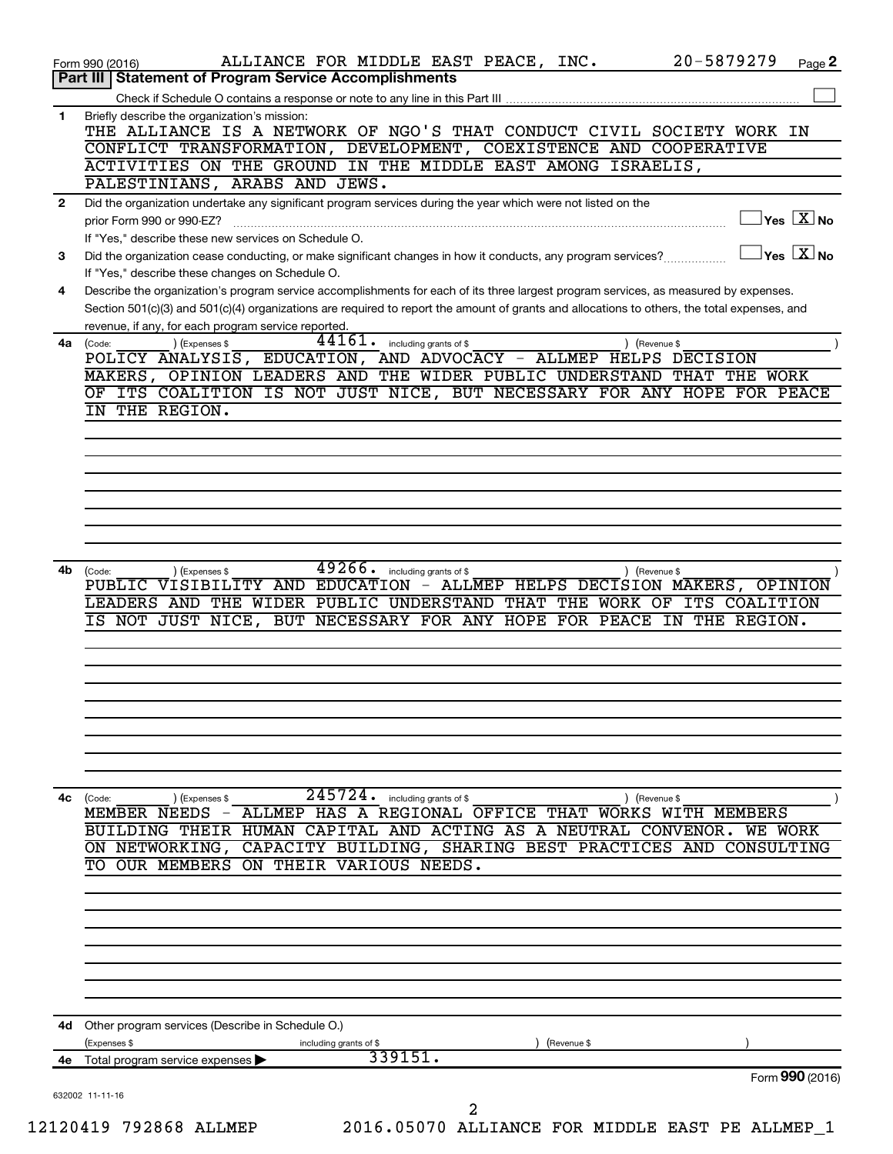|              | Part III   Statement of Program Service Accomplishments                                                                                                                                                     |
|--------------|-------------------------------------------------------------------------------------------------------------------------------------------------------------------------------------------------------------|
|              |                                                                                                                                                                                                             |
| 1            | Briefly describe the organization's mission:<br>THE ALLIANCE IS A NETWORK OF NGO'S THAT CONDUCT CIVIL SOCIETY WORK IN                                                                                       |
|              | CONFLICT TRANSFORMATION, DEVELOPMENT, COEXISTENCE AND COOPERATIVE<br>ACTIVITIES ON THE GROUND IN THE MIDDLE EAST AMONG ISRAELIS,                                                                            |
|              | PALESTINIANS, ARABS AND JEWS.                                                                                                                                                                               |
| $\mathbf{2}$ | Did the organization undertake any significant program services during the year which were not listed on the<br>$\sqrt{\mathsf{Yes}\ \mathbf{X}}$ No<br>prior Form 990 or 990-EZ?                           |
| З            | If "Yes," describe these new services on Schedule O.<br>$\overline{Y}$ es $\overline{X}$ No<br>Did the organization cease conducting, or make significant changes in how it conducts, any program services? |
| 4            | If "Yes," describe these changes on Schedule O.<br>Describe the organization's program service accomplishments for each of its three largest program services, as measured by expenses.                     |
|              | Section 501(c)(3) and 501(c)(4) organizations are required to report the amount of grants and allocations to others, the total expenses, and<br>revenue, if any, for each program service reported.         |
| 4a l         | 44161.<br>including grants of \$<br>(Expenses \$<br>(Code:<br>) (Revenue \$<br>POLICY ANALYSIS, EDUCATION, AND ADVOCACY - ALLMEP HELPS DECISION                                                             |
|              | MAKERS, OPINION LEADERS AND THE WIDER PUBLIC UNDERSTAND THAT THE WORK                                                                                                                                       |
|              |                                                                                                                                                                                                             |
|              | OF ITS COALITION IS NOT JUST NICE, BUT NECESSARY FOR ANY HOPE FOR PEACE                                                                                                                                     |
|              | IN THE REGION.                                                                                                                                                                                              |
|              |                                                                                                                                                                                                             |
|              |                                                                                                                                                                                                             |
|              |                                                                                                                                                                                                             |
|              |                                                                                                                                                                                                             |
|              |                                                                                                                                                                                                             |
|              |                                                                                                                                                                                                             |
|              |                                                                                                                                                                                                             |
|              |                                                                                                                                                                                                             |
| 4b           | 49266.<br>including grants of \$<br>(Expenses \$<br>) (Revenue \$<br>(Code:                                                                                                                                 |
|              | PUBLIC VISIBILITY AND EDUCATION - ALLMEP HELPS DECISION MAKERS, OPINION                                                                                                                                     |
|              | LEADERS AND THE WIDER PUBLIC UNDERSTAND THAT THE WORK OF ITS COALITION                                                                                                                                      |
|              | IS NOT JUST NICE, BUT NECESSARY FOR ANY HOPE FOR PEACE IN THE REGION.                                                                                                                                       |
|              |                                                                                                                                                                                                             |
|              |                                                                                                                                                                                                             |
|              |                                                                                                                                                                                                             |
|              |                                                                                                                                                                                                             |
|              |                                                                                                                                                                                                             |
|              |                                                                                                                                                                                                             |
|              |                                                                                                                                                                                                             |
|              |                                                                                                                                                                                                             |
|              |                                                                                                                                                                                                             |
|              |                                                                                                                                                                                                             |
| 4с           | 245724.<br>including grants of \$<br>(Code:<br>(Expenses \$<br>) (Revenue \$                                                                                                                                |
|              | ALLMEP HAS A REGIONAL OFFICE THAT WORKS WITH MEMBERS<br>MEMBER NEEDS -                                                                                                                                      |
|              | BUILDING THEIR HUMAN CAPITAL AND ACTING AS A NEUTRAL CONVENOR. WE WORK                                                                                                                                      |
|              | ON NETWORKING, CAPACITY BUILDING, SHARING BEST PRACTICES AND CONSULTING                                                                                                                                     |
|              | TO OUR MEMBERS ON THEIR VARIOUS NEEDS.                                                                                                                                                                      |
|              |                                                                                                                                                                                                             |
|              |                                                                                                                                                                                                             |
|              |                                                                                                                                                                                                             |
|              |                                                                                                                                                                                                             |
|              |                                                                                                                                                                                                             |
|              |                                                                                                                                                                                                             |
|              |                                                                                                                                                                                                             |
|              |                                                                                                                                                                                                             |
|              |                                                                                                                                                                                                             |
|              | Other program services (Describe in Schedule O.)                                                                                                                                                            |
| 4d.          |                                                                                                                                                                                                             |
|              | Expenses \$<br>including grants of \$<br>(Revenue \$                                                                                                                                                        |
| 4е           | 339151.<br>Total program service expenses                                                                                                                                                                   |
|              | Form 990 (2016)                                                                                                                                                                                             |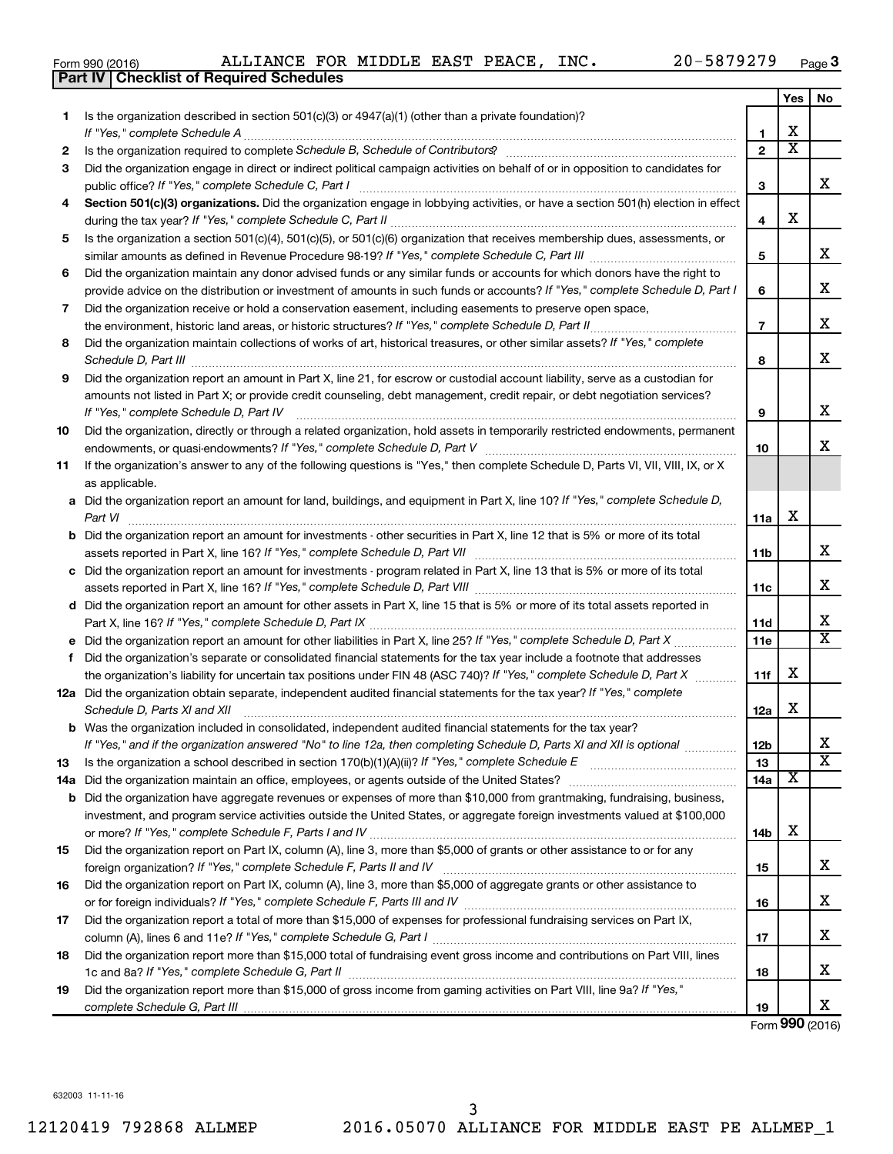|  |  | Form 990 (201 |  |  |
|--|--|---------------|--|--|
|  |  |               |  |  |

Form 990 (2016) Page ALLIANCE FOR MIDDLE EAST PEACE, INC. 20-5879279

|    | Part IV   Checklist of Required Schedules                                                                                                                                                                                          |                 |                         |    |
|----|------------------------------------------------------------------------------------------------------------------------------------------------------------------------------------------------------------------------------------|-----------------|-------------------------|----|
|    |                                                                                                                                                                                                                                    |                 | Yes                     | No |
| 1  | Is the organization described in section 501(c)(3) or $4947(a)(1)$ (other than a private foundation)?                                                                                                                              |                 |                         |    |
|    |                                                                                                                                                                                                                                    | 1               | х                       |    |
| 2  |                                                                                                                                                                                                                                    | $\mathbf{2}$    | $\overline{\textbf{x}}$ |    |
| 3  | Did the organization engage in direct or indirect political campaign activities on behalf of or in opposition to candidates for                                                                                                    |                 |                         |    |
|    |                                                                                                                                                                                                                                    | 3               |                         | x  |
| 4  | Section 501(c)(3) organizations. Did the organization engage in lobbying activities, or have a section 501(h) election in effect                                                                                                   |                 |                         |    |
|    |                                                                                                                                                                                                                                    | 4               | х                       |    |
| 5  | Is the organization a section 501(c)(4), 501(c)(5), or 501(c)(6) organization that receives membership dues, assessments, or                                                                                                       |                 |                         |    |
|    |                                                                                                                                                                                                                                    | 5               |                         | x  |
| 6  | Did the organization maintain any donor advised funds or any similar funds or accounts for which donors have the right to                                                                                                          |                 |                         |    |
|    | provide advice on the distribution or investment of amounts in such funds or accounts? If "Yes," complete Schedule D, Part I                                                                                                       | 6               |                         | х  |
| 7  |                                                                                                                                                                                                                                    |                 |                         |    |
|    | Did the organization receive or hold a conservation easement, including easements to preserve open space,                                                                                                                          | $\overline{7}$  |                         | x  |
|    | the environment, historic land areas, or historic structures? If "Yes," complete Schedule D, Part II                                                                                                                               |                 |                         |    |
| 8  | Did the organization maintain collections of works of art, historical treasures, or other similar assets? If "Yes," complete                                                                                                       |                 |                         | х  |
|    | Schedule D, Part III <b>Marting Community</b> Contract of the Community Contract of the Community Contract of the Community Contract of the Community Contract of the Community Contract of the Community Contract of the Contract | 8               |                         |    |
| 9  | Did the organization report an amount in Part X, line 21, for escrow or custodial account liability, serve as a custodian for                                                                                                      |                 |                         |    |
|    | amounts not listed in Part X; or provide credit counseling, debt management, credit repair, or debt negotiation services?                                                                                                          |                 |                         |    |
|    | If "Yes," complete Schedule D, Part IV                                                                                                                                                                                             | 9               |                         | X  |
| 10 | Did the organization, directly or through a related organization, hold assets in temporarily restricted endowments, permanent                                                                                                      |                 |                         |    |
|    |                                                                                                                                                                                                                                    | 10              |                         | x  |
| 11 | If the organization's answer to any of the following questions is "Yes," then complete Schedule D, Parts VI, VII, VIII, IX, or X                                                                                                   |                 |                         |    |
|    | as applicable.                                                                                                                                                                                                                     |                 |                         |    |
|    | a Did the organization report an amount for land, buildings, and equipment in Part X, line 10? If "Yes," complete Schedule D,                                                                                                      |                 |                         |    |
|    | Part VI                                                                                                                                                                                                                            | 11a             | X                       |    |
|    | <b>b</b> Did the organization report an amount for investments - other securities in Part X, line 12 that is 5% or more of its total                                                                                               |                 |                         |    |
|    |                                                                                                                                                                                                                                    | 11 <sub>b</sub> |                         | x  |
|    | c Did the organization report an amount for investments - program related in Part X, line 13 that is 5% or more of its total                                                                                                       |                 |                         |    |
|    |                                                                                                                                                                                                                                    | 11c             |                         | x  |
|    | d Did the organization report an amount for other assets in Part X, line 15 that is 5% or more of its total assets reported in                                                                                                     |                 |                         |    |
|    |                                                                                                                                                                                                                                    | 11d             |                         | x  |
|    | Did the organization report an amount for other liabilities in Part X, line 25? If "Yes," complete Schedule D, Part X                                                                                                              | 11e             |                         | X  |
| f  | Did the organization's separate or consolidated financial statements for the tax year include a footnote that addresses                                                                                                            |                 |                         |    |
|    | the organization's liability for uncertain tax positions under FIN 48 (ASC 740)? If "Yes," complete Schedule D, Part X                                                                                                             | 11f             | х                       |    |
|    | 12a Did the organization obtain separate, independent audited financial statements for the tax year? If "Yes," complete                                                                                                            |                 |                         |    |
|    | Schedule D, Parts XI and XII                                                                                                                                                                                                       | 12a             | X                       |    |
|    | <b>b</b> Was the organization included in consolidated, independent audited financial statements for the tax year?                                                                                                                 |                 |                         |    |
|    | If "Yes," and if the organization answered "No" to line 12a, then completing Schedule D, Parts XI and XII is optional                                                                                                              | 12b             |                         | x  |
| 13 |                                                                                                                                                                                                                                    | 13              |                         | X  |
|    | 14a Did the organization maintain an office, employees, or agents outside of the United States?                                                                                                                                    | 14a             | X                       |    |
|    | <b>b</b> Did the organization have aggregate revenues or expenses of more than \$10,000 from grantmaking, fundraising, business,                                                                                                   |                 |                         |    |
|    | investment, and program service activities outside the United States, or aggregate foreign investments valued at \$100,000                                                                                                         |                 |                         |    |
|    |                                                                                                                                                                                                                                    | 14b             | X                       |    |
| 15 | Did the organization report on Part IX, column (A), line 3, more than \$5,000 of grants or other assistance to or for any                                                                                                          |                 |                         |    |
|    |                                                                                                                                                                                                                                    | 15              |                         | x  |
| 16 | Did the organization report on Part IX, column (A), line 3, more than \$5,000 of aggregate grants or other assistance to                                                                                                           |                 |                         |    |
|    |                                                                                                                                                                                                                                    | 16              |                         | х  |
| 17 | Did the organization report a total of more than \$15,000 of expenses for professional fundraising services on Part IX,                                                                                                            |                 |                         |    |
|    |                                                                                                                                                                                                                                    | 17              |                         | х  |
| 18 | Did the organization report more than \$15,000 total of fundraising event gross income and contributions on Part VIII, lines                                                                                                       |                 |                         |    |
|    |                                                                                                                                                                                                                                    | 18              |                         | х  |
| 19 | Did the organization report more than \$15,000 of gross income from gaming activities on Part VIII, line 9a? If "Yes,"                                                                                                             |                 |                         |    |
|    |                                                                                                                                                                                                                                    | 19              |                         | х  |

Form (2016) **990**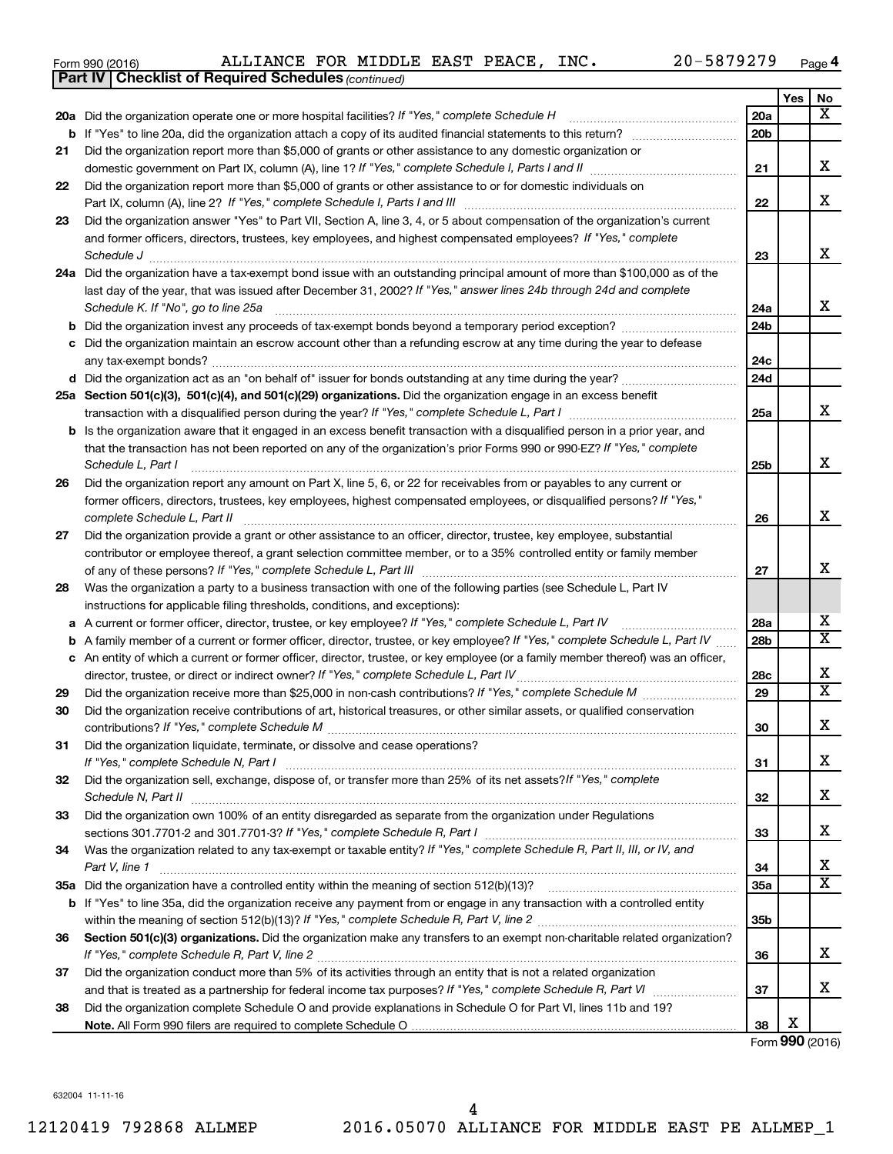| Form 990 (2016) |  | ALLIANCE FOR MIDDLE EAST PEACE, I |  |  |  |  | INC. | 20-5879279 | Page |  |
|-----------------|--|-----------------------------------|--|--|--|--|------|------------|------|--|
|-----------------|--|-----------------------------------|--|--|--|--|------|------------|------|--|

|    | <b>Part IV   Checklist of Required Schedules (continued)</b>                                                                      |                 |     |                         |
|----|-----------------------------------------------------------------------------------------------------------------------------------|-----------------|-----|-------------------------|
|    |                                                                                                                                   |                 | Yes | No                      |
|    | 20a Did the organization operate one or more hospital facilities? If "Yes," complete Schedule H                                   | 20a             |     | x                       |
| b  |                                                                                                                                   | 20 <sub>b</sub> |     |                         |
| 21 | Did the organization report more than \$5,000 of grants or other assistance to any domestic organization or                       |                 |     |                         |
|    |                                                                                                                                   | 21              |     | x                       |
| 22 | Did the organization report more than \$5,000 of grants or other assistance to or for domestic individuals on                     |                 |     |                         |
|    |                                                                                                                                   | 22              |     | х                       |
| 23 | Did the organization answer "Yes" to Part VII, Section A, line 3, 4, or 5 about compensation of the organization's current        |                 |     |                         |
|    | and former officers, directors, trustees, key employees, and highest compensated employees? If "Yes," complete                    |                 |     |                         |
|    | Schedule J                                                                                                                        | 23              |     | x                       |
|    | 24a Did the organization have a tax-exempt bond issue with an outstanding principal amount of more than \$100,000 as of the       |                 |     |                         |
|    | last day of the year, that was issued after December 31, 2002? If "Yes," answer lines 24b through 24d and complete                |                 |     |                         |
|    | Schedule K. If "No", go to line 25a                                                                                               | 24a             |     | x                       |
| b  |                                                                                                                                   | 24 <sub>b</sub> |     |                         |
|    | Did the organization maintain an escrow account other than a refunding escrow at any time during the year to defease              |                 |     |                         |
|    |                                                                                                                                   | 24c             |     |                         |
|    |                                                                                                                                   | 24d             |     |                         |
|    | 25a Section 501(c)(3), 501(c)(4), and 501(c)(29) organizations. Did the organization engage in an excess benefit                  |                 |     |                         |
|    |                                                                                                                                   | 25a             |     | x                       |
| b  | Is the organization aware that it engaged in an excess benefit transaction with a disqualified person in a prior year, and        |                 |     |                         |
|    | that the transaction has not been reported on any of the organization's prior Forms 990 or 990-EZ? If "Yes," complete             |                 |     |                         |
|    | Schedule L, Part I                                                                                                                | 25b             |     | х                       |
| 26 | Did the organization report any amount on Part X, line 5, 6, or 22 for receivables from or payables to any current or             |                 |     |                         |
|    | former officers, directors, trustees, key employees, highest compensated employees, or disqualified persons? If "Yes,"            |                 |     |                         |
|    | complete Schedule L, Part II                                                                                                      | 26              |     | х                       |
| 27 | Did the organization provide a grant or other assistance to an officer, director, trustee, key employee, substantial              |                 |     |                         |
|    | contributor or employee thereof, a grant selection committee member, or to a 35% controlled entity or family member               |                 |     |                         |
|    |                                                                                                                                   | 27              |     | x                       |
| 28 | Was the organization a party to a business transaction with one of the following parties (see Schedule L, Part IV                 |                 |     |                         |
|    | instructions for applicable filing thresholds, conditions, and exceptions):                                                       |                 |     |                         |
| а  | A current or former officer, director, trustee, or key employee? If "Yes," complete Schedule L, Part IV                           | 28a             |     | х                       |
| b  | A family member of a current or former officer, director, trustee, or key employee? If "Yes," complete Schedule L, Part IV        | 28 <sub>b</sub> |     | X                       |
|    | c An entity of which a current or former officer, director, trustee, or key employee (or a family member thereof) was an officer, |                 |     |                         |
|    | director, trustee, or direct or indirect owner? If "Yes," complete Schedule L, Part IV                                            | 28c             |     | X                       |
| 29 |                                                                                                                                   | 29              |     | $\overline{\textbf{X}}$ |
| 30 | Did the organization receive contributions of art, historical treasures, or other similar assets, or qualified conservation       |                 |     |                         |
|    |                                                                                                                                   | 30              |     | Χ                       |
| 31 | Did the organization liquidate, terminate, or dissolve and cease operations?                                                      |                 |     |                         |
|    |                                                                                                                                   | 31              |     | x                       |
| 32 | Did the organization sell, exchange, dispose of, or transfer more than 25% of its net assets? If "Yes," complete                  |                 |     |                         |
|    |                                                                                                                                   | 32              |     | x                       |
| 33 | Did the organization own 100% of an entity disregarded as separate from the organization under Regulations                        |                 |     |                         |
|    |                                                                                                                                   | 33              |     | x                       |
| 34 | Was the organization related to any tax-exempt or taxable entity? If "Yes," complete Schedule R, Part II, III, or IV, and         |                 |     |                         |
|    | Part V, line 1                                                                                                                    | 34              |     | х                       |
|    |                                                                                                                                   | 35a             |     | X                       |
|    | b If "Yes" to line 35a, did the organization receive any payment from or engage in any transaction with a controlled entity       |                 |     |                         |
|    |                                                                                                                                   | 35 <sub>b</sub> |     |                         |
| 36 | Section 501(c)(3) organizations. Did the organization make any transfers to an exempt non-charitable related organization?        |                 |     |                         |
|    |                                                                                                                                   | 36              |     | x                       |
| 37 | Did the organization conduct more than 5% of its activities through an entity that is not a related organization                  |                 |     |                         |
|    |                                                                                                                                   | 37              |     | x                       |
| 38 | Did the organization complete Schedule O and provide explanations in Schedule O for Part VI, lines 11b and 19?                    |                 |     |                         |
|    |                                                                                                                                   | 38              | X   |                         |

Form (2016) **990**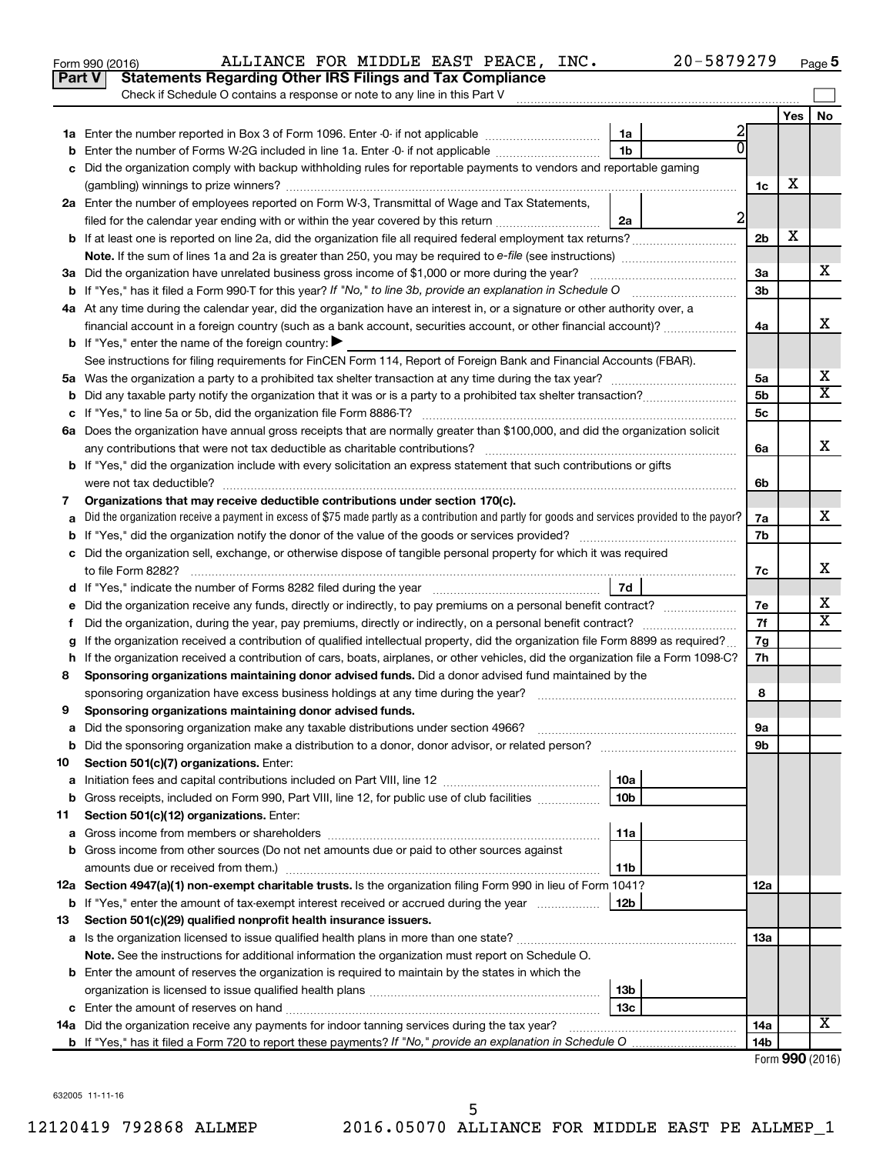|    | <b>Part V</b><br><b>Statements Regarding Other IRS Filings and Tax Compliance</b>                                                                          |                      |                |                     |                         |
|----|------------------------------------------------------------------------------------------------------------------------------------------------------------|----------------------|----------------|---------------------|-------------------------|
|    | Check if Schedule O contains a response or note to any line in this Part V                                                                                 |                      |                |                     |                         |
|    |                                                                                                                                                            |                      | 2              | Yes                 | No                      |
|    | Enter the number of Forms W-2G included in line 1a. Enter -0- if not applicable                                                                            | 1a<br>1 <sub>b</sub> | U              |                     |                         |
|    | Did the organization comply with backup withholding rules for reportable payments to vendors and reportable gaming                                         |                      |                |                     |                         |
|    |                                                                                                                                                            |                      | 1c             | X                   |                         |
|    | 2a Enter the number of employees reported on Form W-3, Transmittal of Wage and Tax Statements,                                                             |                      |                |                     |                         |
|    | filed for the calendar year ending with or within the year covered by this return <i>manumumumum</i>                                                       | 2a                   | $\overline{a}$ |                     |                         |
|    |                                                                                                                                                            |                      | 2 <sub>b</sub> | X                   |                         |
|    |                                                                                                                                                            |                      |                |                     |                         |
|    | 3a Did the organization have unrelated business gross income of \$1,000 or more during the year?                                                           |                      | За             |                     | х                       |
|    |                                                                                                                                                            |                      | 3b             |                     |                         |
|    | 4a At any time during the calendar year, did the organization have an interest in, or a signature or other authority over, a                               |                      |                |                     |                         |
|    | financial account in a foreign country (such as a bank account, securities account, or other financial account)?                                           |                      | 4a             |                     | x                       |
|    | <b>b</b> If "Yes," enter the name of the foreign country: $\blacktriangleright$                                                                            |                      |                |                     |                         |
|    | See instructions for filing requirements for FinCEN Form 114, Report of Foreign Bank and Financial Accounts (FBAR).                                        |                      |                |                     |                         |
|    |                                                                                                                                                            |                      | 5a             |                     | x                       |
|    | Did any taxable party notify the organization that it was or is a party to a prohibited tax shelter transaction?                                           |                      | 5b             |                     | $\overline{\mathtt{x}}$ |
|    |                                                                                                                                                            |                      | 5c             |                     |                         |
|    | 6a Does the organization have annual gross receipts that are normally greater than \$100,000, and did the organization solicit                             |                      |                |                     |                         |
|    |                                                                                                                                                            |                      | 6a             |                     | х                       |
|    | <b>b</b> If "Yes," did the organization include with every solicitation an express statement that such contributions or gifts                              |                      |                |                     |                         |
|    |                                                                                                                                                            |                      | 6b             |                     |                         |
| 7  | Organizations that may receive deductible contributions under section 170(c).                                                                              |                      |                |                     |                         |
|    | Did the organization receive a payment in excess of \$75 made partly as a contribution and partly for goods and services provided to the payor?            |                      | 7a             |                     | x                       |
|    |                                                                                                                                                            |                      | 7b             |                     |                         |
|    | c Did the organization sell, exchange, or otherwise dispose of tangible personal property for which it was required                                        |                      |                |                     | X                       |
|    |                                                                                                                                                            | <b>7d</b>            | 7c             |                     |                         |
|    |                                                                                                                                                            |                      | 7е             |                     | х                       |
| f. | Did the organization, during the year, pay premiums, directly or indirectly, on a personal benefit contract?                                               |                      | 7f             |                     | $\overline{\texttt{x}}$ |
|    | If the organization received a contribution of qualified intellectual property, did the organization file Form 8899 as required?                           |                      | 7g             |                     |                         |
| h. | If the organization received a contribution of cars, boats, airplanes, or other vehicles, did the organization file a Form 1098-C?                         |                      | 7h             |                     |                         |
| 8  | Sponsoring organizations maintaining donor advised funds. Did a donor advised fund maintained by the                                                       |                      |                |                     |                         |
|    |                                                                                                                                                            |                      | 8              |                     |                         |
| 9  | Sponsoring organizations maintaining donor advised funds.                                                                                                  |                      |                |                     |                         |
|    |                                                                                                                                                            |                      | эа             |                     |                         |
|    | Did the sponsoring organization make a distribution to a donor, donor advisor, or related person?                                                          |                      | 9b             |                     |                         |
| 10 | Section 501(c)(7) organizations. Enter:                                                                                                                    |                      |                |                     |                         |
| а  |                                                                                                                                                            | 10a                  |                |                     |                         |
| b  | Gross receipts, included on Form 990, Part VIII, line 12, for public use of club facilities                                                                | 10 <sub>b</sub>      |                |                     |                         |
| 11 | Section 501(c)(12) organizations. Enter:                                                                                                                   |                      |                |                     |                         |
| а  |                                                                                                                                                            | 11a                  |                |                     |                         |
| b  | Gross income from other sources (Do not net amounts due or paid to other sources against                                                                   |                      |                |                     |                         |
|    | amounts due or received from them.)                                                                                                                        | 11b                  |                |                     |                         |
|    | 12a Section 4947(a)(1) non-exempt charitable trusts. Is the organization filing Form 990 in lieu of Form 1041?                                             | 12b                  | 12a            |                     |                         |
|    | <b>b</b> If "Yes," enter the amount of tax-exempt interest received or accrued during the year                                                             |                      |                |                     |                         |
| 13 | Section 501(c)(29) qualified nonprofit health insurance issuers.<br>a Is the organization licensed to issue qualified health plans in more than one state? |                      | 1За            |                     |                         |
|    | Note. See the instructions for additional information the organization must report on Schedule O.                                                          |                      |                |                     |                         |
|    | <b>b</b> Enter the amount of reserves the organization is required to maintain by the states in which the                                                  |                      |                |                     |                         |
|    |                                                                                                                                                            | 13b                  |                |                     |                         |
| c  |                                                                                                                                                            | 13с                  |                |                     |                         |
|    | 14a Did the organization receive any payments for indoor tanning services during the tax year?                                                             |                      | 14a            |                     | х                       |
|    |                                                                                                                                                            |                      | 14b            |                     |                         |
|    |                                                                                                                                                            |                      |                | $Form$ QQQ $(2016)$ |                         |

Form 990 (2016) Page ALLIANCE FOR MIDDLE EAST PEACE, INC. 20-5879279

| Form 990 (2016) |  |
|-----------------|--|
|-----------------|--|

20-5879279 <sub>Page 5</sub>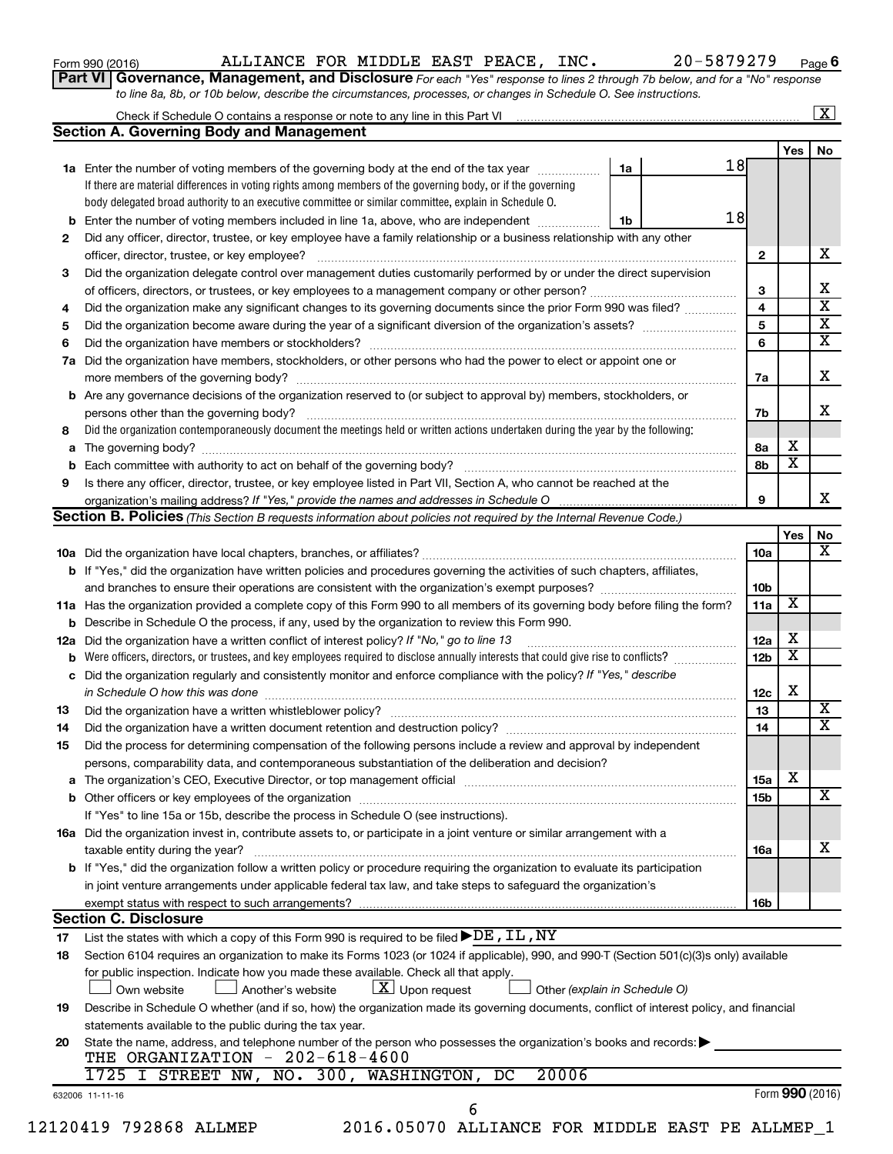| Form 990 (2016) |  |
|-----------------|--|
|-----------------|--|

### Form 990 (2016) Page ALLIANCE FOR MIDDLE EAST PEACE, INC. 20-5879279

**Part VI** Governance, Management, and Disclosure For each "Yes" response to lines 2 through 7b below, and for a "No" response *to line 8a, 8b, or 10b below, describe the circumstances, processes, or changes in Schedule O. See instructions.*

|    | Check if Schedule O contains a response or note to any line in this Part VI [1] [1] [1] [1] [1] [1] [1] [1] [1<br><b>Section A. Governing Body and Management</b> |    |                 |                         |    |
|----|-------------------------------------------------------------------------------------------------------------------------------------------------------------------|----|-----------------|-------------------------|----|
|    |                                                                                                                                                                   |    |                 | Yes                     | No |
|    | 1a Enter the number of voting members of the governing body at the end of the tax year                                                                            | 1a | 18              |                         |    |
|    | If there are material differences in voting rights among members of the governing body, or if the governing                                                       |    |                 |                         |    |
|    | body delegated broad authority to an executive committee or similar committee, explain in Schedule O.                                                             |    |                 |                         |    |
|    |                                                                                                                                                                   |    | 18              |                         |    |
|    | <b>b</b> Enter the number of voting members included in line 1a, above, who are independent                                                                       | 1b |                 |                         |    |
| 2  | Did any officer, director, trustee, or key employee have a family relationship or a business relationship with any other                                          |    |                 |                         |    |
|    | officer, director, trustee, or key employee?                                                                                                                      |    | $\mathbf{2}$    |                         |    |
| 3  | Did the organization delegate control over management duties customarily performed by or under the direct supervision                                             |    |                 |                         |    |
|    | of officers, directors, or trustees, or key employees to a management company or other person?                                                                    |    | 3               |                         |    |
| 4  | Did the organization make any significant changes to its governing documents since the prior Form 990 was filed?                                                  |    | 4               |                         |    |
| 5  |                                                                                                                                                                   |    | 5               |                         |    |
| 6  |                                                                                                                                                                   |    | 6               |                         |    |
| 7a | Did the organization have members, stockholders, or other persons who had the power to elect or appoint one or                                                    |    |                 |                         |    |
|    |                                                                                                                                                                   |    | 7а              |                         |    |
|    | <b>b</b> Are any governance decisions of the organization reserved to (or subject to approval by) members, stockholders, or                                       |    |                 |                         |    |
|    |                                                                                                                                                                   |    | 7b              |                         |    |
| 8  | Did the organization contemporaneously document the meetings held or written actions undertaken during the year by the following:                                 |    |                 |                         |    |
|    |                                                                                                                                                                   |    | 8а              | х                       |    |
|    |                                                                                                                                                                   |    | 8b              | $\overline{\textbf{x}}$ |    |
| 9  | Is there any officer, director, trustee, or key employee listed in Part VII, Section A, who cannot be reached at the                                              |    |                 |                         |    |
|    |                                                                                                                                                                   |    | 9               |                         |    |
|    | Section B. Policies (This Section B requests information about policies not required by the Internal Revenue Code.)                                               |    |                 |                         |    |
|    |                                                                                                                                                                   |    |                 | Yes                     |    |
|    |                                                                                                                                                                   |    | 10a             |                         |    |
|    |                                                                                                                                                                   |    |                 |                         |    |
|    | b If "Yes," did the organization have written policies and procedures governing the activities of such chapters, affiliates,                                      |    |                 |                         |    |
|    |                                                                                                                                                                   |    | 10 <sub>b</sub> |                         |    |
|    | 11a Has the organization provided a complete copy of this Form 990 to all members of its governing body before filing the form?                                   |    | 11a             | X                       |    |
|    | <b>b</b> Describe in Schedule O the process, if any, used by the organization to review this Form 990.                                                            |    |                 |                         |    |
|    | 12a Did the organization have a written conflict of interest policy? If "No," go to line 13                                                                       |    | 12a             | X                       |    |
|    | <b>b</b> Were officers, directors, or trustees, and key employees required to disclose annually interests that could give rise to conflicts?                      |    | 12 <sub>b</sub> | х                       |    |
|    | c Did the organization regularly and consistently monitor and enforce compliance with the policy? If "Yes," describe                                              |    |                 |                         |    |
|    |                                                                                                                                                                   |    | 12c             | X                       |    |
| 13 |                                                                                                                                                                   |    | 13              |                         |    |
| 14 |                                                                                                                                                                   |    | 14              |                         |    |
| 15 | Did the process for determining compensation of the following persons include a review and approval by independent                                                |    |                 |                         |    |
|    | persons, comparability data, and contemporaneous substantiation of the deliberation and decision?                                                                 |    |                 |                         |    |
|    |                                                                                                                                                                   |    | 15a             | х                       |    |
|    |                                                                                                                                                                   |    | <b>15b</b>      |                         |    |
|    | If "Yes" to line 15a or 15b, describe the process in Schedule O (see instructions).                                                                               |    |                 |                         |    |
|    | 16a Did the organization invest in, contribute assets to, or participate in a joint venture or similar arrangement with a                                         |    |                 |                         |    |
|    | taxable entity during the year?                                                                                                                                   |    | 16a             |                         |    |
|    | b If "Yes," did the organization follow a written policy or procedure requiring the organization to evaluate its participation                                    |    |                 |                         |    |
|    |                                                                                                                                                                   |    |                 |                         |    |
|    | in joint venture arrangements under applicable federal tax law, and take steps to safeguard the organization's                                                    |    |                 |                         |    |
|    | exempt status with respect to such arrangements?                                                                                                                  |    | 16 <sub>b</sub> |                         |    |
|    | <b>Section C. Disclosure</b>                                                                                                                                      |    |                 |                         |    |
| 17 | List the states with which a copy of this Form 990 is required to be filed $\blacktriangleright$ DE, IL, NY                                                       |    |                 |                         |    |
| 18 | Section 6104 requires an organization to make its Forms 1023 (or 1024 if applicable), 990, and 990-T (Section 501(c)(3)s only) available                          |    |                 |                         |    |
|    | for public inspection. Indicate how you made these available. Check all that apply.                                                                               |    |                 |                         |    |
|    | $\lfloor x \rfloor$ Upon request<br>Own website<br>Another's website<br>Other (explain in Schedule O)                                                             |    |                 |                         |    |
| 19 | Describe in Schedule O whether (and if so, how) the organization made its governing documents, conflict of interest policy, and financial                         |    |                 |                         |    |
|    | statements available to the public during the tax year.                                                                                                           |    |                 |                         |    |
|    |                                                                                                                                                                   |    |                 |                         |    |
|    | State the name, address, and telephone number of the person who possesses the organization's books and records:                                                   |    |                 |                         |    |
|    | THE ORGANIZATION - 202-618-4600                                                                                                                                   |    |                 |                         |    |
| 20 | 1725 I STREET NW, NO. 300, WASHINGTON, DC<br>20006                                                                                                                |    |                 |                         |    |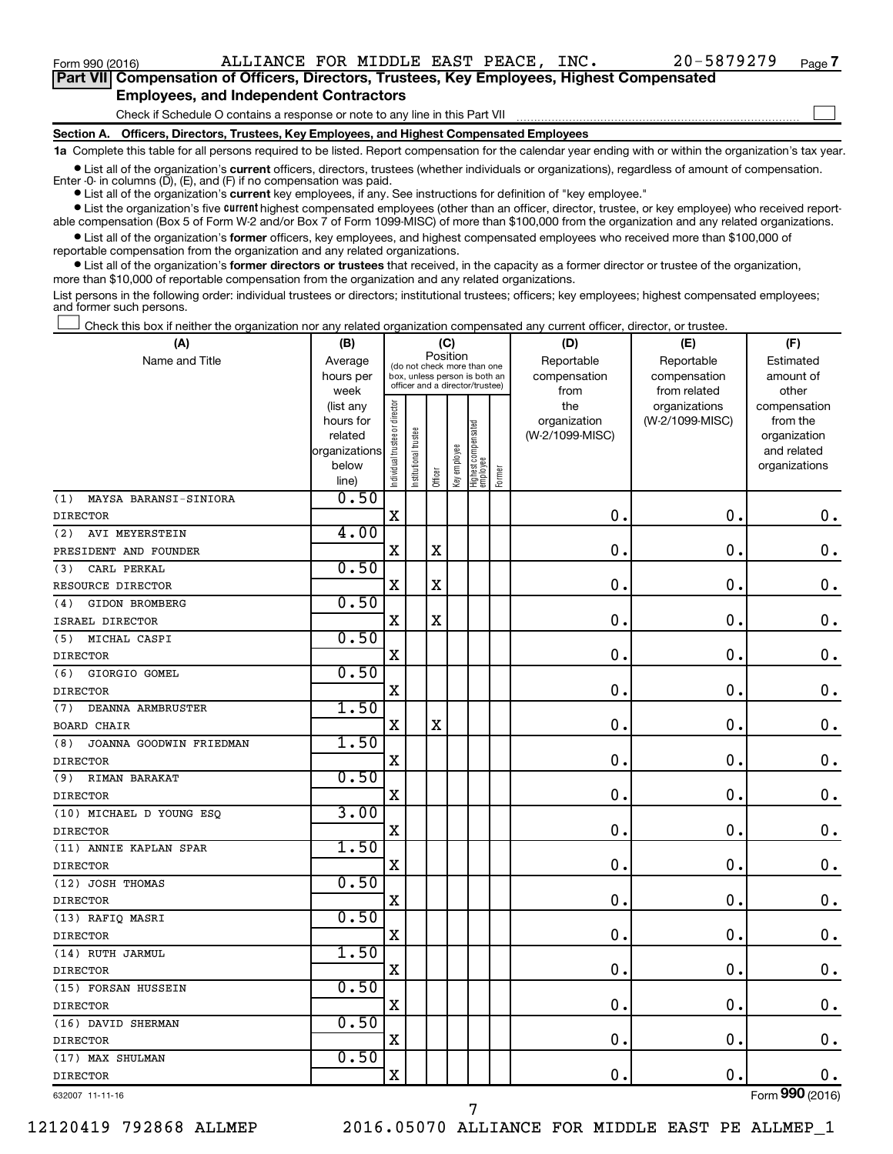$\Box$ 

| Part VII Compensation of Officers, Directors, Trustees, Key Employees, Highest Compensated |
|--------------------------------------------------------------------------------------------|
| <b>Employees, and Independent Contractors</b>                                              |

### Check if Schedule O contains a response or note to any line in this Part VII

**Section A. Officers, Directors, Trustees, Key Employees, and Highest Compensated Employees**

**1a**  Complete this table for all persons required to be listed. Report compensation for the calendar year ending with or within the organization's tax year.

**•** List all of the organization's current officers, directors, trustees (whether individuals or organizations), regardless of amount of compensation.

**•** List all of the organization's **current** key employees, if any. See instructions for definition of "key employee." Enter -0- in columns  $(D)$ ,  $(E)$ , and  $(F)$  if no compensation was paid.

**•** List the organization's five current highest compensated employees (other than an officer, director, trustee, or key employee) who received report-

**•** List all of the organization's former officers, key employees, and highest compensated employees who received more than \$100,000 of able compensation (Box 5 of Form W-2 and/or Box 7 of Form 1099-MISC) of more than \$100,000 from the organization and any related organizations. reportable compensation from the organization and any related organizations.

**•** List all of the organization's former directors or trustees that received, in the capacity as a former director or trustee of the organization, more than \$10,000 of reportable compensation from the organization and any related organizations.

List persons in the following order: individual trustees or directors; institutional trustees; officers; key employees; highest compensated employees; and former such persons.

Check this box if neither the organization nor any related organization compensated any current officer, director, or trustee.  $\Box$ 

| (A)                             | (B)                    |                                |                                                              | (C)         |              |                                 |        | (D)                        | (E)                        | (F)                    |
|---------------------------------|------------------------|--------------------------------|--------------------------------------------------------------|-------------|--------------|---------------------------------|--------|----------------------------|----------------------------|------------------------|
| Name and Title                  | Average<br>hours per   |                                | (do not check more than one<br>box, unless person is both an |             | Position     |                                 |        | Reportable<br>compensation | Reportable<br>compensation | Estimated<br>amount of |
|                                 | week                   |                                | officer and a director/trustee)                              |             |              |                                 |        | from                       | from related               | other                  |
|                                 | (list any              |                                |                                                              |             |              |                                 |        | the                        | organizations              | compensation           |
|                                 | hours for              |                                |                                                              |             |              |                                 |        | organization               | (W-2/1099-MISC)            | from the               |
|                                 | related                |                                |                                                              |             |              |                                 |        | (W-2/1099-MISC)            |                            | organization           |
|                                 | organizations<br>below |                                |                                                              |             |              |                                 |        |                            |                            | and related            |
|                                 | line)                  | Individual trustee or director | Institutional trustee                                        | Officer     | Key employee | Highest compensated<br>employee | Former |                            |                            | organizations          |
| (1)<br>MAYSA BARANSI-SINIORA    | 0.50                   |                                |                                                              |             |              |                                 |        |                            |                            |                        |
| <b>DIRECTOR</b>                 |                        | $\mathbf X$                    |                                                              |             |              |                                 |        | 0.                         | $\mathbf 0$ .              | $\mathbf 0$ .          |
| (2)<br>AVI MEYERSTEIN           | 4.00                   |                                |                                                              |             |              |                                 |        |                            |                            |                        |
| PRESIDENT AND FOUNDER           |                        | $\mathbf X$                    |                                                              | $\rm X$     |              |                                 |        | 0                          | $\mathbf 0$ .              | $\mathbf 0$ .          |
| CARL PERKAL<br>(3)              | 0.50                   |                                |                                                              |             |              |                                 |        |                            |                            |                        |
| RESOURCE DIRECTOR               |                        | X                              |                                                              | $\mathbf X$ |              |                                 |        | $\mathbf 0$                | $\mathbf 0$ .              | $\mathbf 0$ .          |
| <b>GIDON BROMBERG</b><br>(4)    | 0.50                   |                                |                                                              |             |              |                                 |        |                            |                            |                        |
| <b>ISRAEL DIRECTOR</b>          |                        | $\mathbf X$                    |                                                              | $\rm X$     |              |                                 |        | $\mathbf 0$                | 0.                         | $\mathbf 0$ .          |
| (5) MICHAL CASPI                | 0.50                   |                                |                                                              |             |              |                                 |        |                            |                            |                        |
| <b>DIRECTOR</b>                 |                        | X                              |                                                              |             |              |                                 |        | $\mathbf 0$                | $\mathbf 0$ .              | $\mathbf 0$ .          |
| (6)<br>GIORGIO GOMEL            | 0.50                   |                                |                                                              |             |              |                                 |        |                            |                            |                        |
| <b>DIRECTOR</b>                 |                        | $\mathbf X$                    |                                                              |             |              |                                 |        | 0                          | $\mathbf 0$                | $\mathbf 0$ .          |
| (7)<br><b>DEANNA ARMBRUSTER</b> | 1.50                   |                                |                                                              |             |              |                                 |        |                            |                            |                        |
| <b>BOARD CHAIR</b>              |                        | X                              |                                                              | $\rm X$     |              |                                 |        | $\mathbf 0$                | $\mathbf 0$                | $\mathbf 0$ .          |
| JOANNA GOODWIN FRIEDMAN<br>(8)  | 1.50                   |                                |                                                              |             |              |                                 |        |                            |                            |                        |
| <b>DIRECTOR</b>                 |                        | $\mathbf X$                    |                                                              |             |              |                                 |        | 0.                         | $\mathbf 0$                | $\mathbf 0$ .          |
| RIMAN BARAKAT<br>(9)            | 0.50                   |                                |                                                              |             |              |                                 |        |                            |                            |                        |
| <b>DIRECTOR</b>                 |                        | $\mathbf X$                    |                                                              |             |              |                                 |        | 0                          | $\mathbf 0$ .              | 0.                     |
| (10) MICHAEL D YOUNG ESQ        | 3.00                   |                                |                                                              |             |              |                                 |        |                            |                            |                        |
| <b>DIRECTOR</b>                 |                        | X                              |                                                              |             |              |                                 |        | $\mathbf 0$                | 0                          | $\mathbf 0$ .          |
| (11) ANNIE KAPLAN SPAR          | 1.50                   |                                |                                                              |             |              |                                 |        |                            |                            |                        |
| <b>DIRECTOR</b>                 |                        | X                              |                                                              |             |              |                                 |        | $\mathbf 0$                | $\mathbf 0$                | $\mathbf 0$ .          |
| (12) JOSH THOMAS                | 0.50                   |                                |                                                              |             |              |                                 |        |                            |                            |                        |
| <b>DIRECTOR</b>                 |                        | $\mathbf X$                    |                                                              |             |              |                                 |        | $\mathbf 0$                | $\mathbf 0$                | $\mathbf 0$ .          |
| (13) RAFIQ MASRI                | 0.50                   |                                |                                                              |             |              |                                 |        |                            |                            |                        |
| <b>DIRECTOR</b>                 |                        | X                              |                                                              |             |              |                                 |        | 0                          | $\mathbf 0$ .              | $\mathbf 0$ .          |
| (14) RUTH JARMUL                | 1.50                   |                                |                                                              |             |              |                                 |        |                            |                            |                        |
| <b>DIRECTOR</b>                 |                        | $\mathbf X$                    |                                                              |             |              |                                 |        | $\mathbf 0$                | $\mathbf 0$ .              | 0.                     |
| (15) FORSAN HUSSEIN             | 0.50                   |                                |                                                              |             |              |                                 |        |                            |                            |                        |
| <b>DIRECTOR</b>                 |                        | $\mathbf X$                    |                                                              |             |              |                                 |        | $\mathbf 0$                | $\mathbf 0$ .              | $\boldsymbol{0}$ .     |
| (16) DAVID SHERMAN              | 0.50                   |                                |                                                              |             |              |                                 |        | $\mathbf 0$ .              |                            |                        |
| <b>DIRECTOR</b>                 |                        | $\mathbf X$                    |                                                              |             |              |                                 |        |                            | $\mathbf 0$ .              | $0$ .                  |
| (17) MAX SHULMAN                | 0.50                   |                                |                                                              |             |              |                                 |        | $\mathbf 0$                |                            |                        |
| <b>DIRECTOR</b>                 |                        | X                              |                                                              |             |              |                                 |        |                            | $\mathbf 0$ .              | $\boldsymbol{0}$ .     |

632007 11-11-16

12120419 792868 ALLMEP 2016.05070 ALLIANCE FOR MIDDLE EAST PE ALLMEP\_1

7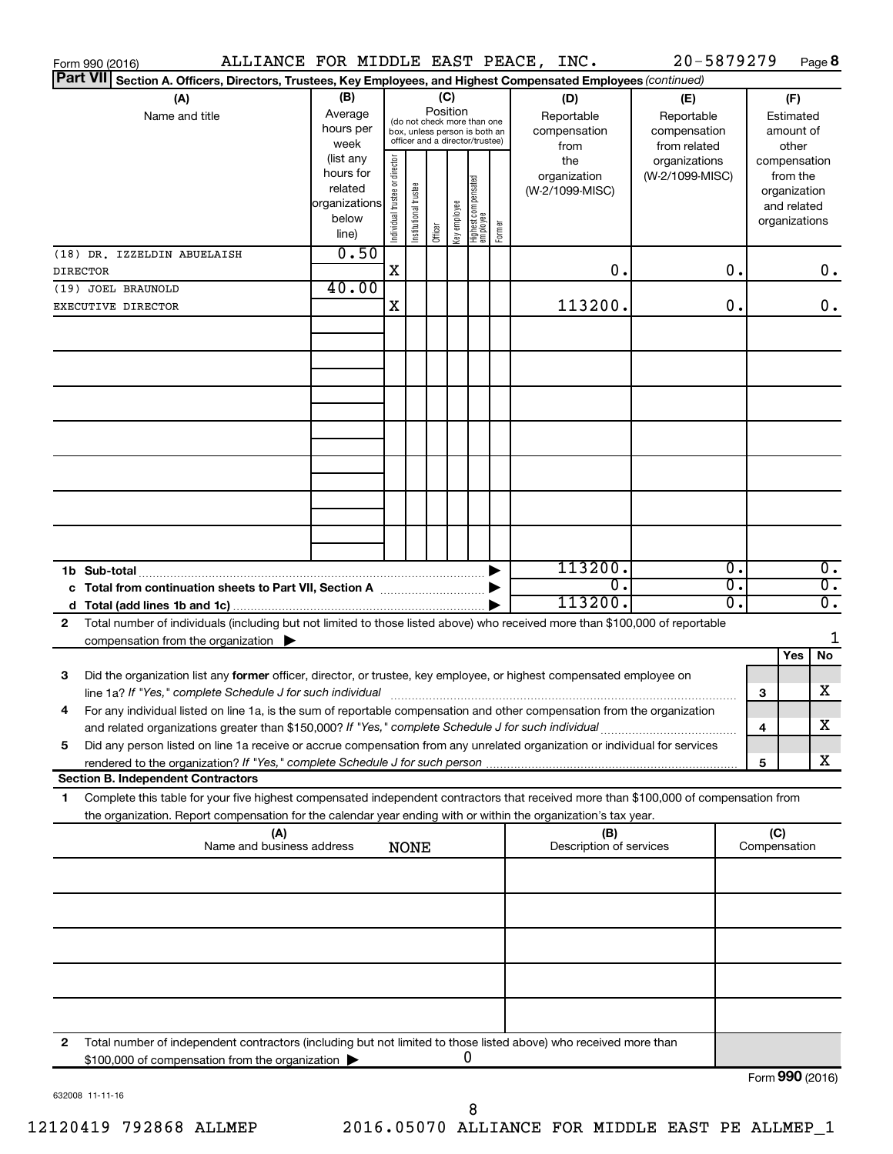| ALLIANCE FOR MIDDLE EAST PEACE, INC.<br>Form 990 (2016)                                                                                                                                                                                                                   |                                                               |                                |                                                                                                 |         |              |                                   |        |  |                                 | 20-5879279      |                  |                                   |                                                          | Page 8                 |                 |  |  |  |  |                                           |     |                                                                    |  |  |                                                        |  |
|---------------------------------------------------------------------------------------------------------------------------------------------------------------------------------------------------------------------------------------------------------------------------|---------------------------------------------------------------|--------------------------------|-------------------------------------------------------------------------------------------------|---------|--------------|-----------------------------------|--------|--|---------------------------------|-----------------|------------------|-----------------------------------|----------------------------------------------------------|------------------------|-----------------|--|--|--|--|-------------------------------------------|-----|--------------------------------------------------------------------|--|--|--------------------------------------------------------|--|
| <b>Part VII</b><br>Section A. Officers, Directors, Trustees, Key Employees, and Highest Compensated Employees (continued)                                                                                                                                                 |                                                               |                                |                                                                                                 |         |              |                                   |        |  |                                 |                 |                  |                                   |                                                          |                        |                 |  |  |  |  |                                           |     |                                                                    |  |  |                                                        |  |
| (A)<br>Name and title                                                                                                                                                                                                                                                     | (B)<br>Average<br>hours per<br>week<br>(list any<br>hours for |                                | (do not check more than one<br>box, unless person is both an<br>officer and a director/trustee) |         |              |                                   |        |  |                                 |                 |                  |                                   |                                                          |                        | (C)<br>Position |  |  |  |  | Reportable<br>compensation<br>from<br>the | (D) | (E)<br>Reportable<br>compensation<br>from related<br>organizations |  |  | (F)<br>Estimated<br>amount of<br>other<br>compensation |  |
|                                                                                                                                                                                                                                                                           | related<br>organizations<br>below<br>line)                    | Individual trustee or director | Institutional trustee                                                                           | Officer | Key employee | Highest compensated<br>  employee | Former |  | organization<br>(W-2/1099-MISC) | (W-2/1099-MISC) |                  |                                   | from the<br>organization<br>and related<br>organizations |                        |                 |  |  |  |  |                                           |     |                                                                    |  |  |                                                        |  |
| (18) DR. IZZELDIN ABUELAISH<br><b>DIRECTOR</b>                                                                                                                                                                                                                            | 0.50                                                          | $\mathbf X$                    |                                                                                                 |         |              |                                   |        |  | 0.                              |                 | 0.               |                                   |                                                          | $0$ .                  |                 |  |  |  |  |                                           |     |                                                                    |  |  |                                                        |  |
| (19) JOEL BRAUNOLD                                                                                                                                                                                                                                                        | 40.00                                                         |                                |                                                                                                 |         |              |                                   |        |  |                                 |                 |                  |                                   |                                                          |                        |                 |  |  |  |  |                                           |     |                                                                    |  |  |                                                        |  |
| EXECUTIVE DIRECTOR                                                                                                                                                                                                                                                        |                                                               | X                              |                                                                                                 |         |              |                                   |        |  | 113200.                         |                 | 0.               |                                   |                                                          | $0$ .                  |                 |  |  |  |  |                                           |     |                                                                    |  |  |                                                        |  |
|                                                                                                                                                                                                                                                                           |                                                               |                                |                                                                                                 |         |              |                                   |        |  |                                 |                 |                  |                                   |                                                          |                        |                 |  |  |  |  |                                           |     |                                                                    |  |  |                                                        |  |
|                                                                                                                                                                                                                                                                           |                                                               |                                |                                                                                                 |         |              |                                   |        |  |                                 |                 |                  |                                   |                                                          |                        |                 |  |  |  |  |                                           |     |                                                                    |  |  |                                                        |  |
|                                                                                                                                                                                                                                                                           |                                                               |                                |                                                                                                 |         |              |                                   |        |  |                                 |                 |                  |                                   |                                                          |                        |                 |  |  |  |  |                                           |     |                                                                    |  |  |                                                        |  |
|                                                                                                                                                                                                                                                                           |                                                               |                                |                                                                                                 |         |              |                                   |        |  |                                 |                 |                  |                                   |                                                          |                        |                 |  |  |  |  |                                           |     |                                                                    |  |  |                                                        |  |
|                                                                                                                                                                                                                                                                           |                                                               |                                |                                                                                                 |         |              |                                   |        |  |                                 |                 |                  |                                   |                                                          |                        |                 |  |  |  |  |                                           |     |                                                                    |  |  |                                                        |  |
|                                                                                                                                                                                                                                                                           |                                                               |                                |                                                                                                 |         |              |                                   |        |  |                                 |                 |                  |                                   |                                                          |                        |                 |  |  |  |  |                                           |     |                                                                    |  |  |                                                        |  |
|                                                                                                                                                                                                                                                                           |                                                               |                                |                                                                                                 |         |              |                                   |        |  |                                 |                 |                  |                                   |                                                          |                        |                 |  |  |  |  |                                           |     |                                                                    |  |  |                                                        |  |
|                                                                                                                                                                                                                                                                           |                                                               |                                |                                                                                                 |         |              |                                   |        |  |                                 |                 |                  |                                   |                                                          |                        |                 |  |  |  |  |                                           |     |                                                                    |  |  |                                                        |  |
| 1b Sub-total                                                                                                                                                                                                                                                              |                                                               |                                |                                                                                                 |         |              |                                   |        |  | 113200.                         |                 | $\overline{0}$ . |                                   |                                                          | $\overline{0}$ .       |                 |  |  |  |  |                                           |     |                                                                    |  |  |                                                        |  |
| c Total from continuation sheets to Part VII, Section A [11, 11, 11, 11, 11]                                                                                                                                                                                              |                                                               |                                |                                                                                                 |         |              |                                   |        |  | $\mathbf 0$<br>113200.          |                 | σ.<br>σ.         |                                   |                                                          | $\overline{0}$ .<br>σ. |                 |  |  |  |  |                                           |     |                                                                    |  |  |                                                        |  |
| Total number of individuals (including but not limited to those listed above) who received more than \$100,000 of reportable<br>$\mathbf{2}$                                                                                                                              |                                                               |                                |                                                                                                 |         |              |                                   |        |  |                                 |                 |                  |                                   |                                                          |                        |                 |  |  |  |  |                                           |     |                                                                    |  |  |                                                        |  |
| compensation from the organization $\blacktriangleright$                                                                                                                                                                                                                  |                                                               |                                |                                                                                                 |         |              |                                   |        |  |                                 |                 |                  |                                   | Yes                                                      | 1<br>No                |                 |  |  |  |  |                                           |     |                                                                    |  |  |                                                        |  |
| Did the organization list any former officer, director, or trustee, key employee, or highest compensated employee on<br>3                                                                                                                                                 |                                                               |                                |                                                                                                 |         |              |                                   |        |  |                                 |                 |                  |                                   |                                                          |                        |                 |  |  |  |  |                                           |     |                                                                    |  |  |                                                        |  |
| line 1a? If "Yes," complete Schedule J for such individual [11] manufacture manufacture 1a? If "Yes," complete Schedule J for such individual<br>For any individual listed on line 1a, is the sum of reportable compensation and other compensation from the organization |                                                               |                                |                                                                                                 |         |              |                                   |        |  |                                 |                 |                  | 3                                 |                                                          | x                      |                 |  |  |  |  |                                           |     |                                                                    |  |  |                                                        |  |
| and related organizations greater than \$150,000? If "Yes," complete Schedule J for such individual                                                                                                                                                                       |                                                               |                                |                                                                                                 |         |              |                                   |        |  |                                 |                 |                  | 4                                 |                                                          | х                      |                 |  |  |  |  |                                           |     |                                                                    |  |  |                                                        |  |
| Did any person listed on line 1a receive or accrue compensation from any unrelated organization or individual for services<br>5<br>rendered to the organization? If "Yes," complete Schedule J for such person                                                            |                                                               |                                |                                                                                                 |         |              |                                   |        |  |                                 |                 |                  | 5                                 |                                                          | x                      |                 |  |  |  |  |                                           |     |                                                                    |  |  |                                                        |  |
| <b>Section B. Independent Contractors</b>                                                                                                                                                                                                                                 |                                                               |                                |                                                                                                 |         |              |                                   |        |  |                                 |                 |                  |                                   |                                                          |                        |                 |  |  |  |  |                                           |     |                                                                    |  |  |                                                        |  |
| Complete this table for your five highest compensated independent contractors that received more than \$100,000 of compensation from<br>1<br>the organization. Report compensation for the calendar year ending with or within the organization's tax year.               |                                                               |                                |                                                                                                 |         |              |                                   |        |  |                                 |                 |                  |                                   |                                                          |                        |                 |  |  |  |  |                                           |     |                                                                    |  |  |                                                        |  |
| (A)<br>Name and business address                                                                                                                                                                                                                                          |                                                               |                                | <b>NONE</b>                                                                                     |         |              |                                   |        |  | (B)<br>Description of services  |                 |                  | (C)<br>Compensation               |                                                          |                        |                 |  |  |  |  |                                           |     |                                                                    |  |  |                                                        |  |
|                                                                                                                                                                                                                                                                           |                                                               |                                |                                                                                                 |         |              |                                   |        |  |                                 |                 |                  |                                   |                                                          |                        |                 |  |  |  |  |                                           |     |                                                                    |  |  |                                                        |  |
|                                                                                                                                                                                                                                                                           |                                                               |                                |                                                                                                 |         |              |                                   |        |  |                                 |                 |                  |                                   |                                                          |                        |                 |  |  |  |  |                                           |     |                                                                    |  |  |                                                        |  |
|                                                                                                                                                                                                                                                                           |                                                               |                                |                                                                                                 |         |              |                                   |        |  |                                 |                 |                  |                                   |                                                          |                        |                 |  |  |  |  |                                           |     |                                                                    |  |  |                                                        |  |
|                                                                                                                                                                                                                                                                           |                                                               |                                |                                                                                                 |         |              |                                   |        |  |                                 |                 |                  |                                   |                                                          |                        |                 |  |  |  |  |                                           |     |                                                                    |  |  |                                                        |  |
|                                                                                                                                                                                                                                                                           |                                                               |                                |                                                                                                 |         |              |                                   |        |  |                                 |                 |                  |                                   |                                                          |                        |                 |  |  |  |  |                                           |     |                                                                    |  |  |                                                        |  |
|                                                                                                                                                                                                                                                                           |                                                               |                                |                                                                                                 |         |              |                                   |        |  |                                 |                 |                  |                                   |                                                          |                        |                 |  |  |  |  |                                           |     |                                                                    |  |  |                                                        |  |
| 2<br>Total number of independent contractors (including but not limited to those listed above) who received more than<br>\$100,000 of compensation from the organization                                                                                                  |                                                               |                                |                                                                                                 |         |              | 0                                 |        |  |                                 |                 |                  |                                   |                                                          |                        |                 |  |  |  |  |                                           |     |                                                                    |  |  |                                                        |  |
|                                                                                                                                                                                                                                                                           |                                                               |                                |                                                                                                 |         |              |                                   |        |  |                                 |                 |                  | $F_{\alpha r}$ QQ $\Omega$ (2016) |                                                          |                        |                 |  |  |  |  |                                           |     |                                                                    |  |  |                                                        |  |

632008 11-11-16

Form (2016) **990**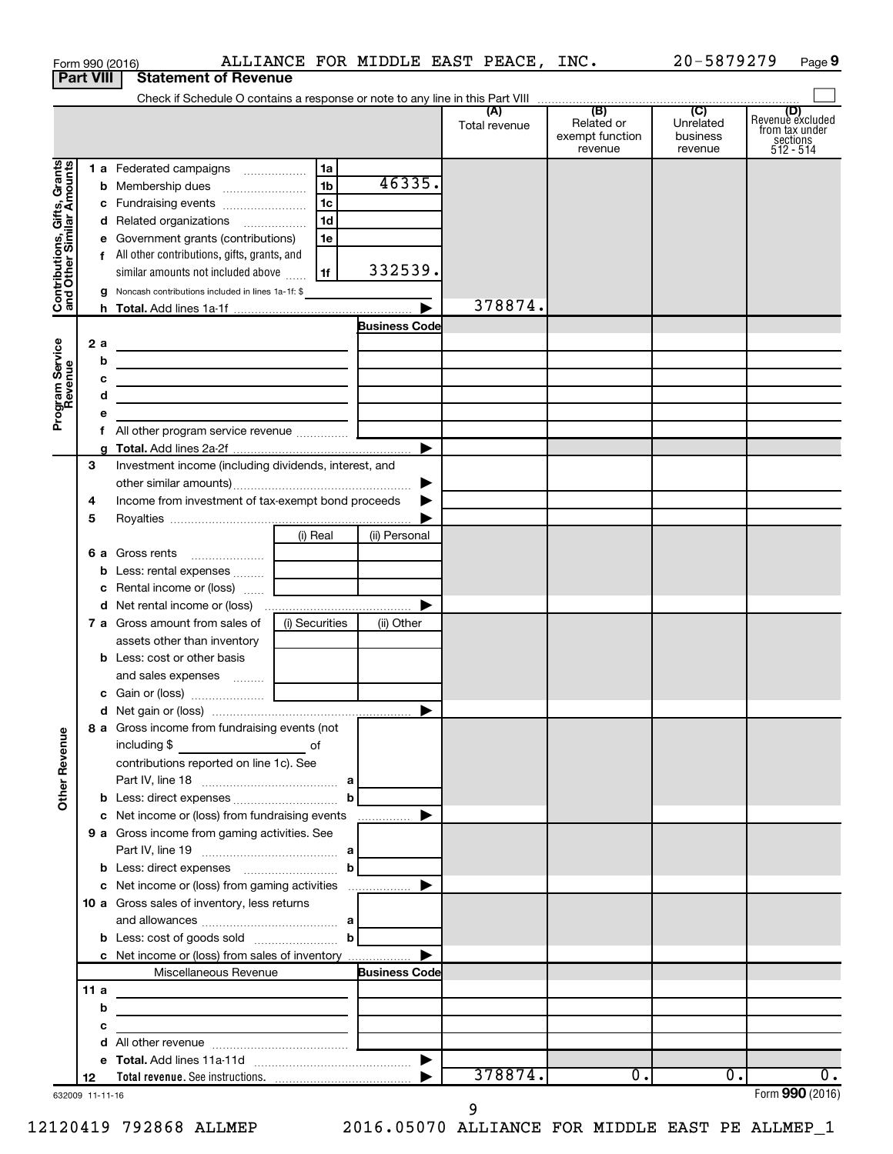|                                                           |      |   | Form 990 (2016)                                                            |                |                      | ALLIANCE FOR MIDDLE EAST PEACE, INC. |                                                 | 20-5879279                              | Page 9                                                      |
|-----------------------------------------------------------|------|---|----------------------------------------------------------------------------|----------------|----------------------|--------------------------------------|-------------------------------------------------|-----------------------------------------|-------------------------------------------------------------|
| <b>Part VIII</b>                                          |      |   | <b>Statement of Revenue</b>                                                |                |                      |                                      |                                                 |                                         |                                                             |
|                                                           |      |   |                                                                            |                |                      |                                      |                                                 |                                         |                                                             |
|                                                           |      |   |                                                                            |                |                      | (A)<br>Total revenue                 | (B)<br>Related or<br>exempt function<br>revenue | (C)<br>Unrelated<br>business<br>revenue | Revenue excluded<br>from tax under<br>sections<br>512 - 514 |
|                                                           |      |   | 1 a Federated campaigns                                                    | 1a             |                      |                                      |                                                 |                                         |                                                             |
| Contributions, Gifts, Grants<br>and Other Similar Amounts |      |   |                                                                            | $\overline{1}$ | 46335.               |                                      |                                                 |                                         |                                                             |
|                                                           |      |   |                                                                            | 1c             |                      |                                      |                                                 |                                         |                                                             |
|                                                           |      |   | d Related organizations                                                    | 1 <sub>d</sub> |                      |                                      |                                                 |                                         |                                                             |
|                                                           |      |   | e Government grants (contributions)                                        | 1e             |                      |                                      |                                                 |                                         |                                                             |
|                                                           |      |   | f All other contributions, gifts, grants, and                              |                |                      |                                      |                                                 |                                         |                                                             |
|                                                           |      |   | similar amounts not included above                                         | 1f             | 332539.              |                                      |                                                 |                                         |                                                             |
|                                                           |      |   | <b>g</b> Noncash contributions included in lines 1a-1f: \$                 |                |                      |                                      |                                                 |                                         |                                                             |
|                                                           |      |   |                                                                            |                |                      | 378874.                              |                                                 |                                         |                                                             |
|                                                           |      |   |                                                                            |                | <b>Business Code</b> |                                      |                                                 |                                         |                                                             |
| Program Service<br>Revenue                                | 2a   | b | the control of the control of the control of the control of the control of |                |                      |                                      |                                                 |                                         |                                                             |
|                                                           |      | c | <u> 1989 - Johann Barn, fransk politik (d. 1989)</u>                       |                |                      |                                      |                                                 |                                         |                                                             |
|                                                           |      | d |                                                                            |                |                      |                                      |                                                 |                                         |                                                             |
|                                                           |      | e | the control of the control of the control of the control of the control of |                |                      |                                      |                                                 |                                         |                                                             |
|                                                           |      |   |                                                                            |                |                      |                                      |                                                 |                                         |                                                             |
|                                                           |      | g |                                                                            |                |                      |                                      |                                                 |                                         |                                                             |
|                                                           | З    |   | Investment income (including dividends, interest, and                      |                |                      |                                      |                                                 |                                         |                                                             |
|                                                           |      |   |                                                                            |                | ▶                    |                                      |                                                 |                                         |                                                             |
|                                                           | 4    |   | Income from investment of tax-exempt bond proceeds                         |                |                      |                                      |                                                 |                                         |                                                             |
|                                                           | 5    |   |                                                                            |                |                      |                                      |                                                 |                                         |                                                             |
|                                                           |      |   |                                                                            | (i) Real       | (ii) Personal        |                                      |                                                 |                                         |                                                             |
|                                                           |      |   | 6 a Gross rents                                                            |                |                      |                                      |                                                 |                                         |                                                             |
|                                                           |      |   | <b>b</b> Less: rental expenses                                             |                |                      |                                      |                                                 |                                         |                                                             |
|                                                           |      |   | c Rental income or (loss)                                                  |                |                      |                                      |                                                 |                                         |                                                             |
|                                                           |      |   | 7 a Gross amount from sales of                                             |                |                      |                                      |                                                 |                                         |                                                             |
|                                                           |      |   | assets other than inventory                                                | (i) Securities | (ii) Other           |                                      |                                                 |                                         |                                                             |
|                                                           |      |   | <b>b</b> Less: cost or other basis                                         |                |                      |                                      |                                                 |                                         |                                                             |
|                                                           |      |   | and sales expenses                                                         |                |                      |                                      |                                                 |                                         |                                                             |
|                                                           |      |   | c Gain or (loss)                                                           |                |                      |                                      |                                                 |                                         |                                                             |
|                                                           |      |   |                                                                            |                |                      |                                      |                                                 |                                         |                                                             |
|                                                           |      |   | 8 a Gross income from fundraising events (not                              |                |                      |                                      |                                                 |                                         |                                                             |
| <b>Other Revenue</b>                                      |      |   | including \$<br><u>state of</u> the state of the state of                  |                |                      |                                      |                                                 |                                         |                                                             |
|                                                           |      |   | contributions reported on line 1c). See                                    |                |                      |                                      |                                                 |                                         |                                                             |
|                                                           |      |   |                                                                            |                |                      |                                      |                                                 |                                         |                                                             |
|                                                           |      |   |                                                                            | b              |                      |                                      |                                                 |                                         |                                                             |
|                                                           |      |   |                                                                            |                |                      |                                      |                                                 |                                         |                                                             |
|                                                           |      |   | 9 a Gross income from gaming activities. See                               |                |                      |                                      |                                                 |                                         |                                                             |
|                                                           |      |   |                                                                            |                |                      |                                      |                                                 |                                         |                                                             |
|                                                           |      |   |                                                                            | b              |                      |                                      |                                                 |                                         |                                                             |
|                                                           |      |   | <b>10 a</b> Gross sales of inventory, less returns                         |                |                      |                                      |                                                 |                                         |                                                             |
|                                                           |      |   |                                                                            |                |                      |                                      |                                                 |                                         |                                                             |
|                                                           |      |   |                                                                            | $\mathbf b$    |                      |                                      |                                                 |                                         |                                                             |
|                                                           |      |   | c Net income or (loss) from sales of inventory                             |                |                      |                                      |                                                 |                                         |                                                             |
|                                                           |      |   | Miscellaneous Revenue                                                      |                | <b>Business Code</b> |                                      |                                                 |                                         |                                                             |
|                                                           | 11 a |   | the control of the control of the control of the control of the control of |                |                      |                                      |                                                 |                                         |                                                             |
|                                                           |      | b |                                                                            |                |                      |                                      |                                                 |                                         |                                                             |
|                                                           |      | с |                                                                            |                |                      |                                      |                                                 |                                         |                                                             |
|                                                           |      | d |                                                                            |                |                      |                                      |                                                 |                                         |                                                             |
|                                                           |      |   |                                                                            |                |                      |                                      |                                                 | $\overline{0}$ .                        |                                                             |
|                                                           | 12   |   |                                                                            |                |                      | 378874.                              | 0.                                              |                                         | 0.<br>Form 990 (2016)                                       |
| 632009 11-11-16                                           |      |   |                                                                            |                |                      |                                      |                                                 |                                         |                                                             |

9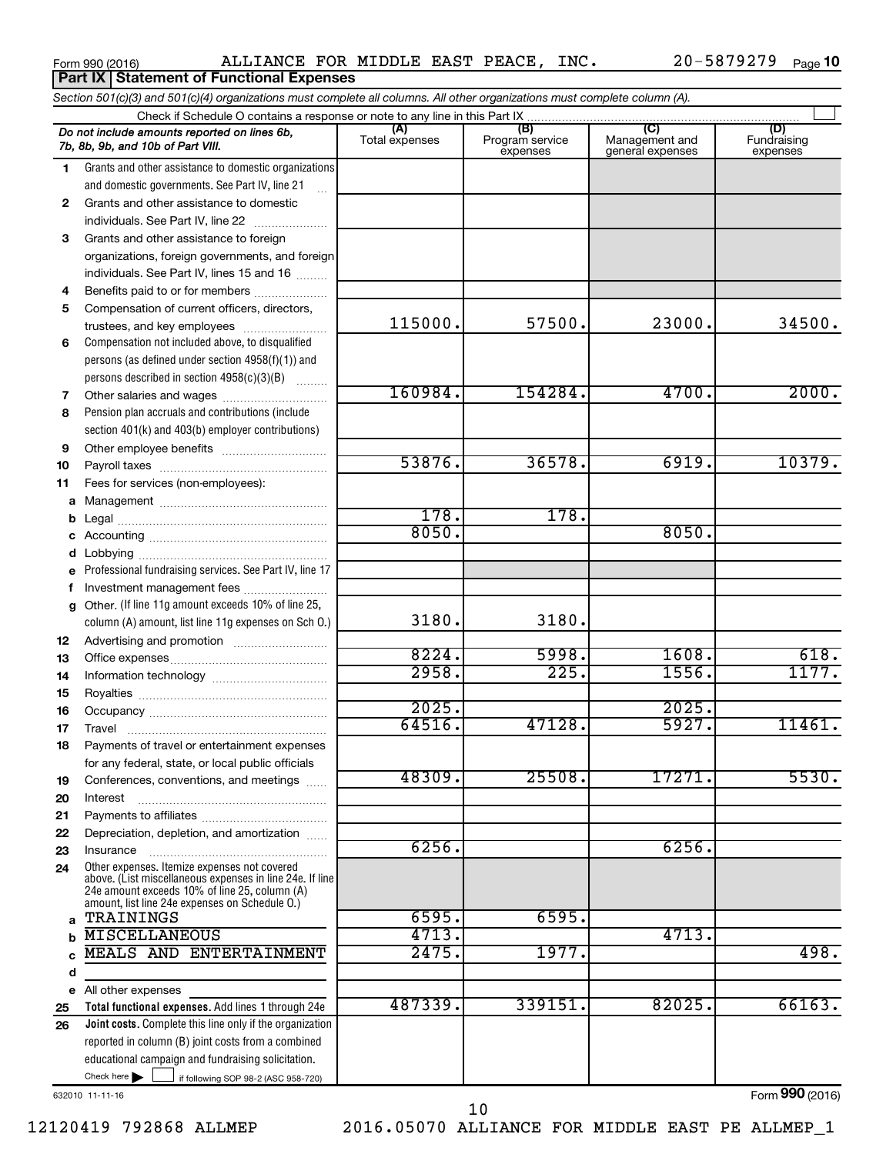**Part IX | Statement of Functional Expenses** 

Form 990 (2016) Page ALLIANCE FOR MIDDLE EAST PEACE, INC. 20-5879279

|    | Section 501(c)(3) and 501(c)(4) organizations must complete all columns. All other organizations must complete column (A).                                                                                  |                |                             |                                    |                         |
|----|-------------------------------------------------------------------------------------------------------------------------------------------------------------------------------------------------------------|----------------|-----------------------------|------------------------------------|-------------------------|
|    | Do not include amounts reported on lines 6b,                                                                                                                                                                |                | (B)                         |                                    | (D)                     |
|    | 7b, 8b, 9b, and 10b of Part VIII.                                                                                                                                                                           | Total expenses | Program service<br>expenses | Management and<br>general expenses | Fundraising<br>expenses |
| 1. | Grants and other assistance to domestic organizations                                                                                                                                                       |                |                             |                                    |                         |
|    | and domestic governments. See Part IV, line 21                                                                                                                                                              |                |                             |                                    |                         |
| 2  | Grants and other assistance to domestic                                                                                                                                                                     |                |                             |                                    |                         |
|    | individuals. See Part IV, line 22                                                                                                                                                                           |                |                             |                                    |                         |
| 3  | Grants and other assistance to foreign                                                                                                                                                                      |                |                             |                                    |                         |
|    | organizations, foreign governments, and foreign                                                                                                                                                             |                |                             |                                    |                         |
|    | individuals. See Part IV, lines 15 and 16                                                                                                                                                                   |                |                             |                                    |                         |
| 4  | Benefits paid to or for members                                                                                                                                                                             |                |                             |                                    |                         |
| 5  | Compensation of current officers, directors,                                                                                                                                                                |                |                             |                                    |                         |
|    | trustees, and key employees                                                                                                                                                                                 | 115000.        | 57500.                      | 23000.                             | 34500.                  |
| 6  | Compensation not included above, to disqualified                                                                                                                                                            |                |                             |                                    |                         |
|    | persons (as defined under section 4958(f)(1)) and                                                                                                                                                           |                |                             |                                    |                         |
|    | persons described in section 4958(c)(3)(B)                                                                                                                                                                  |                |                             |                                    |                         |
| 7  |                                                                                                                                                                                                             | 160984.        | 154284.                     | 4700.                              | 2000.                   |
| 8  | Pension plan accruals and contributions (include                                                                                                                                                            |                |                             |                                    |                         |
|    | section 401(k) and 403(b) employer contributions)                                                                                                                                                           |                |                             |                                    |                         |
| 9  |                                                                                                                                                                                                             |                |                             |                                    |                         |
| 10 |                                                                                                                                                                                                             | 53876.         | 36578.                      | 6919.                              | 10379.                  |
| 11 | Fees for services (non-employees):                                                                                                                                                                          |                |                             |                                    |                         |
| a  |                                                                                                                                                                                                             |                |                             |                                    |                         |
| b  |                                                                                                                                                                                                             | 178.           | 178.                        |                                    |                         |
| c  |                                                                                                                                                                                                             | 8050.          |                             | 8050.                              |                         |
| d  |                                                                                                                                                                                                             |                |                             |                                    |                         |
| е  | Professional fundraising services. See Part IV, line 17                                                                                                                                                     |                |                             |                                    |                         |
| f  | Investment management fees                                                                                                                                                                                  |                |                             |                                    |                         |
| g  | Other. (If line 11g amount exceeds 10% of line 25,                                                                                                                                                          |                |                             |                                    |                         |
|    | column (A) amount, list line 11g expenses on Sch O.)                                                                                                                                                        | 3180.          | 3180.                       |                                    |                         |
| 12 |                                                                                                                                                                                                             |                |                             |                                    |                         |
| 13 |                                                                                                                                                                                                             | 8224.          | 5998.                       | <b>1608.</b>                       | 618.                    |
| 14 |                                                                                                                                                                                                             | 2958.          | 225.                        | 1556.                              | 1177.                   |
| 15 |                                                                                                                                                                                                             |                |                             |                                    |                         |
| 16 |                                                                                                                                                                                                             | 2025.          |                             | 2025.                              |                         |
| 17 |                                                                                                                                                                                                             | 64516.         | 47128.                      | 5927.                              | 11461.                  |
| 18 | Payments of travel or entertainment expenses                                                                                                                                                                |                |                             |                                    |                         |
|    | for any federal, state, or local public officials                                                                                                                                                           |                |                             |                                    |                         |
| 19 | Conferences, conventions, and meetings                                                                                                                                                                      | 48309.         | 25508.                      | 17271.                             | 5530.                   |
| 20 | Interest                                                                                                                                                                                                    |                |                             |                                    |                         |
| 21 |                                                                                                                                                                                                             |                |                             |                                    |                         |
| 22 | Depreciation, depletion, and amortization                                                                                                                                                                   |                |                             |                                    |                         |
| 23 | Insurance                                                                                                                                                                                                   | 6256.          |                             | 6256.                              |                         |
| 24 | Other expenses. Itemize expenses not covered<br>above. (List miscellaneous expenses in line 24e. If line<br>24e amount exceeds 10% of line 25, column (A)<br>amount, list line 24e expenses on Schedule O.) |                |                             |                                    |                         |
| a  | TRAININGS                                                                                                                                                                                                   | 6595.          | 6595.                       |                                    |                         |
| b  | <b>MISCELLANEOUS</b>                                                                                                                                                                                        | 4713.          |                             | 4713.                              |                         |
| C  | MEALS AND ENTERTAINMENT                                                                                                                                                                                     | 2475.          | 1977.                       |                                    | 498.                    |
| d  |                                                                                                                                                                                                             |                |                             |                                    |                         |
|    | e All other expenses                                                                                                                                                                                        |                |                             |                                    |                         |
| 25 | Total functional expenses. Add lines 1 through 24e                                                                                                                                                          | 487339.        | 339151.                     | 82025.                             | 66163.                  |
| 26 | Joint costs. Complete this line only if the organization                                                                                                                                                    |                |                             |                                    |                         |
|    | reported in column (B) joint costs from a combined                                                                                                                                                          |                |                             |                                    |                         |
|    | educational campaign and fundraising solicitation.                                                                                                                                                          |                |                             |                                    |                         |
|    | Check here $\blacktriangleright$<br>if following SOP 98-2 (ASC 958-720)                                                                                                                                     |                |                             |                                    |                         |

632010 11-11-16

12120419 792868 ALLMEP 2016.05070 ALLIANCE FOR MIDDLE EAST PE ALLMEP\_1 10

Form (2016) **990**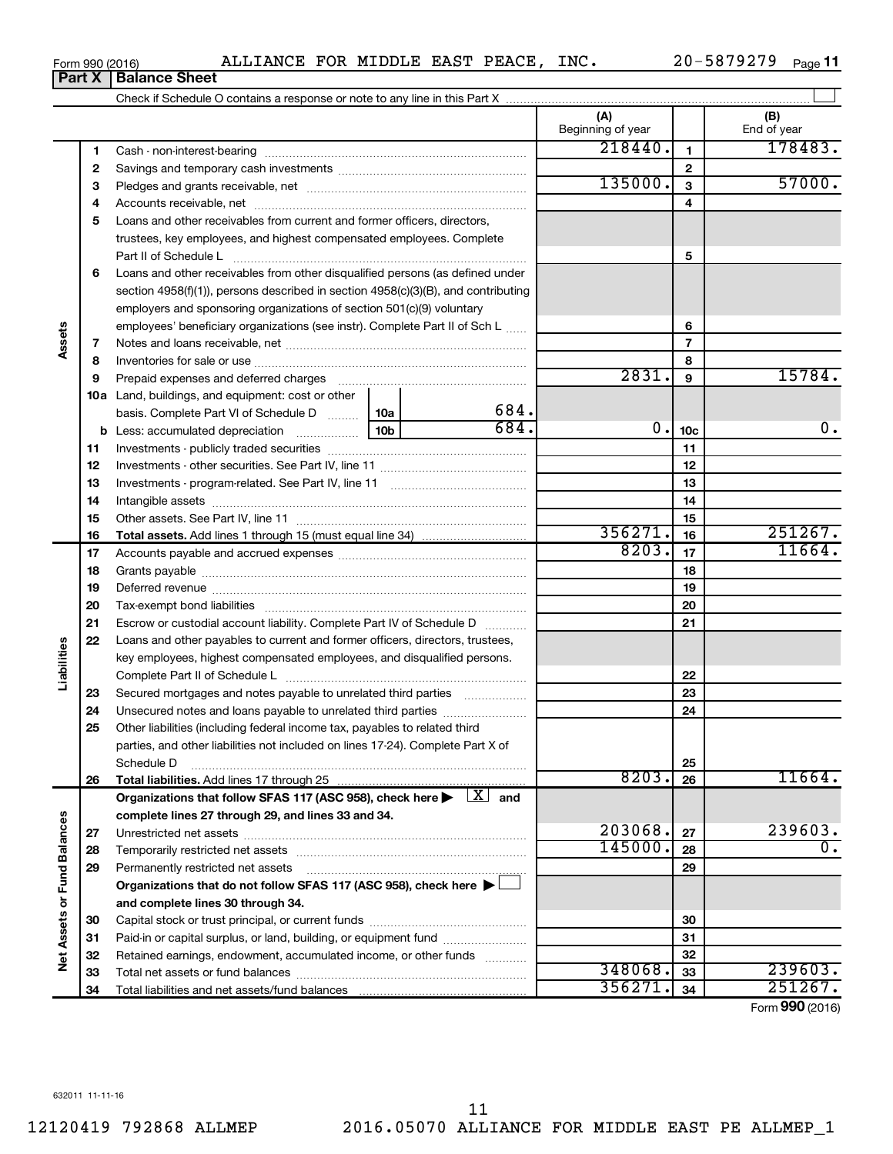20-5879279 Page 11

**(A) (B)**

|                             |    |                                                                                                                                                                                                                                |                 |      | Beginning of year |                 | End of year      |
|-----------------------------|----|--------------------------------------------------------------------------------------------------------------------------------------------------------------------------------------------------------------------------------|-----------------|------|-------------------|-----------------|------------------|
|                             | 1  |                                                                                                                                                                                                                                |                 |      | 218440.           | $\mathbf{1}$    | 178483.          |
|                             | 2  |                                                                                                                                                                                                                                |                 |      |                   | $\mathbf{2}$    |                  |
|                             | З  |                                                                                                                                                                                                                                |                 |      | 135000.           | 3               | 57000.           |
|                             | 4  |                                                                                                                                                                                                                                |                 |      |                   | 4               |                  |
|                             | 5  | Loans and other receivables from current and former officers, directors,                                                                                                                                                       |                 |      |                   |                 |                  |
|                             |    | trustees, key employees, and highest compensated employees. Complete                                                                                                                                                           |                 |      |                   |                 |                  |
|                             |    |                                                                                                                                                                                                                                |                 | 5    |                   |                 |                  |
|                             | 6  | Loans and other receivables from other disqualified persons (as defined under                                                                                                                                                  |                 |      |                   |                 |                  |
|                             |    | section 4958(f)(1)), persons described in section 4958(c)(3)(B), and contributing                                                                                                                                              |                 |      |                   |                 |                  |
|                             |    | employers and sponsoring organizations of section 501(c)(9) voluntary                                                                                                                                                          |                 |      |                   |                 |                  |
|                             |    | employees' beneficiary organizations (see instr). Complete Part II of Sch L                                                                                                                                                    |                 |      |                   | 6               |                  |
| Assets                      | 7  |                                                                                                                                                                                                                                |                 |      |                   | $\overline{7}$  |                  |
|                             | 8  |                                                                                                                                                                                                                                |                 |      |                   | 8               |                  |
|                             | 9  | Prepaid expenses and deferred charges [11] [11] prepaid expenses and deferred charges [11] [11] minimum and the Prepaid expenses and deferred charges [11] minimum and the Prepaid expenses and the Prepaid experiment of Prep |                 |      | 2831.             | 9               | 15784.           |
|                             |    | 10a Land, buildings, and equipment: cost or other                                                                                                                                                                              |                 |      |                   |                 |                  |
|                             |    | basis. Complete Part VI of Schedule D  10a                                                                                                                                                                                     |                 | 684. |                   |                 |                  |
|                             |    |                                                                                                                                                                                                                                | 10 <sub>b</sub> | 684. | 0.                | 10 <sub>c</sub> | 0.               |
|                             | 11 |                                                                                                                                                                                                                                |                 |      |                   | 11              |                  |
|                             | 12 |                                                                                                                                                                                                                                |                 |      |                   | 12              |                  |
|                             | 13 |                                                                                                                                                                                                                                |                 |      |                   | 13              |                  |
|                             | 14 |                                                                                                                                                                                                                                |                 |      |                   | 14              |                  |
|                             | 15 |                                                                                                                                                                                                                                |                 |      | 15                |                 |                  |
|                             | 16 |                                                                                                                                                                                                                                |                 |      | 356271.           | 16              | 251267.          |
|                             | 17 |                                                                                                                                                                                                                                | 8203.           | 17   | 11664.            |                 |                  |
|                             | 18 |                                                                                                                                                                                                                                |                 | 18   |                   |                 |                  |
|                             | 19 |                                                                                                                                                                                                                                |                 | 19   |                   |                 |                  |
|                             | 20 |                                                                                                                                                                                                                                |                 |      |                   | 20              |                  |
|                             | 21 | Escrow or custodial account liability. Complete Part IV of Schedule D                                                                                                                                                          |                 |      |                   | 21              |                  |
|                             | 22 | Loans and other payables to current and former officers, directors, trustees,                                                                                                                                                  |                 |      |                   |                 |                  |
| Liabilities                 |    | key employees, highest compensated employees, and disqualified persons.                                                                                                                                                        |                 |      |                   |                 |                  |
|                             |    |                                                                                                                                                                                                                                |                 |      |                   | 22              |                  |
|                             | 23 | Secured mortgages and notes payable to unrelated third parties                                                                                                                                                                 |                 |      |                   | 23              |                  |
|                             | 24 | Unsecured notes and loans payable to unrelated third parties                                                                                                                                                                   |                 |      |                   | 24              |                  |
|                             | 25 | Other liabilities (including federal income tax, payables to related third                                                                                                                                                     |                 |      |                   |                 |                  |
|                             |    | parties, and other liabilities not included on lines 17-24). Complete Part X of                                                                                                                                                |                 |      |                   |                 |                  |
|                             |    | Schedule D                                                                                                                                                                                                                     |                 |      |                   | 25              |                  |
|                             | 26 |                                                                                                                                                                                                                                |                 |      | 8203.             | 26              | 11664 <b>.</b>   |
|                             |    | Organizations that follow SFAS 117 (ASC 958), check here $\blacktriangleright \begin{array}{c} \perp X \end{array}$ and                                                                                                        |                 |      |                   |                 |                  |
|                             |    | complete lines 27 through 29, and lines 33 and 34.                                                                                                                                                                             |                 |      |                   |                 |                  |
|                             | 27 |                                                                                                                                                                                                                                |                 |      | 203068.           | 27              | 239603.          |
|                             | 28 |                                                                                                                                                                                                                                |                 |      | 145000.           | 28              | $\overline{0}$ . |
|                             | 29 | Permanently restricted net assets                                                                                                                                                                                              |                 |      |                   | 29              |                  |
|                             |    | Organizations that do not follow SFAS 117 (ASC 958), check here ▶ □                                                                                                                                                            |                 |      |                   |                 |                  |
|                             |    | and complete lines 30 through 34.                                                                                                                                                                                              |                 |      |                   |                 |                  |
|                             | 30 |                                                                                                                                                                                                                                |                 |      |                   | 30              |                  |
|                             | 31 | Paid-in or capital surplus, or land, building, or equipment fund                                                                                                                                                               |                 |      |                   | 31              |                  |
| Net Assets or Fund Balances | 32 | Retained earnings, endowment, accumulated income, or other funds                                                                                                                                                               |                 |      | 348068.           | 32              | 239603.          |
|                             | 33 |                                                                                                                                                                                                                                |                 |      | 356271.           | 33              |                  |
|                             | 34 |                                                                                                                                                                                                                                |                 |      |                   | 34              | 251267.          |
|                             |    |                                                                                                                                                                                                                                |                 |      |                   |                 | Form 990 (2016)  |

 $\perp$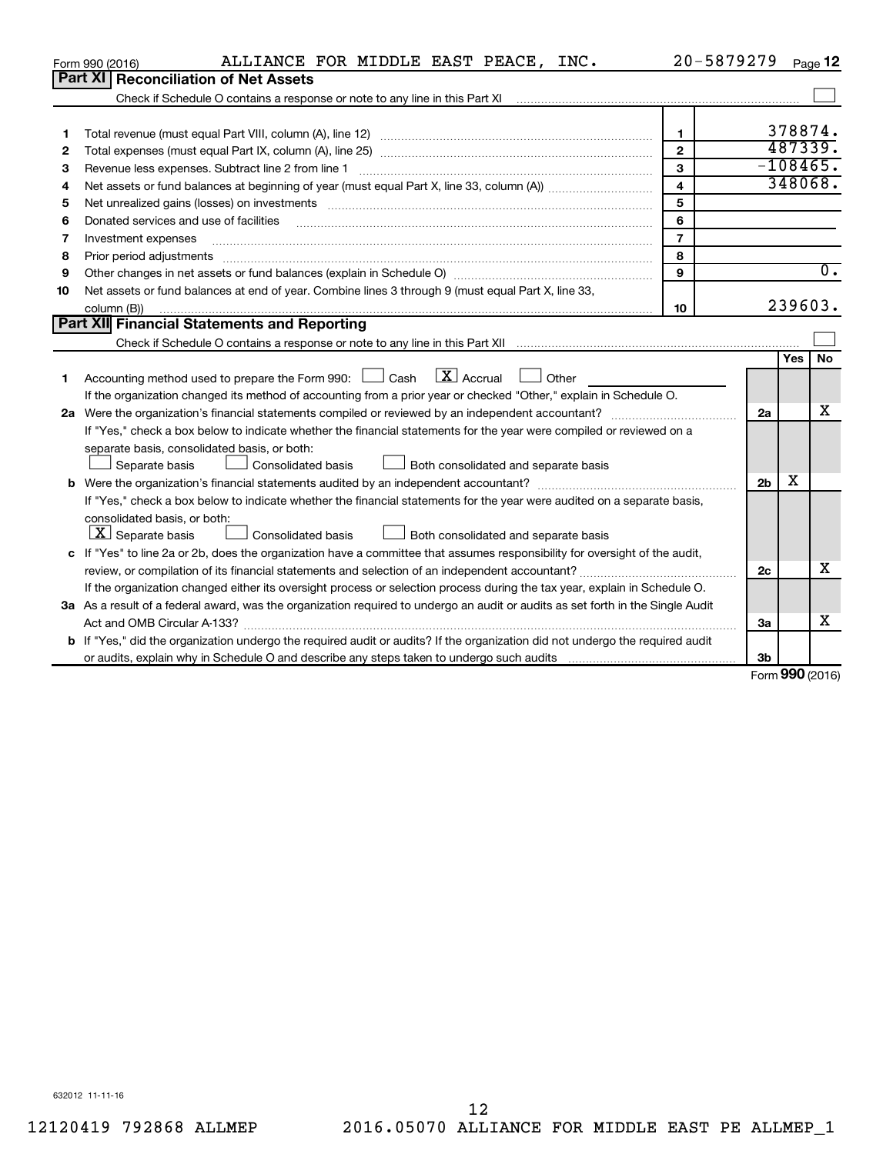|    | ALLIANCE FOR MIDDLE EAST PEACE, INC.<br>Form 990 (2016)                                                                                                                                                                        |                         | 20-5879279     |               | Page 12          |
|----|--------------------------------------------------------------------------------------------------------------------------------------------------------------------------------------------------------------------------------|-------------------------|----------------|---------------|------------------|
|    | Part XI<br><b>Reconciliation of Net Assets</b>                                                                                                                                                                                 |                         |                |               |                  |
|    |                                                                                                                                                                                                                                |                         |                |               |                  |
|    |                                                                                                                                                                                                                                |                         |                |               |                  |
| 1  |                                                                                                                                                                                                                                | $\mathbf{1}$            |                | 378874.       |                  |
| 2  |                                                                                                                                                                                                                                | $\overline{2}$          |                | 487339.       |                  |
| 3  | Revenue less expenses. Subtract line 2 from line 1                                                                                                                                                                             | 3                       |                |               | $-108465$ .      |
| 4  |                                                                                                                                                                                                                                | $\overline{\mathbf{4}}$ |                |               | 348068.          |
| 5  | Net unrealized gains (losses) on investments [11] matter contracts and the state of the state of the state of the state of the state of the state of the state of the state of the state of the state of the state of the stat | 5                       |                |               |                  |
| 6  | Donated services and use of facilities                                                                                                                                                                                         | 6                       |                |               |                  |
| 7  | Investment expenses                                                                                                                                                                                                            | $\overline{7}$          |                |               |                  |
| 8  | Prior period adjustments material contents and content and content and content and content and content and content and content and content and content and content and content and content and content and content and content | 8                       |                |               |                  |
| 9  |                                                                                                                                                                                                                                | 9                       |                |               | $\overline{0}$ . |
| 10 | Net assets or fund balances at end of year. Combine lines 3 through 9 (must equal Part X, line 33,                                                                                                                             |                         |                |               |                  |
|    | column (B))                                                                                                                                                                                                                    | 10                      |                | 239603.       |                  |
|    | Part XII Financial Statements and Reporting                                                                                                                                                                                    |                         |                |               |                  |
|    |                                                                                                                                                                                                                                |                         |                |               |                  |
|    |                                                                                                                                                                                                                                |                         |                | Yes           | <b>No</b>        |
| 1. | Accounting method used to prepare the Form 990: $\Box$ Cash $\Box$ Accrual $\Box$ Other                                                                                                                                        |                         |                |               |                  |
|    | If the organization changed its method of accounting from a prior year or checked "Other," explain in Schedule O.                                                                                                              |                         |                |               |                  |
|    |                                                                                                                                                                                                                                |                         | 2a             |               | x                |
|    | If "Yes," check a box below to indicate whether the financial statements for the year were compiled or reviewed on a                                                                                                           |                         |                |               |                  |
|    | separate basis, consolidated basis, or both:                                                                                                                                                                                   |                         |                |               |                  |
|    | Both consolidated and separate basis<br>Separate basis<br>Consolidated basis                                                                                                                                                   |                         |                |               |                  |
|    |                                                                                                                                                                                                                                |                         | 2 <sub>b</sub> | х             |                  |
|    | If "Yes," check a box below to indicate whether the financial statements for the year were audited on a separate basis,                                                                                                        |                         |                |               |                  |
|    | consolidated basis, or both:                                                                                                                                                                                                   |                         |                |               |                  |
|    | $ \mathbf{X} $ Separate basis<br>Consolidated basis<br>Both consolidated and separate basis                                                                                                                                    |                         |                |               |                  |
|    | c If "Yes" to line 2a or 2b, does the organization have a committee that assumes responsibility for oversight of the audit,                                                                                                    |                         |                |               |                  |
|    |                                                                                                                                                                                                                                |                         | 2c             |               | X                |
|    | If the organization changed either its oversight process or selection process during the tax year, explain in Schedule O.                                                                                                      |                         |                |               |                  |
|    | 3a As a result of a federal award, was the organization required to undergo an audit or audits as set forth in the Single Audit                                                                                                |                         |                |               |                  |
|    |                                                                                                                                                                                                                                |                         | За             |               | x                |
|    | b If "Yes," did the organization undergo the required audit or audits? If the organization did not undergo the required audit                                                                                                  |                         |                |               |                  |
|    |                                                                                                                                                                                                                                |                         | 3 <sub>b</sub> | $000 \approx$ |                  |

Form (2016) **990**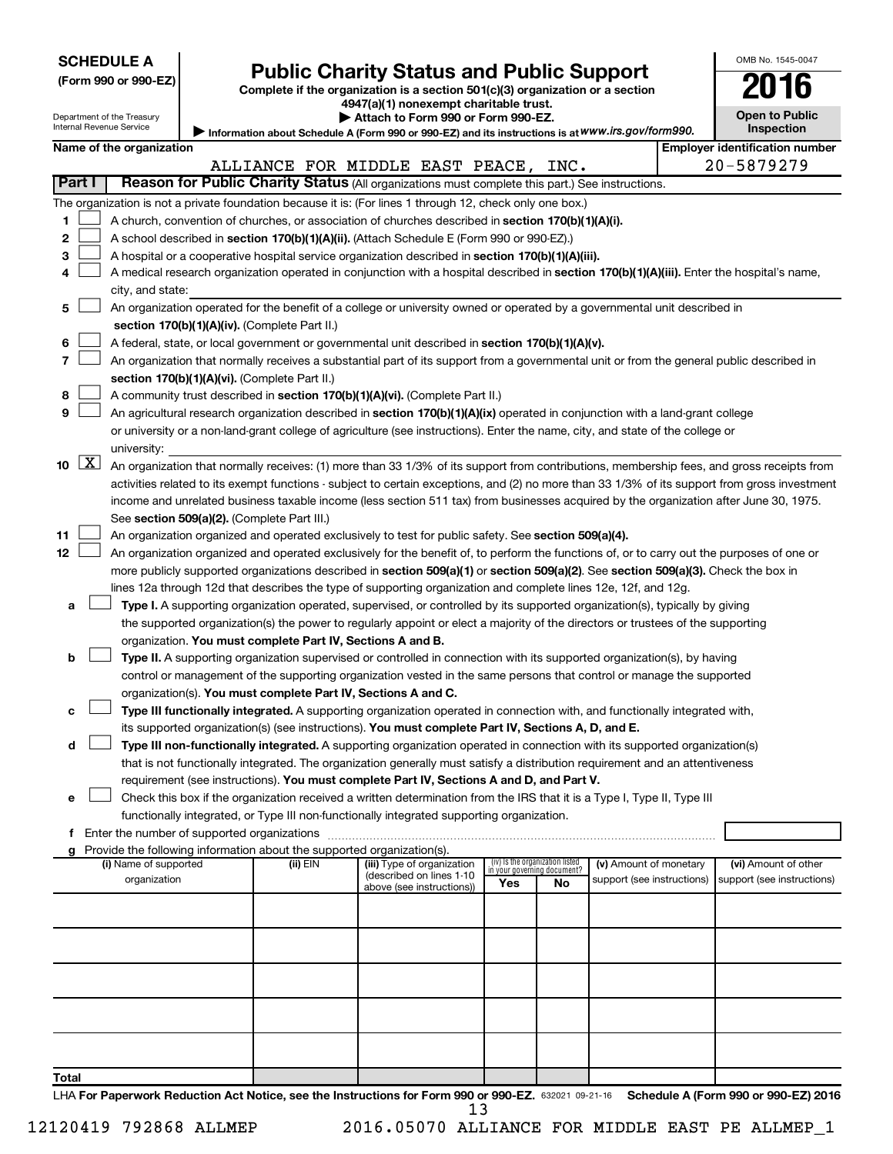| (Form 990 or 990-EZ |  |  |  |  |
|---------------------|--|--|--|--|
|---------------------|--|--|--|--|

## Form 990 or 990-EZ) **Public Charity Status and Public Support**<br>
Complete if the organization is a section 501(c)(3) organization or a section<br> **2016**

**4947(a)(1) nonexempt charitable trust. | Attach to Form 990 or Form 990-EZ.** 

| 10<br>ΖU                                   |  |
|--------------------------------------------|--|
| <b>Open to Public</b><br><b>Inspection</b> |  |

OMB No. 1545-0047

| Department of the Treasury      |  |
|---------------------------------|--|
| <b>Internal Revenue Service</b> |  |

| Internal Revenue Service | Information about Schedule A (Form 990 or 990-EZ) and its instructions is at WWW.irs.gov/form990. | Inspection                     |
|--------------------------|---------------------------------------------------------------------------------------------------|--------------------------------|
| Name of the organization |                                                                                                   | Emplover identification number |
|                          | TNC.<br>ALLIANCE FOR MIDDLE EAST<br>PEACE.                                                        | $20 - 5879279$                 |

|               |                     |                                                                                                                                                                                                                                                                                        |  |          |                           |                                                        | ALLIANCE FOR MIDDLE EAST PEACE, INC. |                                                                |                            |  | 20-5879279                 |  |  |  |  |  |
|---------------|---------------------|----------------------------------------------------------------------------------------------------------------------------------------------------------------------------------------------------------------------------------------------------------------------------------------|--|----------|---------------------------|--------------------------------------------------------|--------------------------------------|----------------------------------------------------------------|----------------------------|--|----------------------------|--|--|--|--|--|
| <b>Part I</b> |                     | Reason for Public Charity Status (All organizations must complete this part.) See instructions.                                                                                                                                                                                        |  |          |                           |                                                        |                                      |                                                                |                            |  |                            |  |  |  |  |  |
|               |                     | The organization is not a private foundation because it is: (For lines 1 through 12, check only one box.)                                                                                                                                                                              |  |          |                           |                                                        |                                      |                                                                |                            |  |                            |  |  |  |  |  |
| 1             |                     | A church, convention of churches, or association of churches described in section 170(b)(1)(A)(i).                                                                                                                                                                                     |  |          |                           |                                                        |                                      |                                                                |                            |  |                            |  |  |  |  |  |
| 2             |                     | A school described in <b>section 170(b)(1)(A)(ii).</b> (Attach Schedule E (Form 990 or 990-EZ).)                                                                                                                                                                                       |  |          |                           |                                                        |                                      |                                                                |                            |  |                            |  |  |  |  |  |
| з             |                     | A hospital or a cooperative hospital service organization described in section 170(b)(1)(A)(iii).                                                                                                                                                                                      |  |          |                           |                                                        |                                      |                                                                |                            |  |                            |  |  |  |  |  |
| 4             |                     | A medical research organization operated in conjunction with a hospital described in section 170(b)(1)(A)(iii). Enter the hospital's name,                                                                                                                                             |  |          |                           |                                                        |                                      |                                                                |                            |  |                            |  |  |  |  |  |
|               |                     | city, and state:                                                                                                                                                                                                                                                                       |  |          |                           |                                                        |                                      |                                                                |                            |  |                            |  |  |  |  |  |
| 5             |                     | An organization operated for the benefit of a college or university owned or operated by a governmental unit described in                                                                                                                                                              |  |          |                           |                                                        |                                      |                                                                |                            |  |                            |  |  |  |  |  |
|               |                     | section 170(b)(1)(A)(iv). (Complete Part II.)                                                                                                                                                                                                                                          |  |          |                           |                                                        |                                      |                                                                |                            |  |                            |  |  |  |  |  |
| 6             |                     | A federal, state, or local government or governmental unit described in section 170(b)(1)(A)(v).                                                                                                                                                                                       |  |          |                           |                                                        |                                      |                                                                |                            |  |                            |  |  |  |  |  |
| 7             |                     | An organization that normally receives a substantial part of its support from a governmental unit or from the general public described in                                                                                                                                              |  |          |                           |                                                        |                                      |                                                                |                            |  |                            |  |  |  |  |  |
|               |                     | section 170(b)(1)(A)(vi). (Complete Part II.)                                                                                                                                                                                                                                          |  |          |                           |                                                        |                                      |                                                                |                            |  |                            |  |  |  |  |  |
| 8             |                     | A community trust described in section 170(b)(1)(A)(vi). (Complete Part II.)                                                                                                                                                                                                           |  |          |                           |                                                        |                                      |                                                                |                            |  |                            |  |  |  |  |  |
| 9             |                     | An agricultural research organization described in section 170(b)(1)(A)(ix) operated in conjunction with a land-grant college                                                                                                                                                          |  |          |                           |                                                        |                                      |                                                                |                            |  |                            |  |  |  |  |  |
|               |                     | or university or a non-land-grant college of agriculture (see instructions). Enter the name, city, and state of the college or                                                                                                                                                         |  |          |                           |                                                        |                                      |                                                                |                            |  |                            |  |  |  |  |  |
|               |                     | university:                                                                                                                                                                                                                                                                            |  |          |                           |                                                        |                                      |                                                                |                            |  |                            |  |  |  |  |  |
| 10            | $\lfloor x \rfloor$ | An organization that normally receives: (1) more than 33 1/3% of its support from contributions, membership fees, and gross receipts from                                                                                                                                              |  |          |                           |                                                        |                                      |                                                                |                            |  |                            |  |  |  |  |  |
|               |                     |                                                                                                                                                                                                                                                                                        |  |          |                           |                                                        |                                      |                                                                |                            |  |                            |  |  |  |  |  |
|               |                     | activities related to its exempt functions - subject to certain exceptions, and (2) no more than 33 1/3% of its support from gross investment<br>income and unrelated business taxable income (less section 511 tax) from businesses acquired by the organization after June 30, 1975. |  |          |                           |                                                        |                                      |                                                                |                            |  |                            |  |  |  |  |  |
|               |                     | See section 509(a)(2). (Complete Part III.)                                                                                                                                                                                                                                            |  |          |                           |                                                        |                                      |                                                                |                            |  |                            |  |  |  |  |  |
| 11            |                     | An organization organized and operated exclusively to test for public safety. See section 509(a)(4).                                                                                                                                                                                   |  |          |                           |                                                        |                                      |                                                                |                            |  |                            |  |  |  |  |  |
| 12            |                     | An organization organized and operated exclusively for the benefit of, to perform the functions of, or to carry out the purposes of one or                                                                                                                                             |  |          |                           |                                                        |                                      |                                                                |                            |  |                            |  |  |  |  |  |
|               |                     | more publicly supported organizations described in section 509(a)(1) or section 509(a)(2). See section 509(a)(3). Check the box in                                                                                                                                                     |  |          |                           |                                                        |                                      |                                                                |                            |  |                            |  |  |  |  |  |
|               |                     | lines 12a through 12d that describes the type of supporting organization and complete lines 12e, 12f, and 12g.                                                                                                                                                                         |  |          |                           |                                                        |                                      |                                                                |                            |  |                            |  |  |  |  |  |
| а             |                     | Type I. A supporting organization operated, supervised, or controlled by its supported organization(s), typically by giving                                                                                                                                                            |  |          |                           |                                                        |                                      |                                                                |                            |  |                            |  |  |  |  |  |
|               |                     | the supported organization(s) the power to regularly appoint or elect a majority of the directors or trustees of the supporting                                                                                                                                                        |  |          |                           |                                                        |                                      |                                                                |                            |  |                            |  |  |  |  |  |
|               |                     | organization. You must complete Part IV, Sections A and B.                                                                                                                                                                                                                             |  |          |                           |                                                        |                                      |                                                                |                            |  |                            |  |  |  |  |  |
| b             |                     | Type II. A supporting organization supervised or controlled in connection with its supported organization(s), by having                                                                                                                                                                |  |          |                           |                                                        |                                      |                                                                |                            |  |                            |  |  |  |  |  |
|               |                     | control or management of the supporting organization vested in the same persons that control or manage the supported                                                                                                                                                                   |  |          |                           |                                                        |                                      |                                                                |                            |  |                            |  |  |  |  |  |
|               |                     | organization(s). You must complete Part IV, Sections A and C.                                                                                                                                                                                                                          |  |          |                           |                                                        |                                      |                                                                |                            |  |                            |  |  |  |  |  |
| с             |                     | Type III functionally integrated. A supporting organization operated in connection with, and functionally integrated with,                                                                                                                                                             |  |          |                           |                                                        |                                      |                                                                |                            |  |                            |  |  |  |  |  |
|               |                     | its supported organization(s) (see instructions). You must complete Part IV, Sections A, D, and E.                                                                                                                                                                                     |  |          |                           |                                                        |                                      |                                                                |                            |  |                            |  |  |  |  |  |
| d             |                     | Type III non-functionally integrated. A supporting organization operated in connection with its supported organization(s)                                                                                                                                                              |  |          |                           |                                                        |                                      |                                                                |                            |  |                            |  |  |  |  |  |
|               |                     | that is not functionally integrated. The organization generally must satisfy a distribution requirement and an attentiveness                                                                                                                                                           |  |          |                           |                                                        |                                      |                                                                |                            |  |                            |  |  |  |  |  |
|               |                     | requirement (see instructions). You must complete Part IV, Sections A and D, and Part V.                                                                                                                                                                                               |  |          |                           |                                                        |                                      |                                                                |                            |  |                            |  |  |  |  |  |
| е             |                     | Check this box if the organization received a written determination from the IRS that it is a Type I, Type II, Type III                                                                                                                                                                |  |          |                           |                                                        |                                      |                                                                |                            |  |                            |  |  |  |  |  |
|               |                     | functionally integrated, or Type III non-functionally integrated supporting organization.                                                                                                                                                                                              |  |          |                           |                                                        |                                      |                                                                |                            |  |                            |  |  |  |  |  |
|               |                     | f Enter the number of supported organizations                                                                                                                                                                                                                                          |  |          |                           |                                                        |                                      |                                                                |                            |  |                            |  |  |  |  |  |
|               |                     | Provide the following information about the supported organization(s).                                                                                                                                                                                                                 |  |          |                           |                                                        |                                      |                                                                |                            |  |                            |  |  |  |  |  |
|               |                     | (i) Name of supported                                                                                                                                                                                                                                                                  |  | (ii) EIN |                           | (iii) Type of organization<br>(described on lines 1-10 |                                      | (iv) Is the organization listed<br>in your governing document? | (v) Amount of monetary     |  | (vi) Amount of other       |  |  |  |  |  |
|               |                     | organization                                                                                                                                                                                                                                                                           |  |          | above (see instructions)) |                                                        | Yes                                  | No                                                             | support (see instructions) |  | support (see instructions) |  |  |  |  |  |
|               |                     |                                                                                                                                                                                                                                                                                        |  |          |                           |                                                        |                                      |                                                                |                            |  |                            |  |  |  |  |  |
|               |                     |                                                                                                                                                                                                                                                                                        |  |          |                           |                                                        |                                      |                                                                |                            |  |                            |  |  |  |  |  |
|               |                     |                                                                                                                                                                                                                                                                                        |  |          |                           |                                                        |                                      |                                                                |                            |  |                            |  |  |  |  |  |
|               |                     |                                                                                                                                                                                                                                                                                        |  |          |                           |                                                        |                                      |                                                                |                            |  |                            |  |  |  |  |  |
|               |                     |                                                                                                                                                                                                                                                                                        |  |          |                           |                                                        |                                      |                                                                |                            |  |                            |  |  |  |  |  |
|               |                     |                                                                                                                                                                                                                                                                                        |  |          |                           |                                                        |                                      |                                                                |                            |  |                            |  |  |  |  |  |
|               |                     |                                                                                                                                                                                                                                                                                        |  |          |                           |                                                        |                                      |                                                                |                            |  |                            |  |  |  |  |  |
|               |                     |                                                                                                                                                                                                                                                                                        |  |          |                           |                                                        |                                      |                                                                |                            |  |                            |  |  |  |  |  |
|               |                     |                                                                                                                                                                                                                                                                                        |  |          |                           |                                                        |                                      |                                                                |                            |  |                            |  |  |  |  |  |
|               |                     |                                                                                                                                                                                                                                                                                        |  |          |                           |                                                        |                                      |                                                                |                            |  |                            |  |  |  |  |  |
| Total         |                     |                                                                                                                                                                                                                                                                                        |  |          |                           |                                                        |                                      |                                                                |                            |  |                            |  |  |  |  |  |

LHA For Paperwork Reduction Act Notice, see the Instructions for Form 990 or 990-EZ. 632021 09-21-16 Schedule A (Form 990 or 990-EZ) 2016 13

12120419 792868 ALLMEP 2016.05070 ALLIANCE FOR MIDDLE EAST PE ALLMEP\_1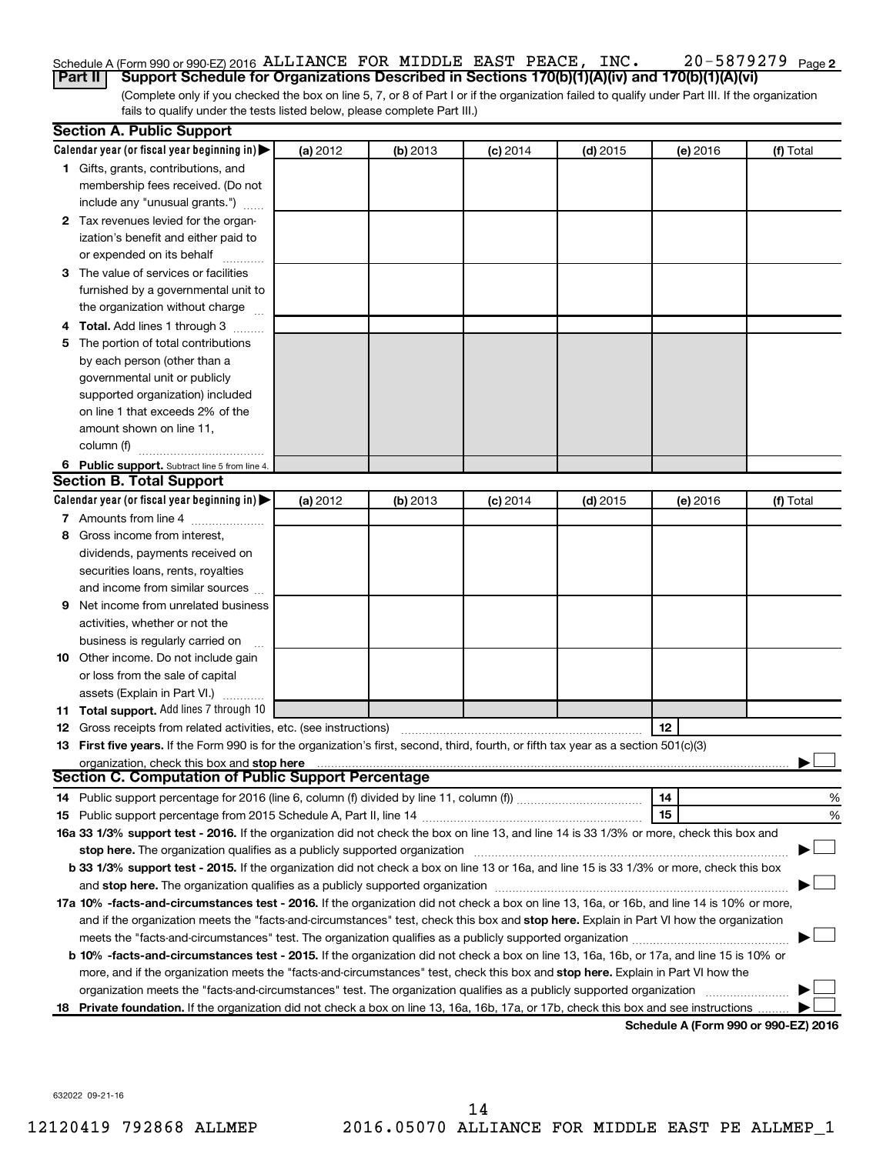### 20-5879279 Page 2 Schedule A (Form 990 or 990-EZ) 2016 ALLIANCE FOR MIDDLE EAST PEACE, INC.  $20-5879279$   $_{\rm Page}$ **Part II Support Schedule for Organizations Described in Sections 170(b)(1)(A)(iv) and 170(b)(1)(A)(vi)**

(Complete only if you checked the box on line 5, 7, or 8 of Part I or if the organization failed to qualify under Part III. If the organization fails to qualify under the tests listed below, please complete Part III.)

|   | <b>Section A. Public Support</b>                                                                                                           |          |          |            |            |          |                                      |
|---|--------------------------------------------------------------------------------------------------------------------------------------------|----------|----------|------------|------------|----------|--------------------------------------|
|   | Calendar year (or fiscal year beginning in)                                                                                                | (a) 2012 | (b) 2013 | $(c)$ 2014 | $(d)$ 2015 | (e) 2016 | (f) Total                            |
|   | 1 Gifts, grants, contributions, and                                                                                                        |          |          |            |            |          |                                      |
|   | membership fees received. (Do not                                                                                                          |          |          |            |            |          |                                      |
|   | include any "unusual grants.")                                                                                                             |          |          |            |            |          |                                      |
|   | 2 Tax revenues levied for the organ-                                                                                                       |          |          |            |            |          |                                      |
|   | ization's benefit and either paid to                                                                                                       |          |          |            |            |          |                                      |
|   | or expended on its behalf                                                                                                                  |          |          |            |            |          |                                      |
|   | 3 The value of services or facilities                                                                                                      |          |          |            |            |          |                                      |
|   | furnished by a governmental unit to                                                                                                        |          |          |            |            |          |                                      |
|   | the organization without charge                                                                                                            |          |          |            |            |          |                                      |
|   | 4 Total. Add lines 1 through 3                                                                                                             |          |          |            |            |          |                                      |
|   | 5 The portion of total contributions                                                                                                       |          |          |            |            |          |                                      |
|   | by each person (other than a                                                                                                               |          |          |            |            |          |                                      |
|   | governmental unit or publicly                                                                                                              |          |          |            |            |          |                                      |
|   | supported organization) included                                                                                                           |          |          |            |            |          |                                      |
|   | on line 1 that exceeds 2% of the                                                                                                           |          |          |            |            |          |                                      |
|   | amount shown on line 11,                                                                                                                   |          |          |            |            |          |                                      |
|   | column (f)                                                                                                                                 |          |          |            |            |          |                                      |
|   | 6 Public support. Subtract line 5 from line 4.                                                                                             |          |          |            |            |          |                                      |
|   | <b>Section B. Total Support</b>                                                                                                            |          |          |            |            |          |                                      |
|   | Calendar year (or fiscal year beginning in)                                                                                                | (a) 2012 | (b) 2013 | (c) 2014   | $(d)$ 2015 | (e) 2016 | (f) Total                            |
|   | 7 Amounts from line 4                                                                                                                      |          |          |            |            |          |                                      |
|   | 8 Gross income from interest.                                                                                                              |          |          |            |            |          |                                      |
|   | dividends, payments received on                                                                                                            |          |          |            |            |          |                                      |
|   | securities loans, rents, royalties                                                                                                         |          |          |            |            |          |                                      |
|   | and income from similar sources                                                                                                            |          |          |            |            |          |                                      |
| 9 | Net income from unrelated business                                                                                                         |          |          |            |            |          |                                      |
|   | activities, whether or not the                                                                                                             |          |          |            |            |          |                                      |
|   | business is regularly carried on                                                                                                           |          |          |            |            |          |                                      |
|   | 10 Other income. Do not include gain                                                                                                       |          |          |            |            |          |                                      |
|   | or loss from the sale of capital                                                                                                           |          |          |            |            |          |                                      |
|   | assets (Explain in Part VI.)                                                                                                               |          |          |            |            |          |                                      |
|   | 11 Total support. Add lines 7 through 10                                                                                                   |          |          |            |            |          |                                      |
|   | <b>12</b> Gross receipts from related activities, etc. (see instructions)                                                                  |          |          |            |            | 12       |                                      |
|   | 13 First five years. If the Form 990 is for the organization's first, second, third, fourth, or fifth tax year as a section 501(c)(3)      |          |          |            |            |          |                                      |
|   | organization, check this box and stop here                                                                                                 |          |          |            |            |          |                                      |
|   | Section C. Computation of Public Support Percentage                                                                                        |          |          |            |            |          |                                      |
|   |                                                                                                                                            |          |          |            |            | 14       | %                                    |
|   |                                                                                                                                            |          |          |            |            | 15       | %                                    |
|   | 16a 33 1/3% support test - 2016. If the organization did not check the box on line 13, and line 14 is 33 1/3% or more, check this box and  |          |          |            |            |          |                                      |
|   | stop here. The organization qualifies as a publicly supported organization matchinary material content and the                             |          |          |            |            |          |                                      |
|   | b 33 1/3% support test - 2015. If the organization did not check a box on line 13 or 16a, and line 15 is 33 1/3% or more, check this box   |          |          |            |            |          |                                      |
|   |                                                                                                                                            |          |          |            |            |          |                                      |
|   | 17a 10% -facts-and-circumstances test - 2016. If the organization did not check a box on line 13, 16a, or 16b, and line 14 is 10% or more, |          |          |            |            |          |                                      |
|   | and if the organization meets the "facts-and-circumstances" test, check this box and stop here. Explain in Part VI how the organization    |          |          |            |            |          |                                      |
|   | meets the "facts-and-circumstances" test. The organization qualifies as a publicly supported organization <i>manumumumumum</i>             |          |          |            |            |          |                                      |
|   | b 10% -facts-and-circumstances test - 2015. If the organization did not check a box on line 13, 16a, 16b, or 17a, and line 15 is 10% or    |          |          |            |            |          |                                      |
|   | more, and if the organization meets the "facts-and-circumstances" test, check this box and stop here. Explain in Part VI how the           |          |          |            |            |          |                                      |
|   | organization meets the "facts-and-circumstances" test. The organization qualifies as a publicly supported organization                     |          |          |            |            |          |                                      |
|   | 18 Private foundation. If the organization did not check a box on line 13, 16a, 16b, 17a, or 17b, check this box and see instructions      |          |          |            |            |          | Cahadula A (Faum 000 av 000 EZ) 0046 |

**Schedule A (Form 990 or 990-EZ) 2016**

632022 09-21-16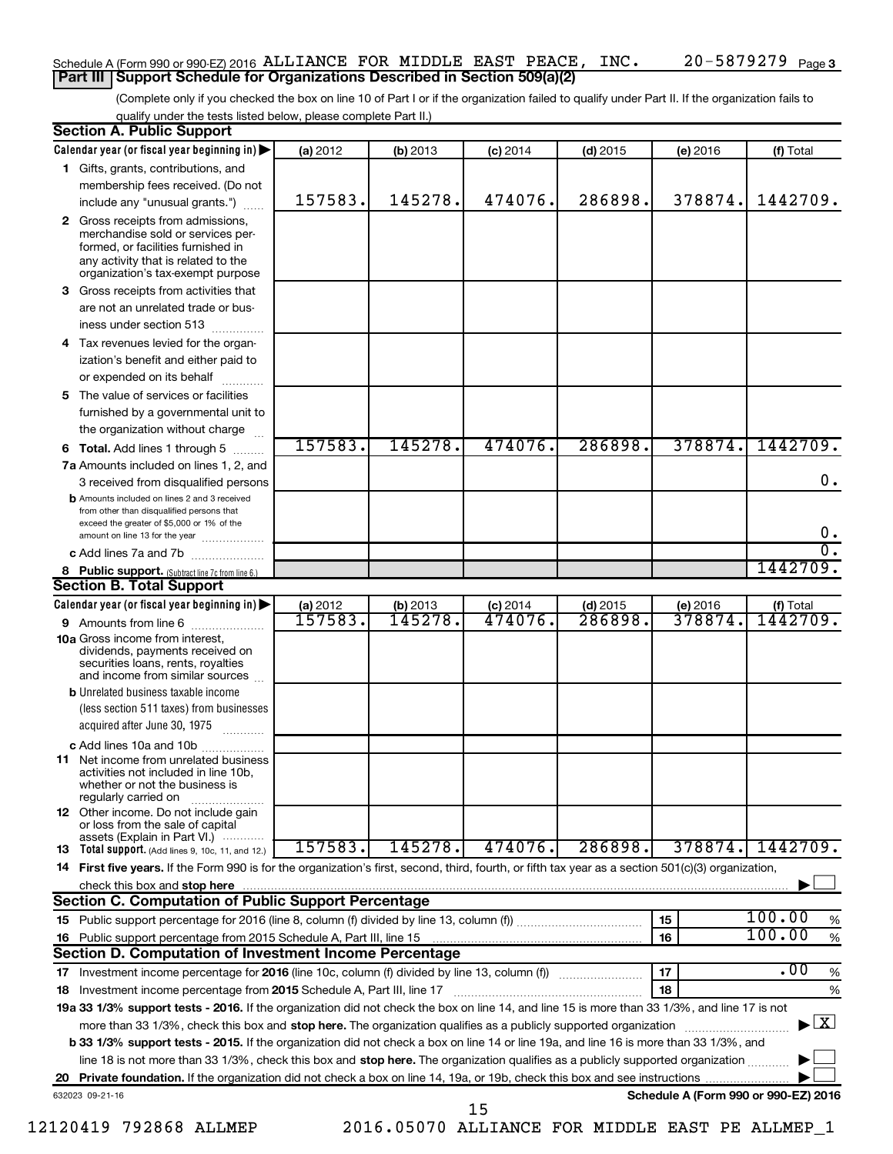### Schedule A (Form 990 or 990-EZ) 2016 ALLIANCE FOR MIDDLE EAST PEACE, INC.  $20-5879279$   $_{\rm Page}$ **Part III Support Schedule for Organizations Described in Section 509(a)(2)**

(Complete only if you checked the box on line 10 of Part I or if the organization failed to qualify under Part II. If the organization fails to qualify under the tests listed below, please complete Part II.)

| <b>Section A. Public Support</b>                                                                                                                                                         |          |          |            |            |          |                                          |
|------------------------------------------------------------------------------------------------------------------------------------------------------------------------------------------|----------|----------|------------|------------|----------|------------------------------------------|
| Calendar year (or fiscal year beginning in)                                                                                                                                              | (a) 2012 | (b) 2013 | $(c)$ 2014 | $(d)$ 2015 | (e) 2016 | (f) Total                                |
| 1 Gifts, grants, contributions, and                                                                                                                                                      |          |          |            |            |          |                                          |
| membership fees received. (Do not                                                                                                                                                        |          |          |            |            |          |                                          |
| include any "unusual grants.")                                                                                                                                                           | 157583.  | 145278.  | 474076.    | 286898.    | 378874.  | 1442709.                                 |
| 2 Gross receipts from admissions,<br>merchandise sold or services per-<br>formed, or facilities furnished in<br>any activity that is related to the<br>organization's tax-exempt purpose |          |          |            |            |          |                                          |
| 3 Gross receipts from activities that                                                                                                                                                    |          |          |            |            |          |                                          |
| are not an unrelated trade or bus-                                                                                                                                                       |          |          |            |            |          |                                          |
| iness under section 513                                                                                                                                                                  |          |          |            |            |          |                                          |
| 4 Tax revenues levied for the organ-                                                                                                                                                     |          |          |            |            |          |                                          |
| ization's benefit and either paid to                                                                                                                                                     |          |          |            |            |          |                                          |
| or expended on its behalf<br>$\overline{\phantom{a}}$                                                                                                                                    |          |          |            |            |          |                                          |
| 5 The value of services or facilities                                                                                                                                                    |          |          |            |            |          |                                          |
| furnished by a governmental unit to                                                                                                                                                      |          |          |            |            |          |                                          |
| the organization without charge                                                                                                                                                          |          |          |            |            |          |                                          |
| 6 Total. Add lines 1 through 5                                                                                                                                                           | 157583.  | 145278.  | 474076.    | 286898.    | 378874.  | 1442709.                                 |
| 7a Amounts included on lines 1, 2, and                                                                                                                                                   |          |          |            |            |          |                                          |
| 3 received from disqualified persons                                                                                                                                                     |          |          |            |            |          | 0.                                       |
| <b>b</b> Amounts included on lines 2 and 3 received<br>from other than disqualified persons that<br>exceed the greater of \$5,000 or 1% of the<br>amount on line 13 for the year         |          |          |            |            |          | $\mathbf 0$ .                            |
| c Add lines 7a and 7b                                                                                                                                                                    |          |          |            |            |          | σ.                                       |
| 8 Public support. (Subtract line 7c from line 6.)                                                                                                                                        |          |          |            |            |          | 1442709.                                 |
| <b>Section B. Total Support</b>                                                                                                                                                          |          |          |            |            |          |                                          |
| Calendar year (or fiscal year beginning in)                                                                                                                                              | (a) 2012 | (b) 2013 | $(c)$ 2014 | $(d)$ 2015 | (e) 2016 | (f) Total                                |
|                                                                                                                                                                                          | 157583.  | 145278.  | 474076.    | 286898.    | 378874.  | 1442709.                                 |
| <b>10a</b> Gross income from interest,<br>dividends, payments received on<br>securities loans, rents, royalties<br>and income from similar sources                                       |          |          |            |            |          |                                          |
| <b>b</b> Unrelated business taxable income<br>(less section 511 taxes) from businesses                                                                                                   |          |          |            |            |          |                                          |
| acquired after June 30, 1975                                                                                                                                                             |          |          |            |            |          |                                          |
| c Add lines 10a and 10b                                                                                                                                                                  |          |          |            |            |          |                                          |
| <b>11</b> Net income from unrelated business<br>activities not included in line 10b.<br>whether or not the business is<br>regularly carried on                                           |          |          |            |            |          |                                          |
| <b>12</b> Other income. Do not include gain<br>or loss from the sale of capital                                                                                                          |          |          |            |            |          |                                          |
| assets (Explain in Part VI.)<br><b>13</b> Total support. (Add lines 9, 10c, 11, and 12.)                                                                                                 | 157583.  | 145278.  | 474076.    | 286898.    | 378874.  | 1442709.                                 |
| 14 First five years. If the Form 990 is for the organization's first, second, third, fourth, or fifth tax year as a section 501(c)(3) organization,                                      |          |          |            |            |          |                                          |
| check this box and stop here                                                                                                                                                             |          |          |            |            |          |                                          |
| <b>Section C. Computation of Public Support Percentage</b>                                                                                                                               |          |          |            |            |          |                                          |
|                                                                                                                                                                                          |          |          |            |            | 15       | 100.00<br>%                              |
| 16 Public support percentage from 2015 Schedule A, Part III, line 15                                                                                                                     |          |          |            |            | 16       | 100.00<br>$\%$                           |
| Section D. Computation of Investment Income Percentage                                                                                                                                   |          |          |            |            |          |                                          |
| 17 Investment income percentage for 2016 (line 10c, column (f) divided by line 13, column (f))                                                                                           |          |          |            |            | 17       | .00<br>$\%$                              |
| 18 Investment income percentage from 2015 Schedule A, Part III, line 17                                                                                                                  |          |          |            |            | 18       | $\%$                                     |
| 19a 33 1/3% support tests - 2016. If the organization did not check the box on line 14, and line 15 is more than 33 1/3%, and line 17 is not                                             |          |          |            |            |          |                                          |
| more than 33 1/3%, check this box and stop here. The organization qualifies as a publicly supported organization                                                                         |          |          |            |            |          | $\blacktriangleright$ $\boxed{\text{X}}$ |
| b 33 1/3% support tests - 2015. If the organization did not check a box on line 14 or line 19a, and line 16 is more than 33 1/3%, and                                                    |          |          |            |            |          |                                          |
| line 18 is not more than 33 1/3%, check this box and stop here. The organization qualifies as a publicly supported organization                                                          |          |          |            |            |          |                                          |
|                                                                                                                                                                                          |          |          |            |            |          |                                          |
| 632023 09-21-16                                                                                                                                                                          |          |          | 15         |            |          | Schedule A (Form 990 or 990-EZ) 2016     |
|                                                                                                                                                                                          |          |          |            |            |          |                                          |

12120419 792868 ALLMEP 2016.05070 ALLIANCE FOR MIDDLE EAST PE ALLMEP\_1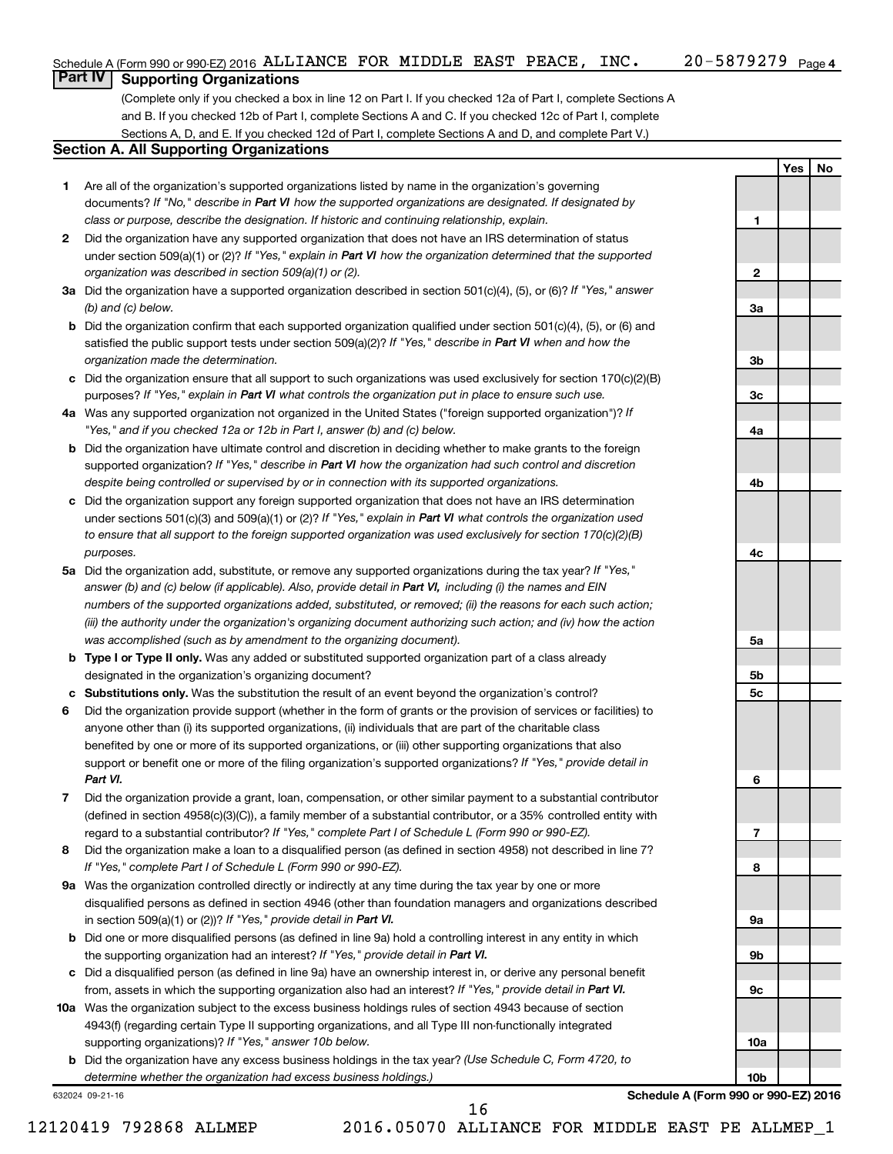**1**

**2**

**3a**

**3b**

**3c**

**4a**

**4b**

**4c**

**5a**

**5b 5c**

**6**

**7**

**8**

**9a**

**9b**

**9c**

**10a**

**10b**

**Yes No**

### **Part IV Supporting Organizations**

(Complete only if you checked a box in line 12 on Part I. If you checked 12a of Part I, complete Sections A and B. If you checked 12b of Part I, complete Sections A and C. If you checked 12c of Part I, complete Sections A, D, and E. If you checked 12d of Part I, complete Sections A and D, and complete Part V.)

### **Section A. All Supporting Organizations**

- **1** Are all of the organization's supported organizations listed by name in the organization's governing documents? If "No," describe in Part VI how the supported organizations are designated. If designated by *class or purpose, describe the designation. If historic and continuing relationship, explain.*
- **2** Did the organization have any supported organization that does not have an IRS determination of status under section 509(a)(1) or (2)? If "Yes," explain in Part VI how the organization determined that the supported *organization was described in section 509(a)(1) or (2).*
- **3a** Did the organization have a supported organization described in section 501(c)(4), (5), or (6)? If "Yes," answer *(b) and (c) below.*
- **b** Did the organization confirm that each supported organization qualified under section 501(c)(4), (5), or (6) and satisfied the public support tests under section 509(a)(2)? If "Yes," describe in Part VI when and how the *organization made the determination.*
- **c** Did the organization ensure that all support to such organizations was used exclusively for section 170(c)(2)(B) purposes? If "Yes," explain in Part VI what controls the organization put in place to ensure such use.
- **4 a** *If* Was any supported organization not organized in the United States ("foreign supported organization")? *"Yes," and if you checked 12a or 12b in Part I, answer (b) and (c) below.*
- **b** Did the organization have ultimate control and discretion in deciding whether to make grants to the foreign supported organization? If "Yes," describe in Part VI how the organization had such control and discretion *despite being controlled or supervised by or in connection with its supported organizations.*
- **c** Did the organization support any foreign supported organization that does not have an IRS determination under sections 501(c)(3) and 509(a)(1) or (2)? If "Yes," explain in Part VI what controls the organization used *to ensure that all support to the foreign supported organization was used exclusively for section 170(c)(2)(B) purposes.*
- **5a** Did the organization add, substitute, or remove any supported organizations during the tax year? If "Yes," answer (b) and (c) below (if applicable). Also, provide detail in Part VI, including (i) the names and EIN *numbers of the supported organizations added, substituted, or removed; (ii) the reasons for each such action; (iii) the authority under the organization's organizing document authorizing such action; and (iv) how the action was accomplished (such as by amendment to the organizing document).*
- **b** Type I or Type II only. Was any added or substituted supported organization part of a class already designated in the organization's organizing document?
- **c Substitutions only.**  Was the substitution the result of an event beyond the organization's control?
- **6** Did the organization provide support (whether in the form of grants or the provision of services or facilities) to support or benefit one or more of the filing organization's supported organizations? If "Yes," provide detail in anyone other than (i) its supported organizations, (ii) individuals that are part of the charitable class benefited by one or more of its supported organizations, or (iii) other supporting organizations that also *Part VI.*
- **7** Did the organization provide a grant, loan, compensation, or other similar payment to a substantial contributor regard to a substantial contributor? If "Yes," complete Part I of Schedule L (Form 990 or 990-EZ). (defined in section 4958(c)(3)(C)), a family member of a substantial contributor, or a 35% controlled entity with
- **8** Did the organization make a loan to a disqualified person (as defined in section 4958) not described in line 7? *If "Yes," complete Part I of Schedule L (Form 990 or 990-EZ).*
- **9 a** Was the organization controlled directly or indirectly at any time during the tax year by one or more in section 509(a)(1) or (2))? If "Yes," provide detail in Part VI. disqualified persons as defined in section 4946 (other than foundation managers and organizations described
- **b** Did one or more disqualified persons (as defined in line 9a) hold a controlling interest in any entity in which the supporting organization had an interest? If "Yes," provide detail in Part VI.
- **c** Did a disqualified person (as defined in line 9a) have an ownership interest in, or derive any personal benefit from, assets in which the supporting organization also had an interest? If "Yes," provide detail in Part VI.
- **10 a** Was the organization subject to the excess business holdings rules of section 4943 because of section supporting organizations)? If "Yes," answer 10b below. 4943(f) (regarding certain Type II supporting organizations, and all Type III non-functionally integrated
	- **b** Did the organization have any excess business holdings in the tax year? (Use Schedule C, Form 4720, to *determine whether the organization had excess business holdings.)*

632024 09-21-16

**Schedule A (Form 990 or 990-EZ) 2016**

12120419 792868 ALLMEP 2016.05070 ALLIANCE FOR MIDDLE EAST PE ALLMEP\_1

16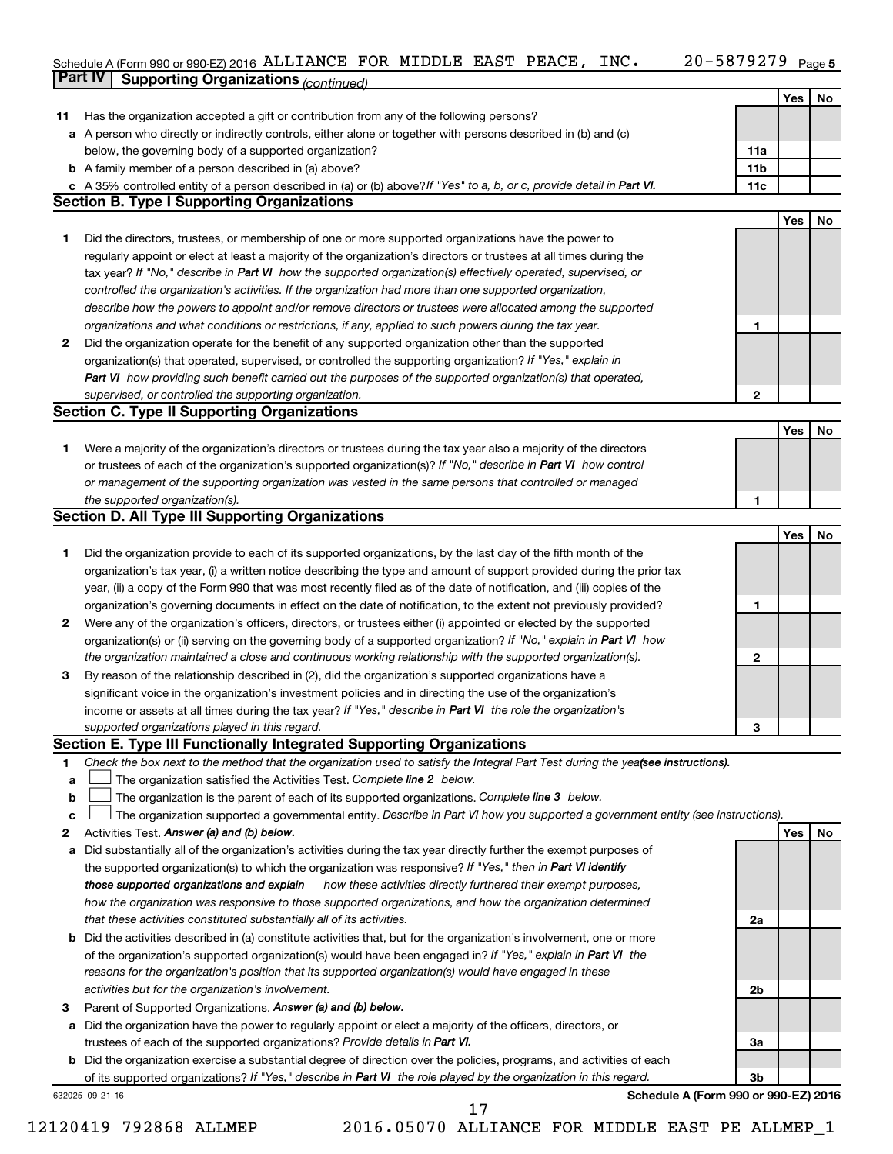#### 20-5879279 Page 5 Schedule A (Form 990 or 990-EZ) 2016 ALLIANCE FOR MIDDLE EAST PEACE, INC.  $20-5879279$  Page **Part IV Supporting Organizations** *(continued)* ALLIANCE FOR MIDDLE EAST PEACE, INC. 20-5879279

|                | <i>s</i> upporting Urganizations <sub>(CONtinued)</sub>                                                                         |                 |                 |    |
|----------------|---------------------------------------------------------------------------------------------------------------------------------|-----------------|-----------------|----|
|                |                                                                                                                                 |                 | Yes             | No |
| 11             | Has the organization accepted a gift or contribution from any of the following persons?                                         |                 |                 |    |
|                | a A person who directly or indirectly controls, either alone or together with persons described in (b) and (c)                  |                 |                 |    |
|                | below, the governing body of a supported organization?                                                                          | 11a             |                 |    |
|                | <b>b</b> A family member of a person described in (a) above?                                                                    | 11 <sub>b</sub> |                 |    |
|                | c A 35% controlled entity of a person described in (a) or (b) above? If "Yes" to a, b, or c, provide detail in Part VI.         | 11c             |                 |    |
|                | <b>Section B. Type I Supporting Organizations</b>                                                                               |                 |                 |    |
|                |                                                                                                                                 |                 | Yes             | No |
| 1.             | Did the directors, trustees, or membership of one or more supported organizations have the power to                             |                 |                 |    |
|                | regularly appoint or elect at least a majority of the organization's directors or trustees at all times during the              |                 |                 |    |
|                | tax year? If "No," describe in Part VI how the supported organization(s) effectively operated, supervised, or                   |                 |                 |    |
|                | controlled the organization's activities. If the organization had more than one supported organization,                         |                 |                 |    |
|                | describe how the powers to appoint and/or remove directors or trustees were allocated among the supported                       |                 |                 |    |
|                | organizations and what conditions or restrictions, if any, applied to such powers during the tax year.                          | 1               |                 |    |
| $\mathbf{2}^-$ | Did the organization operate for the benefit of any supported organization other than the supported                             |                 |                 |    |
|                | organization(s) that operated, supervised, or controlled the supporting organization? If "Yes," explain in                      |                 |                 |    |
|                | Part VI how providing such benefit carried out the purposes of the supported organization(s) that operated,                     |                 |                 |    |
|                | supervised, or controlled the supporting organization.                                                                          | 2               |                 |    |
|                | <b>Section C. Type II Supporting Organizations</b>                                                                              |                 |                 |    |
|                |                                                                                                                                 |                 | Yes             | No |
| 1.             | Were a majority of the organization's directors or trustees during the tax year also a majority of the directors                |                 |                 |    |
|                | or trustees of each of the organization's supported organization(s)? If "No," describe in Part VI how control                   |                 |                 |    |
|                | or management of the supporting organization was vested in the same persons that controlled or managed                          |                 |                 |    |
|                | the supported organization(s).                                                                                                  | 1               |                 |    |
|                | <b>Section D. All Type III Supporting Organizations</b>                                                                         |                 |                 |    |
|                |                                                                                                                                 |                 | Yes             | No |
| 1.             | Did the organization provide to each of its supported organizations, by the last day of the fifth month of the                  |                 |                 |    |
|                | organization's tax year, (i) a written notice describing the type and amount of support provided during the prior tax           |                 |                 |    |
|                | year, (ii) a copy of the Form 990 that was most recently filed as of the date of notification, and (iii) copies of the          |                 |                 |    |
|                | organization's governing documents in effect on the date of notification, to the extent not previously provided?                | 1               |                 |    |
|                | 2 Were any of the organization's officers, directors, or trustees either (i) appointed or elected by the supported              |                 |                 |    |
|                | organization(s) or (ii) serving on the governing body of a supported organization? If "No," explain in Part VI how              |                 |                 |    |
|                | the organization maintained a close and continuous working relationship with the supported organization(s).                     | 2               |                 |    |
| 3              | By reason of the relationship described in (2), did the organization's supported organizations have a                           |                 |                 |    |
|                |                                                                                                                                 |                 |                 |    |
|                | significant voice in the organization's investment policies and in directing the use of the organization's                      |                 |                 |    |
|                | income or assets at all times during the tax year? If "Yes," describe in Part VI the role the organization's                    |                 |                 |    |
|                | supported organizations played in this regard.<br>Section E. Type III Functionally Integrated Supporting Organizations          | З               |                 |    |
| 1              | Check the box next to the method that the organization used to satisfy the Integral Part Test during the yea(see instructions). |                 |                 |    |
|                |                                                                                                                                 |                 |                 |    |
| a              | The organization satisfied the Activities Test. Complete line 2 below.                                                          |                 |                 |    |
| b              | The organization is the parent of each of its supported organizations. Complete line 3 below.                                   |                 |                 |    |
| с              | The organization supported a governmental entity. Describe in Part VI how you supported a government entity (see instructions). |                 |                 |    |
| 2              | Activities Test. Answer (a) and (b) below.                                                                                      |                 | Yes <sup></sup> | No |
| а              | Did substantially all of the organization's activities during the tax year directly further the exempt purposes of              |                 |                 |    |
|                | the supported organization(s) to which the organization was responsive? If "Yes," then in Part VI identify                      |                 |                 |    |
|                | those supported organizations and explain how these activities directly furthered their exempt purposes,                        |                 |                 |    |
|                | how the organization was responsive to those supported organizations, and how the organization determined                       |                 |                 |    |
|                | that these activities constituted substantially all of its activities.                                                          | 2a              |                 |    |
| b              | Did the activities described in (a) constitute activities that, but for the organization's involvement, one or more             |                 |                 |    |
|                | of the organization's supported organization(s) would have been engaged in? If "Yes," explain in Part VI the                    |                 |                 |    |
|                | reasons for the organization's position that its supported organization(s) would have engaged in these                          |                 |                 |    |
|                | activities but for the organization's involvement.                                                                              | 2b              |                 |    |
| З              | Parent of Supported Organizations. Answer (a) and (b) below.                                                                    |                 |                 |    |
| а              | Did the organization have the power to regularly appoint or elect a majority of the officers, directors, or                     |                 |                 |    |
|                | trustees of each of the supported organizations? Provide details in Part VI.                                                    | За              |                 |    |
|                | <b>b</b> Did the organization exercise a substantial degree of direction over the policies, programs, and activities of each    |                 |                 |    |
|                | of its supported organizations? If "Yes," describe in Part VI the role played by the organization in this regard.               | 3b              |                 |    |
|                | Schedule A (Form 990 or 990-EZ) 2016<br>632025 09-21-16                                                                         |                 |                 |    |
|                | 17                                                                                                                              |                 |                 |    |

<sup>12120419 792868</sup> ALLMEP 2016.05070 ALLIANCE FOR MIDDLE EAST PE ALLMEP\_1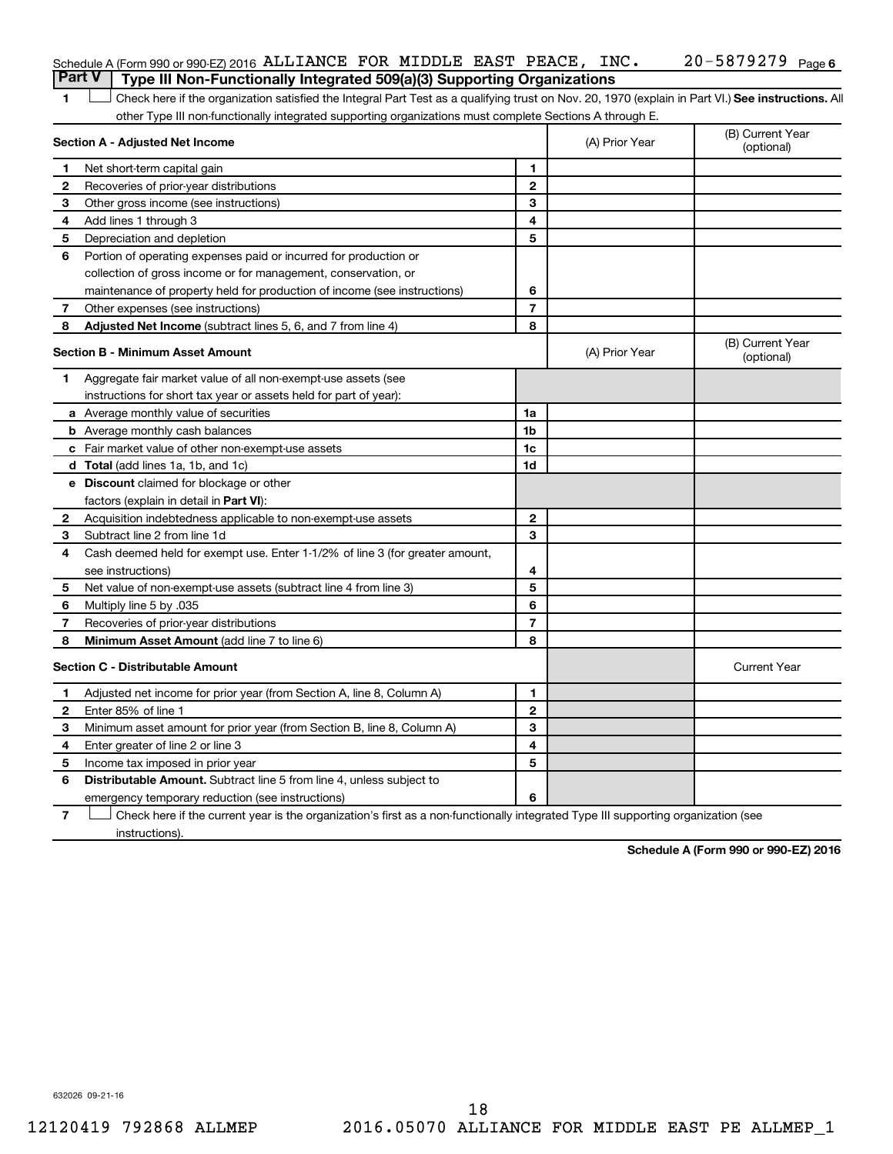| Schedule A (Form 990 or 990-EZ) 2016 ALLIANCE FOR MIDDLE EAST PEACE, INC. |  |                                                  |  | 20-5879279 <sub>Page 6</sub> |
|---------------------------------------------------------------------------|--|--------------------------------------------------|--|------------------------------|
| $\Box$                                                                    |  | $\sim$ $\sim$ $\sim$ $\sim$ $\sim$ $\sim$ $\sim$ |  |                              |

**Part V Type III Non-Functionally Integrated 509(a)(3) Supporting Organizations** 

1 **Letter See instructions.** All Check here if the organization satisfied the Integral Part Test as a qualifying trust on Nov. 20, 1970 (explain in Part VI.) See instructions. All other Type III non-functionally integrated supporting organizations must complete Sections A through E.

|                | Section A - Adjusted Net Income                                              |                | (A) Prior Year | (B) Current Year<br>(optional) |
|----------------|------------------------------------------------------------------------------|----------------|----------------|--------------------------------|
| 1.             | Net short-term capital gain                                                  | 1              |                |                                |
| $\mathbf{2}$   | Recoveries of prior-year distributions                                       | $\mathbf{2}$   |                |                                |
| 3              | Other gross income (see instructions)                                        | 3              |                |                                |
| 4              | Add lines 1 through 3                                                        | 4              |                |                                |
| 5              | Depreciation and depletion                                                   | 5              |                |                                |
| 6              | Portion of operating expenses paid or incurred for production or             |                |                |                                |
|                | collection of gross income or for management, conservation, or               |                |                |                                |
|                | maintenance of property held for production of income (see instructions)     | 6              |                |                                |
| 7              | Other expenses (see instructions)                                            | $\overline{7}$ |                |                                |
| 8              | Adjusted Net Income (subtract lines 5, 6, and 7 from line 4)                 | 8              |                |                                |
|                | <b>Section B - Minimum Asset Amount</b>                                      |                | (A) Prior Year | (B) Current Year<br>(optional) |
| 1              | Aggregate fair market value of all non-exempt-use assets (see                |                |                |                                |
|                | instructions for short tax year or assets held for part of year):            |                |                |                                |
|                | a Average monthly value of securities                                        | 1a             |                |                                |
|                | <b>b</b> Average monthly cash balances                                       | 1b             |                |                                |
|                | c Fair market value of other non-exempt-use assets                           | 1c             |                |                                |
|                | <b>d</b> Total (add lines 1a, 1b, and 1c)                                    | 1 <sub>d</sub> |                |                                |
|                | e Discount claimed for blockage or other                                     |                |                |                                |
|                | factors (explain in detail in Part VI):                                      |                |                |                                |
| 2              | Acquisition indebtedness applicable to non-exempt-use assets                 | $\overline{2}$ |                |                                |
| 3              | Subtract line 2 from line 1d                                                 | 3              |                |                                |
| 4              | Cash deemed held for exempt use. Enter 1-1/2% of line 3 (for greater amount, |                |                |                                |
|                | see instructions)                                                            | 4              |                |                                |
| 5              | Net value of non-exempt-use assets (subtract line 4 from line 3)             | 5              |                |                                |
| 6              | Multiply line 5 by .035                                                      | 6              |                |                                |
| $\overline{7}$ | Recoveries of prior-year distributions                                       | $\overline{7}$ |                |                                |
| 8              | Minimum Asset Amount (add line 7 to line 6)                                  | 8              |                |                                |
|                | <b>Section C - Distributable Amount</b>                                      |                |                | <b>Current Year</b>            |
| 1              | Adjusted net income for prior year (from Section A, line 8, Column A)        | 1              |                |                                |
| 2              | Enter 85% of line 1                                                          | $\mathbf{2}$   |                |                                |
| З              | Minimum asset amount for prior year (from Section B, line 8, Column A)       | 3              |                |                                |
| 4              | Enter greater of line 2 or line 3                                            | 4              |                |                                |
| 5              | Income tax imposed in prior year                                             | 5              |                |                                |
| 6              | <b>Distributable Amount.</b> Subtract line 5 from line 4, unless subject to  |                |                |                                |
|                | emergency temporary reduction (see instructions)                             | 6              |                |                                |
|                |                                                                              |                |                |                                |

**7** Check here if the current year is the organization's first as a non-functionally integrated Type III supporting organization (see † instructions).

**Schedule A (Form 990 or 990-EZ) 2016**

632026 09-21-16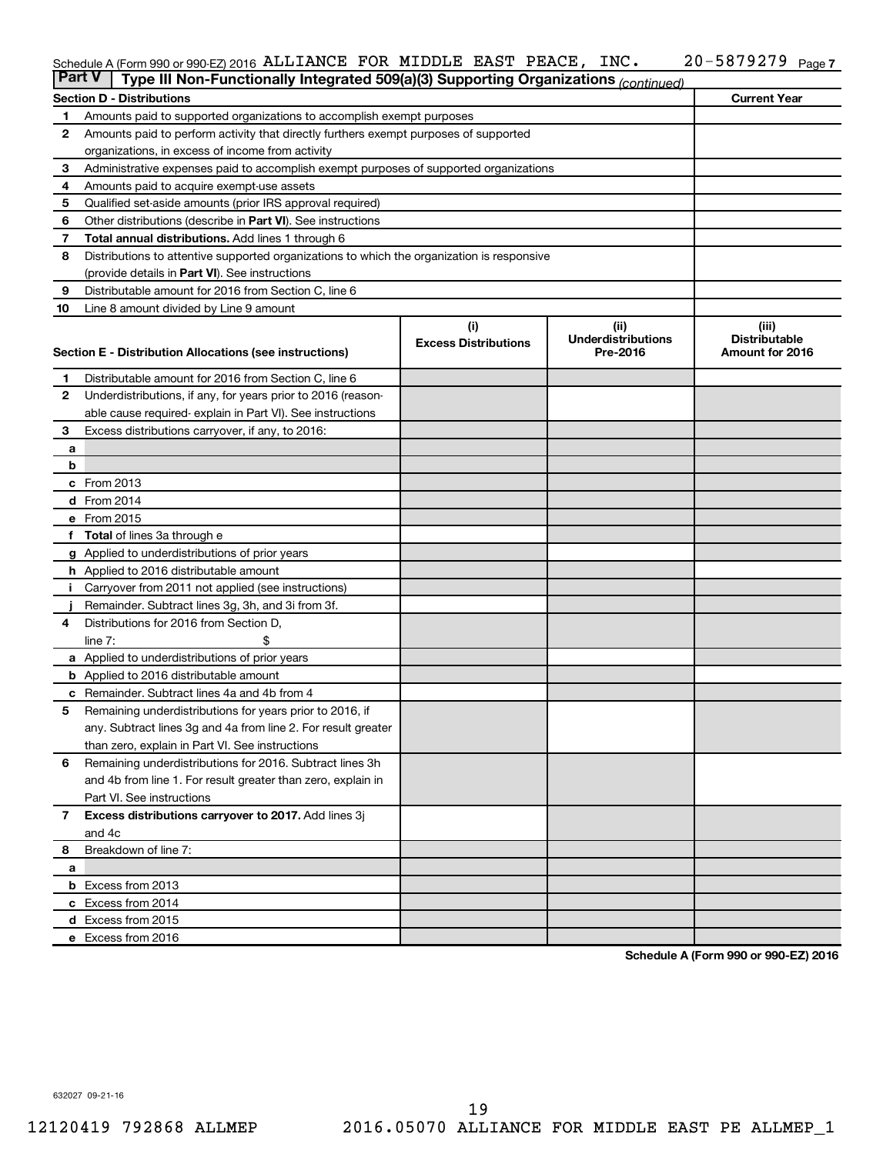#### Schedule A (Form 990 or 990-EZ) 2016 ALLIANCE FOR MIDDLE EAST PEACE, INC.  $20-5879279$  Page ALLIANCE FOR MIDDLE EAST PEACE, INC. 20-5879279

| <b>Part V</b> | Type III Non-Functionally Integrated 509(a)(3) Supporting Organizations (continued)        |                             |                           |                      |  |  |  |  |  |  |  |  |
|---------------|--------------------------------------------------------------------------------------------|-----------------------------|---------------------------|----------------------|--|--|--|--|--|--|--|--|
|               | <b>Section D - Distributions</b>                                                           |                             |                           | <b>Current Year</b>  |  |  |  |  |  |  |  |  |
| 1             | Amounts paid to supported organizations to accomplish exempt purposes                      |                             |                           |                      |  |  |  |  |  |  |  |  |
| $\mathbf{2}$  | Amounts paid to perform activity that directly furthers exempt purposes of supported       |                             |                           |                      |  |  |  |  |  |  |  |  |
|               | organizations, in excess of income from activity                                           |                             |                           |                      |  |  |  |  |  |  |  |  |
| 3             | Administrative expenses paid to accomplish exempt purposes of supported organizations      |                             |                           |                      |  |  |  |  |  |  |  |  |
| 4             | Amounts paid to acquire exempt-use assets                                                  |                             |                           |                      |  |  |  |  |  |  |  |  |
| 5             | Qualified set-aside amounts (prior IRS approval required)                                  |                             |                           |                      |  |  |  |  |  |  |  |  |
| 6             | Other distributions (describe in <b>Part VI</b> ). See instructions                        |                             |                           |                      |  |  |  |  |  |  |  |  |
| 7             | <b>Total annual distributions.</b> Add lines 1 through 6                                   |                             |                           |                      |  |  |  |  |  |  |  |  |
| 8             | Distributions to attentive supported organizations to which the organization is responsive |                             |                           |                      |  |  |  |  |  |  |  |  |
|               | (provide details in Part VI). See instructions                                             |                             |                           |                      |  |  |  |  |  |  |  |  |
| 9             | Distributable amount for 2016 from Section C, line 6                                       |                             |                           |                      |  |  |  |  |  |  |  |  |
| 10            | Line 8 amount divided by Line 9 amount                                                     |                             |                           |                      |  |  |  |  |  |  |  |  |
|               |                                                                                            | (i)                         | (ii)                      | (iii)                |  |  |  |  |  |  |  |  |
|               |                                                                                            | <b>Excess Distributions</b> | <b>Underdistributions</b> | <b>Distributable</b> |  |  |  |  |  |  |  |  |
|               | Section E - Distribution Allocations (see instructions)                                    |                             | Pre-2016                  | Amount for 2016      |  |  |  |  |  |  |  |  |
| 1             | Distributable amount for 2016 from Section C, line 6                                       |                             |                           |                      |  |  |  |  |  |  |  |  |
| $\mathbf{2}$  | Underdistributions, if any, for years prior to 2016 (reason-                               |                             |                           |                      |  |  |  |  |  |  |  |  |
|               | able cause required-explain in Part VI). See instructions                                  |                             |                           |                      |  |  |  |  |  |  |  |  |
| 3             | Excess distributions carryover, if any, to 2016:                                           |                             |                           |                      |  |  |  |  |  |  |  |  |
| а             |                                                                                            |                             |                           |                      |  |  |  |  |  |  |  |  |
| b             |                                                                                            |                             |                           |                      |  |  |  |  |  |  |  |  |
|               | c From 2013                                                                                |                             |                           |                      |  |  |  |  |  |  |  |  |
|               | <b>d</b> From 2014                                                                         |                             |                           |                      |  |  |  |  |  |  |  |  |
|               | e From 2015                                                                                |                             |                           |                      |  |  |  |  |  |  |  |  |
|               | f Total of lines 3a through e                                                              |                             |                           |                      |  |  |  |  |  |  |  |  |
|               | <b>g</b> Applied to underdistributions of prior years                                      |                             |                           |                      |  |  |  |  |  |  |  |  |
|               | <b>h</b> Applied to 2016 distributable amount                                              |                             |                           |                      |  |  |  |  |  |  |  |  |
| Ť.            | Carryover from 2011 not applied (see instructions)                                         |                             |                           |                      |  |  |  |  |  |  |  |  |
|               | Remainder. Subtract lines 3g, 3h, and 3i from 3f.                                          |                             |                           |                      |  |  |  |  |  |  |  |  |
| 4             | Distributions for 2016 from Section D,                                                     |                             |                           |                      |  |  |  |  |  |  |  |  |
|               | line $7:$                                                                                  |                             |                           |                      |  |  |  |  |  |  |  |  |
|               | a Applied to underdistributions of prior years                                             |                             |                           |                      |  |  |  |  |  |  |  |  |
|               | <b>b</b> Applied to 2016 distributable amount                                              |                             |                           |                      |  |  |  |  |  |  |  |  |
| c             | Remainder. Subtract lines 4a and 4b from 4                                                 |                             |                           |                      |  |  |  |  |  |  |  |  |
| 5             | Remaining underdistributions for years prior to 2016, if                                   |                             |                           |                      |  |  |  |  |  |  |  |  |
|               | any. Subtract lines 3g and 4a from line 2. For result greater                              |                             |                           |                      |  |  |  |  |  |  |  |  |
|               | than zero, explain in Part VI. See instructions                                            |                             |                           |                      |  |  |  |  |  |  |  |  |
| 6             | Remaining underdistributions for 2016. Subtract lines 3h                                   |                             |                           |                      |  |  |  |  |  |  |  |  |
|               | and 4b from line 1. For result greater than zero, explain in                               |                             |                           |                      |  |  |  |  |  |  |  |  |
|               | Part VI. See instructions                                                                  |                             |                           |                      |  |  |  |  |  |  |  |  |
| $\mathbf{7}$  | Excess distributions carryover to 2017. Add lines 3j                                       |                             |                           |                      |  |  |  |  |  |  |  |  |
|               | and 4c                                                                                     |                             |                           |                      |  |  |  |  |  |  |  |  |
| 8             | Breakdown of line 7:                                                                       |                             |                           |                      |  |  |  |  |  |  |  |  |
| а             |                                                                                            |                             |                           |                      |  |  |  |  |  |  |  |  |
|               | <b>b</b> Excess from 2013                                                                  |                             |                           |                      |  |  |  |  |  |  |  |  |
|               | c Excess from 2014                                                                         |                             |                           |                      |  |  |  |  |  |  |  |  |
|               | d Excess from 2015                                                                         |                             |                           |                      |  |  |  |  |  |  |  |  |
|               | e Excess from 2016                                                                         |                             |                           |                      |  |  |  |  |  |  |  |  |

**Schedule A (Form 990 or 990-EZ) 2016**

632027 09-21-16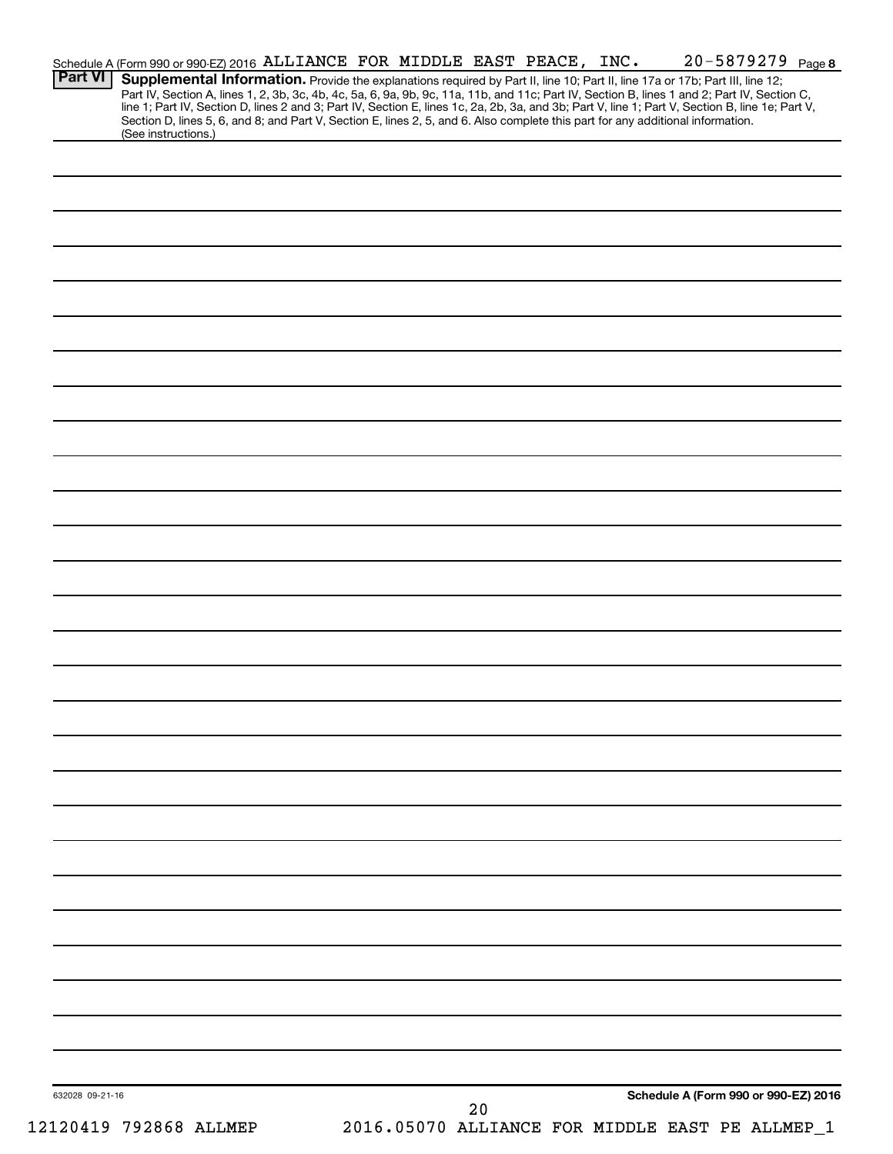| <b>Part VI</b>  | Schedule A (Form 990 or 990-EZ) 2016 ALLIANCE FOR MIDDLE EAST PEACE, INC.                                                                                                                                                                                                     |  |  |                                                 |  |  | 20-5879279 Page 8                    |  |
|-----------------|-------------------------------------------------------------------------------------------------------------------------------------------------------------------------------------------------------------------------------------------------------------------------------|--|--|-------------------------------------------------|--|--|--------------------------------------|--|
|                 | Supplemental Information. Provide the explanations required by Part II, line 10; Part II, line 17a or 17b; Part III, line 12;<br>Part IV, Section A, lines 1, 2, 3b, 3c, 4b, 4c, 5a, 6, 9a, 9b, 9c, 11a, 11b, and 11c; Part IV, Section B, lines 1 and 2; Part IV, Section C, |  |  |                                                 |  |  |                                      |  |
|                 | line 1; Part IV, Section D, lines 2 and 3; Part IV, Section E, lines 1c, 2a, 2b, 3a, and 3b; Part V, line 1; Part V, Section B, line 1e; Part V,                                                                                                                              |  |  |                                                 |  |  |                                      |  |
|                 | Section D, lines 5, 6, and 8; and Part V, Section E, lines 2, 5, and 6. Also complete this part for any additional information.                                                                                                                                               |  |  |                                                 |  |  |                                      |  |
|                 | (See instructions.)                                                                                                                                                                                                                                                           |  |  |                                                 |  |  |                                      |  |
|                 |                                                                                                                                                                                                                                                                               |  |  |                                                 |  |  |                                      |  |
|                 |                                                                                                                                                                                                                                                                               |  |  |                                                 |  |  |                                      |  |
|                 |                                                                                                                                                                                                                                                                               |  |  |                                                 |  |  |                                      |  |
|                 |                                                                                                                                                                                                                                                                               |  |  |                                                 |  |  |                                      |  |
|                 |                                                                                                                                                                                                                                                                               |  |  |                                                 |  |  |                                      |  |
|                 |                                                                                                                                                                                                                                                                               |  |  |                                                 |  |  |                                      |  |
|                 |                                                                                                                                                                                                                                                                               |  |  |                                                 |  |  |                                      |  |
|                 |                                                                                                                                                                                                                                                                               |  |  |                                                 |  |  |                                      |  |
|                 |                                                                                                                                                                                                                                                                               |  |  |                                                 |  |  |                                      |  |
|                 |                                                                                                                                                                                                                                                                               |  |  |                                                 |  |  |                                      |  |
|                 |                                                                                                                                                                                                                                                                               |  |  |                                                 |  |  |                                      |  |
|                 |                                                                                                                                                                                                                                                                               |  |  |                                                 |  |  |                                      |  |
|                 |                                                                                                                                                                                                                                                                               |  |  |                                                 |  |  |                                      |  |
|                 |                                                                                                                                                                                                                                                                               |  |  |                                                 |  |  |                                      |  |
|                 |                                                                                                                                                                                                                                                                               |  |  |                                                 |  |  |                                      |  |
|                 |                                                                                                                                                                                                                                                                               |  |  |                                                 |  |  |                                      |  |
|                 |                                                                                                                                                                                                                                                                               |  |  |                                                 |  |  |                                      |  |
|                 |                                                                                                                                                                                                                                                                               |  |  |                                                 |  |  |                                      |  |
|                 |                                                                                                                                                                                                                                                                               |  |  |                                                 |  |  |                                      |  |
|                 |                                                                                                                                                                                                                                                                               |  |  |                                                 |  |  |                                      |  |
|                 |                                                                                                                                                                                                                                                                               |  |  |                                                 |  |  |                                      |  |
|                 |                                                                                                                                                                                                                                                                               |  |  |                                                 |  |  |                                      |  |
|                 |                                                                                                                                                                                                                                                                               |  |  |                                                 |  |  |                                      |  |
|                 |                                                                                                                                                                                                                                                                               |  |  |                                                 |  |  |                                      |  |
|                 |                                                                                                                                                                                                                                                                               |  |  |                                                 |  |  |                                      |  |
|                 |                                                                                                                                                                                                                                                                               |  |  |                                                 |  |  |                                      |  |
|                 |                                                                                                                                                                                                                                                                               |  |  |                                                 |  |  |                                      |  |
|                 |                                                                                                                                                                                                                                                                               |  |  |                                                 |  |  |                                      |  |
|                 |                                                                                                                                                                                                                                                                               |  |  |                                                 |  |  |                                      |  |
|                 |                                                                                                                                                                                                                                                                               |  |  |                                                 |  |  |                                      |  |
|                 |                                                                                                                                                                                                                                                                               |  |  |                                                 |  |  |                                      |  |
|                 |                                                                                                                                                                                                                                                                               |  |  |                                                 |  |  |                                      |  |
|                 |                                                                                                                                                                                                                                                                               |  |  |                                                 |  |  |                                      |  |
|                 |                                                                                                                                                                                                                                                                               |  |  |                                                 |  |  |                                      |  |
|                 |                                                                                                                                                                                                                                                                               |  |  |                                                 |  |  |                                      |  |
|                 |                                                                                                                                                                                                                                                                               |  |  |                                                 |  |  |                                      |  |
|                 |                                                                                                                                                                                                                                                                               |  |  |                                                 |  |  |                                      |  |
|                 |                                                                                                                                                                                                                                                                               |  |  |                                                 |  |  |                                      |  |
|                 |                                                                                                                                                                                                                                                                               |  |  |                                                 |  |  |                                      |  |
|                 |                                                                                                                                                                                                                                                                               |  |  |                                                 |  |  |                                      |  |
|                 |                                                                                                                                                                                                                                                                               |  |  |                                                 |  |  |                                      |  |
|                 |                                                                                                                                                                                                                                                                               |  |  |                                                 |  |  |                                      |  |
|                 |                                                                                                                                                                                                                                                                               |  |  |                                                 |  |  |                                      |  |
|                 |                                                                                                                                                                                                                                                                               |  |  |                                                 |  |  |                                      |  |
|                 |                                                                                                                                                                                                                                                                               |  |  |                                                 |  |  |                                      |  |
|                 |                                                                                                                                                                                                                                                                               |  |  |                                                 |  |  |                                      |  |
|                 |                                                                                                                                                                                                                                                                               |  |  |                                                 |  |  |                                      |  |
|                 |                                                                                                                                                                                                                                                                               |  |  |                                                 |  |  |                                      |  |
|                 |                                                                                                                                                                                                                                                                               |  |  |                                                 |  |  |                                      |  |
|                 |                                                                                                                                                                                                                                                                               |  |  |                                                 |  |  |                                      |  |
|                 |                                                                                                                                                                                                                                                                               |  |  |                                                 |  |  |                                      |  |
|                 |                                                                                                                                                                                                                                                                               |  |  |                                                 |  |  |                                      |  |
|                 |                                                                                                                                                                                                                                                                               |  |  |                                                 |  |  |                                      |  |
| 632028 09-21-16 |                                                                                                                                                                                                                                                                               |  |  |                                                 |  |  | Schedule A (Form 990 or 990-EZ) 2016 |  |
|                 |                                                                                                                                                                                                                                                                               |  |  | 20                                              |  |  |                                      |  |
|                 | 12120419 792868 ALLMEP                                                                                                                                                                                                                                                        |  |  | 2016.05070 ALLIANCE FOR MIDDLE EAST PE ALLMEP_1 |  |  |                                      |  |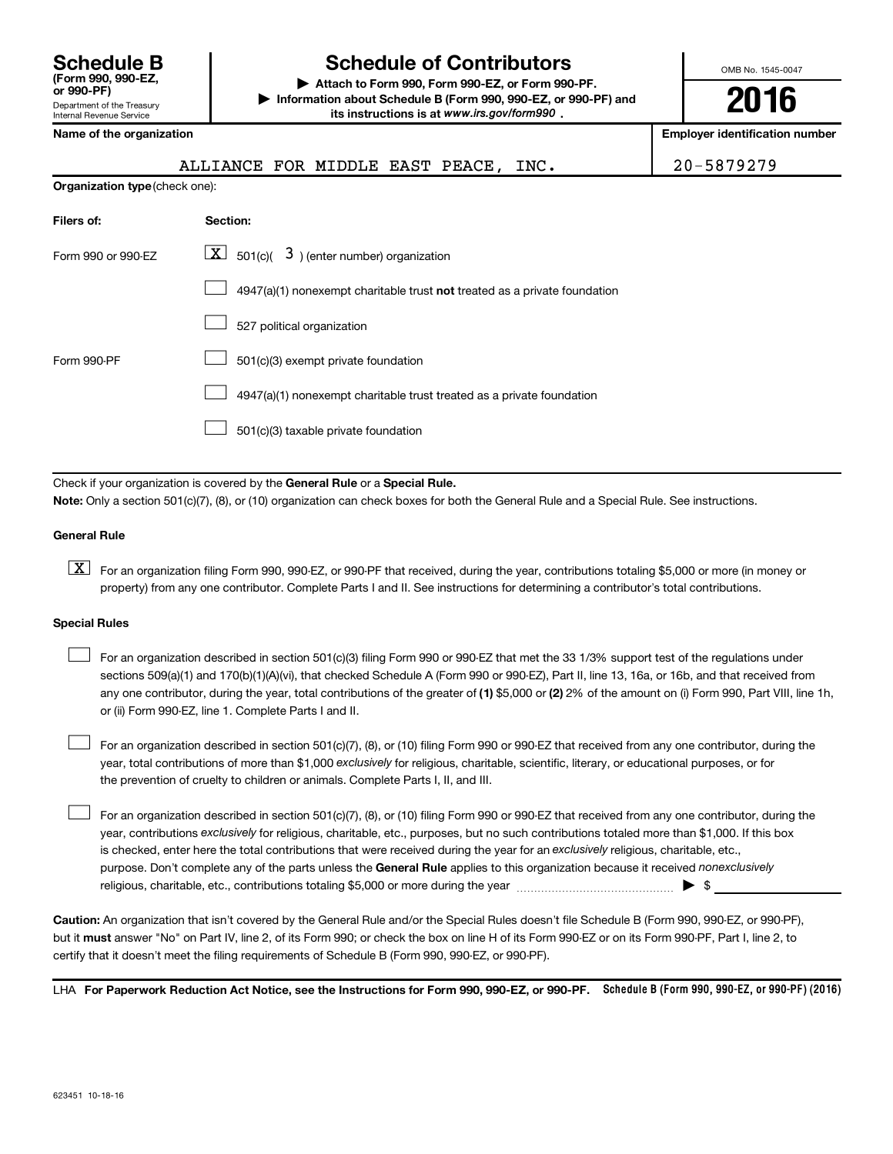| <b>Schedule B</b><br>(Form 990, 990-EZ.<br>or 990-PF)         |
|---------------------------------------------------------------|
| Department of the Treasury<br><b>Internal Revenue Service</b> |

### **Schedule of Contributors**

**or 990-PF) | Attach to Form 990, Form 990-EZ, or Form 990-PF. | Information about Schedule B (Form 990, 990-EZ, or 990-PF) and** its instructions is at www.irs.gov/form990.

OMB No. 1545-0047

**2016**

**Employer identification number** 

| Name of the organization |  |
|--------------------------|--|
|--------------------------|--|

**Organization type** (check one):

| ALLIANCE FOR MIDDLE EAST PEACE, INC. |  |
|--------------------------------------|--|
|--------------------------------------|--|

ALLIANCE FOR MIDDLE EAST PEACE, INC. 20-5879279

| Filers of:         | Section:                                                                  |
|--------------------|---------------------------------------------------------------------------|
| Form 990 or 990-EZ | $\lfloor x \rfloor$ 501(c)( 3) (enter number) organization                |
|                    | 4947(a)(1) nonexempt charitable trust not treated as a private foundation |
|                    | 527 political organization                                                |
| Form 990-PF        | 501(c)(3) exempt private foundation                                       |
|                    | 4947(a)(1) nonexempt charitable trust treated as a private foundation     |
|                    | 501(c)(3) taxable private foundation                                      |

Check if your organization is covered by the General Rule or a Special Rule.

**Note:**  Only a section 501(c)(7), (8), or (10) organization can check boxes for both the General Rule and a Special Rule. See instructions.

### **General Rule**

**K** For an organization filing Form 990, 990-EZ, or 990-PF that received, during the year, contributions totaling \$5,000 or more (in money or property) from any one contributor. Complete Parts I and II. See instructions for determining a contributor's total contributions.

### **Special Rules**

 $\Box$ 

any one contributor, during the year, total contributions of the greater of **(1)** \$5,000 or **(2)** 2% of the amount on (i) Form 990, Part VIII, line 1h, For an organization described in section 501(c)(3) filing Form 990 or 990-EZ that met the 33 1/3% support test of the regulations under sections 509(a)(1) and 170(b)(1)(A)(vi), that checked Schedule A (Form 990 or 990-EZ), Part II, line 13, 16a, or 16b, and that received from or (ii) Form 990-EZ, line 1. Complete Parts I and II.  $\Box$ 

year, total contributions of more than \$1,000 *exclusively* for religious, charitable, scientific, literary, or educational purposes, or for For an organization described in section 501(c)(7), (8), or (10) filing Form 990 or 990-EZ that received from any one contributor, during the the prevention of cruelty to children or animals. Complete Parts I, II, and III.  $\Box$ 

purpose. Don't complete any of the parts unless the General Rule applies to this organization because it received nonexclusively year, contributions exclusively for religious, charitable, etc., purposes, but no such contributions totaled more than \$1,000. If this box is checked, enter here the total contributions that were received during the year for an exclusively religious, charitable, etc., For an organization described in section 501(c)(7), (8), or (10) filing Form 990 or 990-EZ that received from any one contributor, during the religious, charitable, etc., contributions totaling \$5,000 or more during the year  $\ldots$  $\ldots$  $\ldots$  $\ldots$  $\ldots$  $\ldots$ 

**Caution:**  An organization that isn't covered by the General Rule and/or the Special Rules doesn't file Schedule B (Form 990, 990-EZ, or 990-PF),  **must** but it answer "No" on Part IV, line 2, of its Form 990; or check the box on line H of its Form 990-EZ or on its Form 990-PF, Part I, line 2, to certify that it doesn't meet the filing requirements of Schedule B (Form 990, 990-EZ, or 990-PF).

LHA For Paperwork Reduction Act Notice, see the Instructions for Form 990, 990-EZ, or 990-PF. Schedule B (Form 990, 990-EZ, or 990-PF) (2016)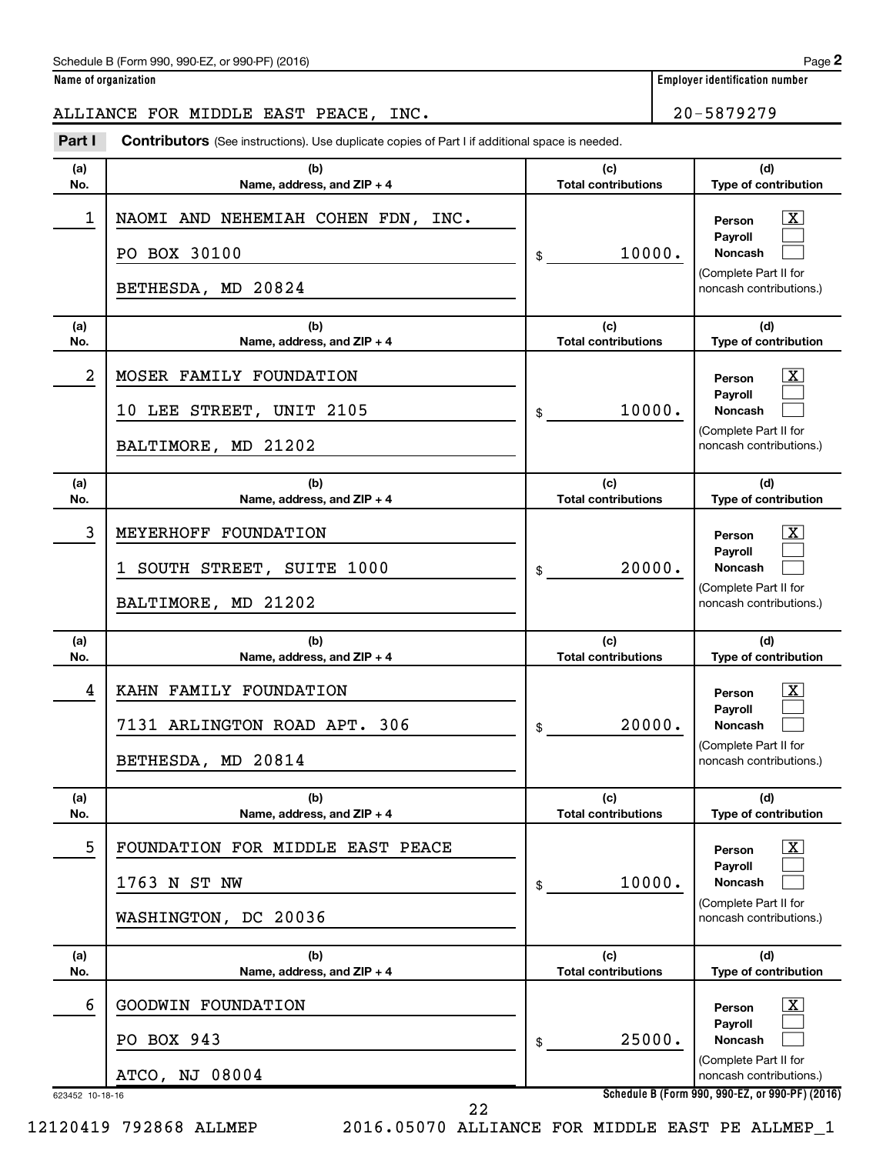### Schedule B (Form 990, 990-EZ, or 990-PF) (2016)

### ALLIANCE FOR MIDDLE EAST PEACE, INC. 20-5879279

Part I Contributors (See instructions). Use duplicate copies of Part I if additional space is needed.

| (a)             | (b)                                 | (c)                               | (d)                                                                        |
|-----------------|-------------------------------------|-----------------------------------|----------------------------------------------------------------------------|
| No.             | Name, address, and ZIP + 4          | <b>Total contributions</b>        | Type of contribution                                                       |
| 1               | NAOMI AND NEHEMIAH COHEN FDN, INC.  |                                   | Person<br>Payroll                                                          |
|                 | PO BOX 30100                        | 10000.<br>\$                      | <b>Noncash</b>                                                             |
|                 | BETHESDA, MD 20824                  |                                   | (Complete Part II for<br>noncash contributions.)                           |
|                 |                                     |                                   |                                                                            |
| (a)<br>No.      | (b)<br>Name, address, and ZIP + 4   | (c)<br><b>Total contributions</b> | (d)<br>Type of contribution                                                |
| $\overline{a}$  | MOSER FAMILY FOUNDATION             |                                   | Person                                                                     |
|                 | 10 LEE STREET, UNIT 2105            | 10000.<br>\$                      | Payroll<br><b>Noncash</b>                                                  |
|                 | BALTIMORE, MD 21202                 |                                   | (Complete Part II for<br>noncash contributions.)                           |
| (a)<br>No.      | (b)<br>Name, address, and ZIP + 4   | (c)<br><b>Total contributions</b> | (d)<br>Type of contribution                                                |
| 3               | MEYERHOFF FOUNDATION                |                                   | Person                                                                     |
|                 | 1 SOUTH STREET, SUITE 1000          | 20000.<br>\$                      | Payroll<br><b>Noncash</b>                                                  |
|                 |                                     |                                   | (Complete Part II for                                                      |
|                 | BALTIMORE, MD 21202                 |                                   | noncash contributions.)                                                    |
| (a)<br>No.      | (b)<br>Name, address, and ZIP + 4   | (c)<br><b>Total contributions</b> | (d)<br>Type of contribution                                                |
| 4               | KAHN FAMILY FOUNDATION              |                                   | Person                                                                     |
|                 | 7131 ARLINGTON ROAD APT. 306        | 20000.<br>\$                      | Payroll<br>Noncash                                                         |
|                 |                                     |                                   | (Complete Part II for                                                      |
|                 | BETHESDA, MD 20814                  |                                   | noncash contributions.)                                                    |
| (a)<br>No.      | (b)<br>Name, address, and $ZIP + 4$ | (c)<br><b>Total contributions</b> | (d)<br><b>Type of contribution</b>                                         |
|                 |                                     |                                   |                                                                            |
| 5               | FOUNDATION FOR MIDDLE EAST PEACE    |                                   | $\overline{\mathbf{X}}$<br>Person<br>Pavroll                               |
|                 | 1763 N ST NW                        | 10000.<br>\$                      | <b>Noncash</b>                                                             |
|                 | WASHINGTON, DC 20036                |                                   | (Complete Part II for<br>noncash contributions.)                           |
| (a)<br>No.      | (b)<br>Name, address, and ZIP + 4   | (c)<br><b>Total contributions</b> | (d)<br>Type of contribution                                                |
| 6               | GOODWIN FOUNDATION                  |                                   | $\overline{\mathbf{X}}$<br>Person                                          |
|                 |                                     |                                   | Payroll                                                                    |
|                 | PO BOX 943                          | 25000.<br>\$                      | <b>Noncash</b><br>(Complete Part II for                                    |
|                 | ATCO, NJ 08004                      |                                   | noncash contributions.)<br>Schedule B (Form 990, 990-EZ, or 990-PF) (2016) |
| 623452 10-18-16 | っっ                                  |                                   |                                                                            |

22

12120419 792868 ALLMEP 2016.05070 ALLIANCE FOR MIDDLE EAST PE ALLMEP\_1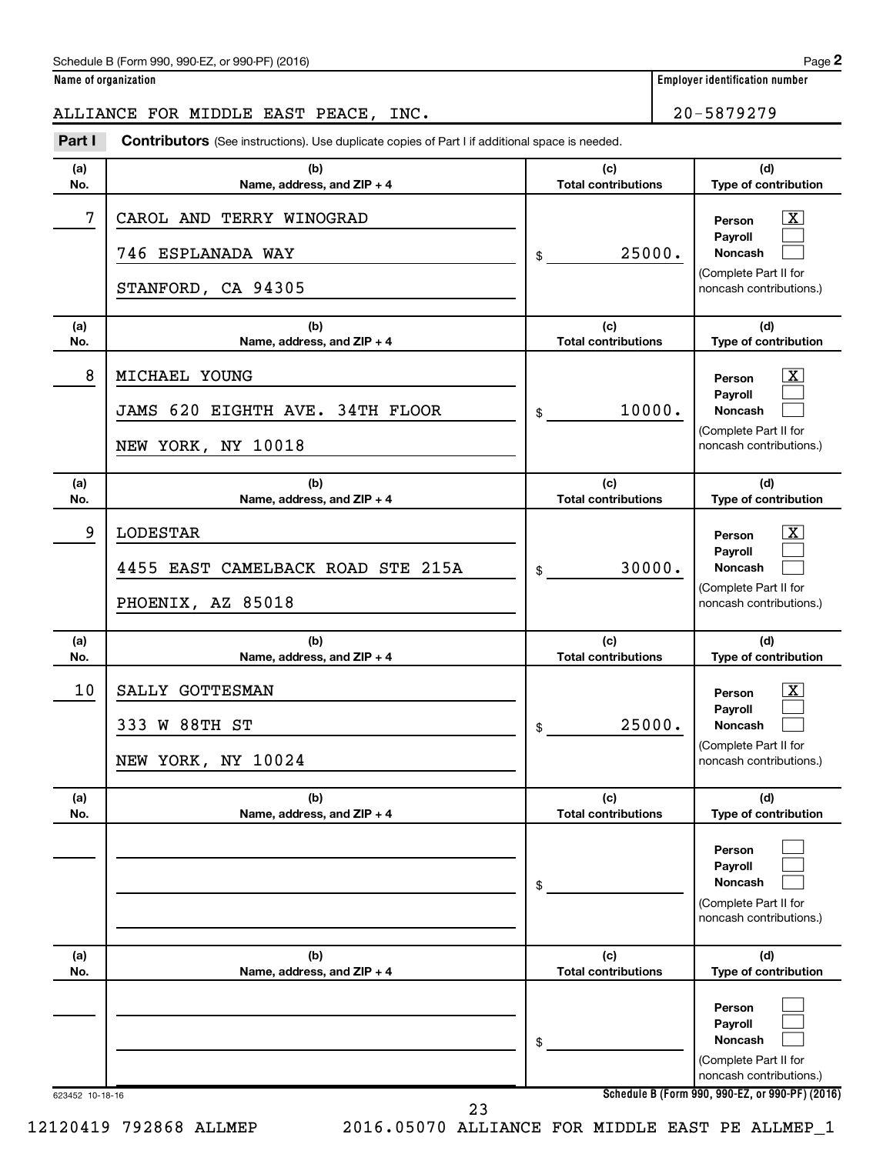### Schedule B (Form 990, 990-EZ, or 990-PF) (2016)

### ALLIANCE FOR MIDDLE EAST PEACE, INC. 20-5879279

Part I Contributors (See instructions). Use duplicate copies of Part I if additional space is needed.

| (a)<br>No. | (b)<br>Name, address, and ZIP + 4                                      | (c)<br><b>Total contributions</b> | (d)<br>Type of contribution                                                                  |
|------------|------------------------------------------------------------------------|-----------------------------------|----------------------------------------------------------------------------------------------|
| 7          | CAROL AND TERRY WINOGRAD<br>746 ESPLANADA WAY<br>STANFORD, CA 94305    | 25000.<br>\$                      | x<br>Person<br>Payroll<br><b>Noncash</b><br>(Complete Part II for<br>noncash contributions.) |
| (a)<br>No. | (b)<br>Name, address, and $ZIP + 4$                                    | (c)<br><b>Total contributions</b> | (d)<br>Type of contribution                                                                  |
| 8          | MICHAEL YOUNG<br>JAMS 620 EIGHTH AVE. 34TH FLOOR<br>NEW YORK, NY 10018 | 10000.<br>\$                      | х<br>Person<br>Payroll<br>Noncash<br>(Complete Part II for<br>noncash contributions.)        |
| (a)<br>No. | (b)<br>Name, address, and ZIP + 4                                      | (c)<br><b>Total contributions</b> | (d)<br>Type of contribution                                                                  |
| 9          | LODESTAR<br>4455 EAST CAMELBACK ROAD STE 215A<br>PHOENIX, AZ 85018     | 30000.<br>\$                      | х<br>Person<br>Payroll<br><b>Noncash</b><br>(Complete Part II for<br>noncash contributions.) |
| (a)<br>No. | (b)<br>Name, address, and ZIP + 4                                      | (c)<br><b>Total contributions</b> | (d)<br>Type of contribution                                                                  |
| 10         | SALLY GOTTESMAN<br>333 W 88TH ST<br>NEW YORK, NY 10024                 | 25000.<br>\$                      | х<br>Person<br>Payroll<br>Noncash<br>(Complete Part II for<br>noncash contributions.)        |
| (a)<br>No. | (b)<br>Name, address, and ZIP + 4                                      | (c)<br><b>Total contributions</b> | (d)<br>Type of contribution                                                                  |
|            |                                                                        | \$                                | Person<br>Payroll<br><b>Noncash</b><br>(Complete Part II for<br>noncash contributions.)      |
| (a)<br>No. | (b)<br>Name, address, and ZIP + 4                                      | (c)<br><b>Total contributions</b> | (d)<br>Type of contribution                                                                  |
|            |                                                                        | \$                                | Person<br>Payroll<br><b>Noncash</b><br>(Complete Part II for<br>noncash contributions.)      |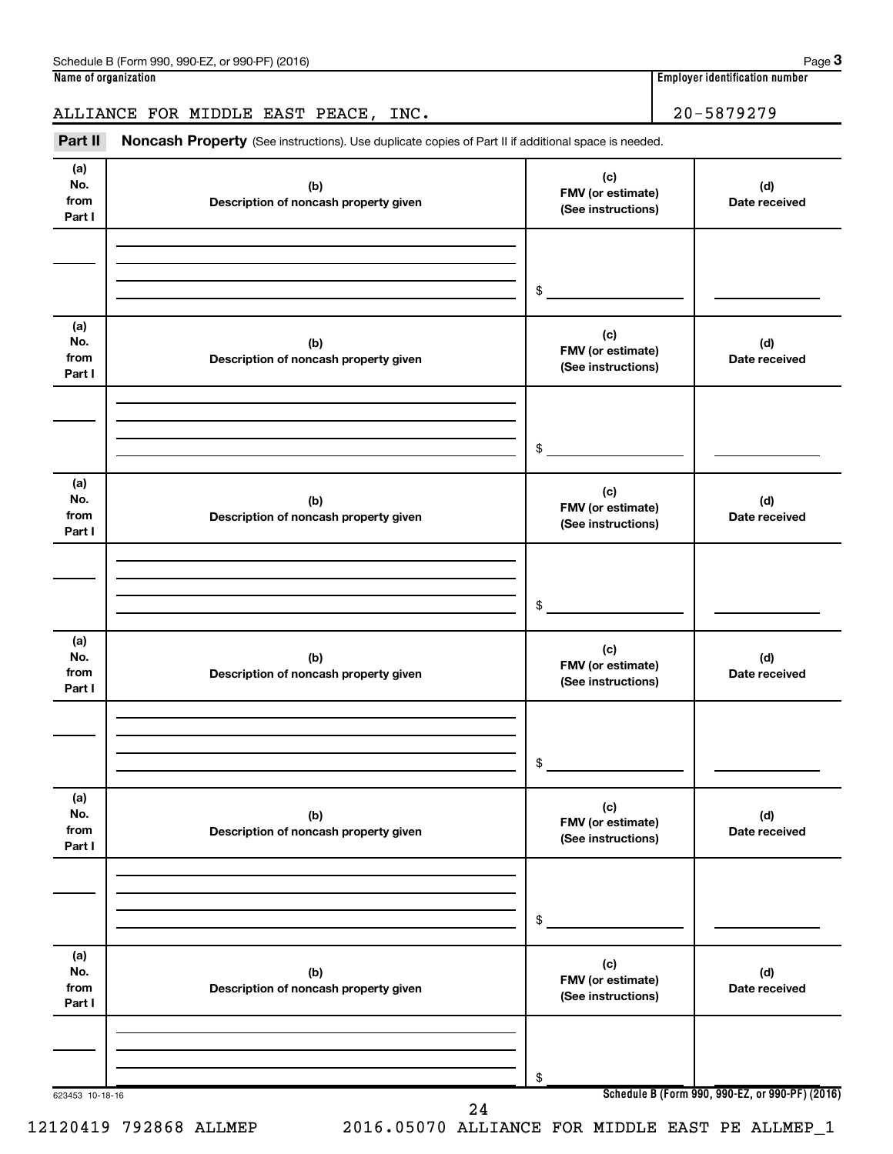### ALLIANCE FOR MIDDLE EAST PEACE, INC. 20-5879279

Part II Noncash Property (See instructions). Use duplicate copies of Part II if additional space is needed.

| (a)    |                                       | (c)                      |               |
|--------|---------------------------------------|--------------------------|---------------|
| No.    | (b)                                   | FMV (or estimate)        | (d)           |
| from   | Description of noncash property given |                          | Date received |
| Part I |                                       | (See instructions)       |               |
|        |                                       |                          |               |
|        |                                       |                          |               |
|        |                                       |                          |               |
|        |                                       |                          |               |
|        |                                       | $\frac{1}{2}$            |               |
|        |                                       |                          |               |
| (a)    |                                       |                          |               |
| No.    | (b)                                   | (c)<br>FMV (or estimate) | (d)           |
| from   | Description of noncash property given |                          | Date received |
| Part I |                                       | (See instructions)       |               |
|        |                                       |                          |               |
|        |                                       |                          |               |
|        |                                       |                          |               |
|        |                                       |                          |               |
|        |                                       | $\frac{1}{2}$            |               |
|        |                                       |                          |               |
| (a)    |                                       |                          |               |
| No.    | (b)                                   | (c)                      | (d)           |
| from   | Description of noncash property given | FMV (or estimate)        | Date received |
| Part I |                                       | (See instructions)       |               |
|        |                                       |                          |               |
|        |                                       |                          |               |
|        |                                       |                          |               |
|        |                                       |                          |               |
|        |                                       | $\frac{1}{2}$            |               |
|        |                                       |                          |               |
| (a)    |                                       | (c)                      |               |
| No.    | (b)                                   | FMV (or estimate)        | (d)           |
| from   | Description of noncash property given | (See instructions)       | Date received |
| Part I |                                       |                          |               |
|        |                                       |                          |               |
|        |                                       |                          |               |
|        |                                       |                          |               |
|        |                                       |                          |               |
|        |                                       | $\frac{1}{2}$            |               |
|        |                                       |                          |               |
| (a)    |                                       | (c)                      |               |
| No.    | (b)                                   | FMV (or estimate)        | (d)           |
| from   | Description of noncash property given | (See instructions)       | Date received |
| Part I |                                       |                          |               |
|        |                                       |                          |               |
|        |                                       |                          |               |
|        |                                       |                          |               |
|        |                                       | \$                       |               |
|        |                                       |                          |               |
|        |                                       |                          |               |
| (a)    |                                       | (c)                      |               |
| No.    | (b)                                   | FMV (or estimate)        | (d)           |
| from   | Description of noncash property given | (See instructions)       | Date received |
| Part I |                                       |                          |               |
|        |                                       |                          |               |
|        |                                       |                          |               |
|        |                                       |                          |               |
|        |                                       | \$                       |               |
|        |                                       |                          |               |

12120419 792868 ALLMEP 2016.05070 ALLIANCE FOR MIDDLE EAST PE ALLMEP\_1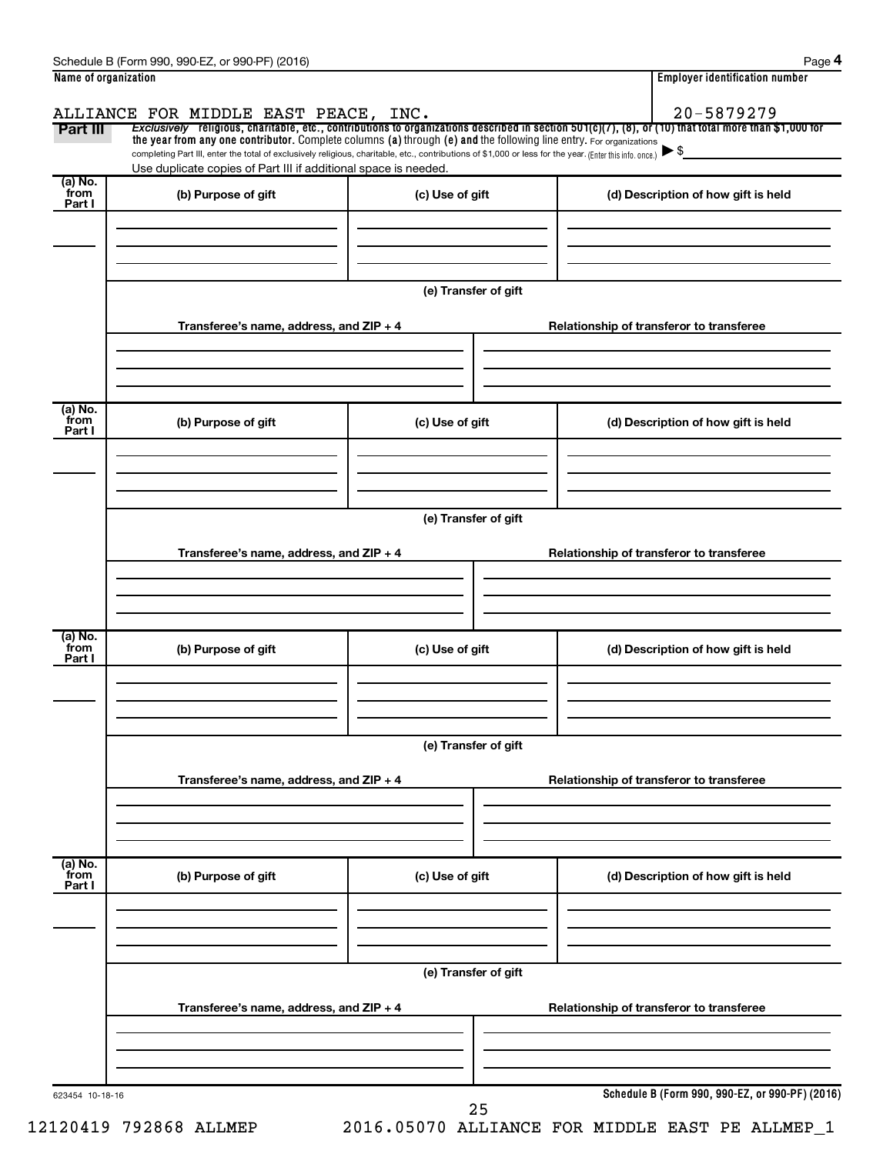| Part III                  | ALLIANCE FOR MIDDLE EAST PEACE, INC.<br>Exclusively religious, charitable, etc., contributions to organizations described in section 501(c)(7), (8), or (10) that total more than \$1,000 for                                                                                   |                      | 20-5879279                                      |
|---------------------------|---------------------------------------------------------------------------------------------------------------------------------------------------------------------------------------------------------------------------------------------------------------------------------|----------------------|-------------------------------------------------|
|                           | the year from any one contributor. Complete columns (a) through (e) and the following line entry. For organizations<br>completing Part III, enter the total of exclusively religious, charitable, etc., contributions of \$1,000 or less for the year. (Enter this info. once.) |                      | $\blacktriangleright$ \$                        |
|                           | Use duplicate copies of Part III if additional space is needed.                                                                                                                                                                                                                 |                      |                                                 |
| (a) No.<br>from<br>Part I | (b) Purpose of gift                                                                                                                                                                                                                                                             | (c) Use of gift      | (d) Description of how gift is held             |
|                           |                                                                                                                                                                                                                                                                                 | (e) Transfer of gift |                                                 |
|                           | Transferee's name, address, and ZIP + 4                                                                                                                                                                                                                                         |                      | Relationship of transferor to transferee        |
| (a) No.<br>from           | (b) Purpose of gift                                                                                                                                                                                                                                                             | (c) Use of gift      | (d) Description of how gift is held             |
| Part I                    |                                                                                                                                                                                                                                                                                 |                      |                                                 |
|                           |                                                                                                                                                                                                                                                                                 | (e) Transfer of gift |                                                 |
|                           | Transferee's name, address, and ZIP + 4                                                                                                                                                                                                                                         |                      | Relationship of transferor to transferee        |
| $(a)$ No.<br>from         |                                                                                                                                                                                                                                                                                 |                      |                                                 |
| Part I                    | (b) Purpose of gift                                                                                                                                                                                                                                                             | (c) Use of gift      | (d) Description of how gift is held             |
|                           |                                                                                                                                                                                                                                                                                 | (e) Transfer of gift |                                                 |
|                           | Transferee's name, address, and ZIP + 4                                                                                                                                                                                                                                         |                      | Relationship of transferor to transferee        |
|                           |                                                                                                                                                                                                                                                                                 |                      |                                                 |
| (a) No.<br>from<br>Part I | (b) Purpose of gift                                                                                                                                                                                                                                                             | (c) Use of gift      | (d) Description of how gift is held             |
|                           |                                                                                                                                                                                                                                                                                 | (e) Transfer of gift |                                                 |
|                           | Transferee's name, address, and ZIP + 4                                                                                                                                                                                                                                         |                      | Relationship of transferor to transferee        |
|                           |                                                                                                                                                                                                                                                                                 |                      | Schedule B (Form 990, 990-EZ, or 990-PF) (2016) |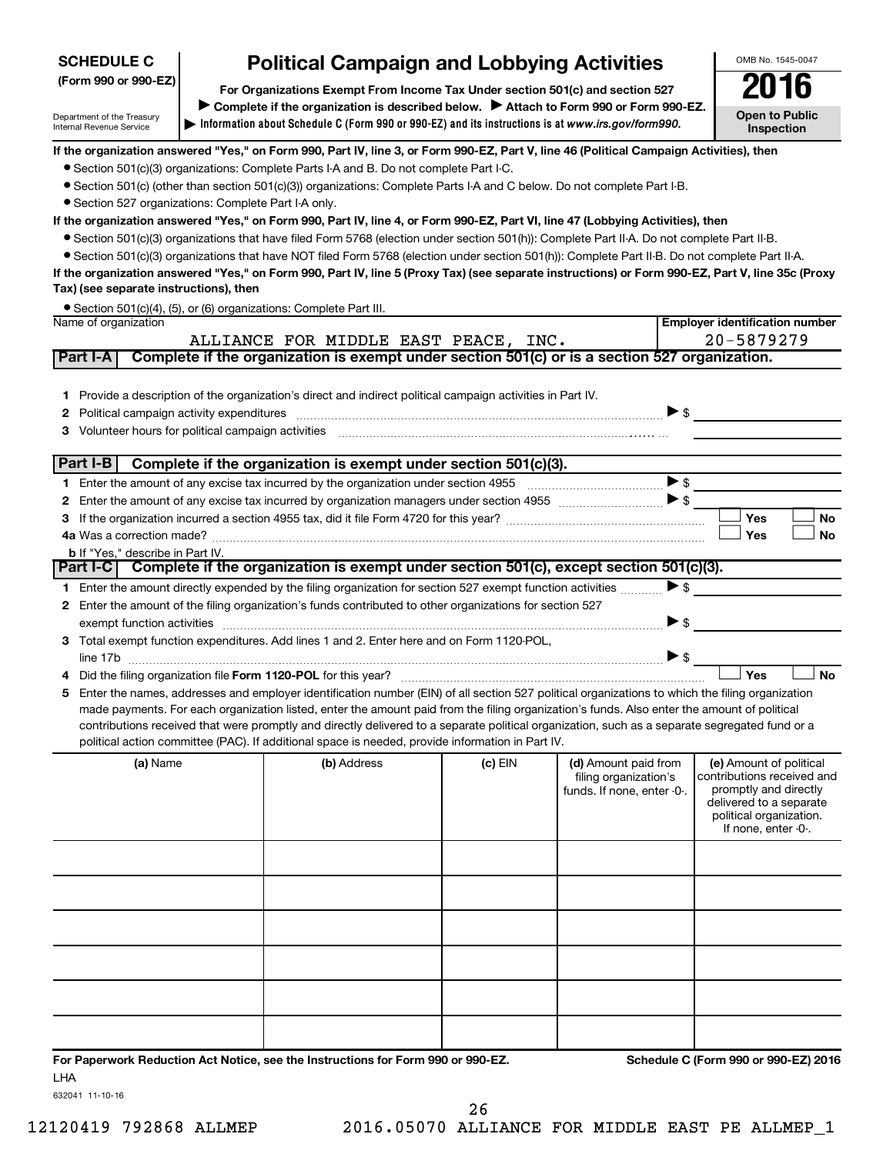## **SCHEDULE C**

Department of the Treasury Internal Revenue Service

# **Political Campaign and Lobbying Activities**<br>Drganizations Exempt From Income Tax Under section 501(c) and section 527 **2016**

**Information about Schedule C (Form 990 or 990-EZ) and its instructions is at |**  *www.irs.gov/form990.* **(Form 990 or 990-EZ) For Organizations Exempt From Income Tax Under section 501(c) and section 527** Complete if the organization is described below. > Attach to Form 990 or Form 990-EZ. OMB No. 1545-0047 **Open to Public Inspection**

**Employer identification number**

**If the organization answered "Yes," on Form 990, Part IV, line 3, or Form 990-EZ, Part V, line 46 (Political Campaign Activities), then**

- Section 501(c)(3) organizations: Complete Parts I-A and B. Do not complete Part I-C.
- Section 501(c) (other than section 501(c)(3)) organizations: Complete Parts I-A and C below. Do not complete Part I-B.
- Section 527 organizations: Complete Part I-A only.

### **If the organization answered "Yes," on Form 990, Part IV, line 4, or Form 990-EZ, Part VI, line 47 (Lobbying Activities), then**

- Section 501(c)(3) organizations that have filed Form 5768 (election under section 501(h)): Complete Part II-A. Do not complete Part II-B.
- Section 501(c)(3) organizations that have NOT filed Form 5768 (election under section 501(h)): Complete Part II-B. Do not complete Part II-A.

**If the organization answered "Yes," on Form 990, Part IV, line 5 (Proxy Tax) (see separate instructions) or Form 990-EZ, Part V, line 35c (Proxy Tax) (see separate instructions), then**

|                      | • Section 501(c)(4), (5), or (6) organizations: Complete Part III. |
|----------------------|--------------------------------------------------------------------|
| Name of organization |                                                                    |

| ALLIANCE FOR MIDDLE EAST PEACE, INC.                                                                                                                                                                                             | 20-5879279               |
|----------------------------------------------------------------------------------------------------------------------------------------------------------------------------------------------------------------------------------|--------------------------|
| Complete if the organization is exempt under section 501(c) or is a section 527 organization.<br><b>Part I-A</b>                                                                                                                 |                          |
| Provide a description of the organization's direct and indirect political campaign activities in Part IV.<br>Volunteer hours for political campaign activities [11] [12] Martin Martin Martin Martin Martin Martin Martin M<br>3 | $\triangleright$ \$      |
| <b>Part I-B</b><br>Complete if the organization is exempt under section 501(c)(3).                                                                                                                                               |                          |
|                                                                                                                                                                                                                                  | >                        |
| $\mathbf{2}$                                                                                                                                                                                                                     | $\blacktriangleright$ \$ |
|                                                                                                                                                                                                                                  | Yes<br><b>No</b>         |
|                                                                                                                                                                                                                                  | Yes<br><b>No</b>         |
| <b>b</b> If "Yes." describe in Part IV.                                                                                                                                                                                          |                          |
| Complete if the organization is exempt under section 501(c), except section 501(c)(3).<br>Part I-C                                                                                                                               |                          |
| Enter the amount directly expended by the filing organization for section 527 exempt function activities<br>1.                                                                                                                   | $\triangleright$ s       |
| Enter the amount of the filing organization's funds contributed to other organizations for section 527<br>2                                                                                                                      |                          |
|                                                                                                                                                                                                                                  | $\blacktriangleright$ \$ |
| Total exempt function expenditures. Add lines 1 and 2. Enter here and on Form 1120-POL,<br>3                                                                                                                                     |                          |
| line 17b                                                                                                                                                                                                                         | >                        |
|                                                                                                                                                                                                                                  | Yes<br><b>No</b>         |
| Enter the names, addresses and employer identification number (EIN) of all section 527 political organizations to which the filing organization<br>5                                                                             |                          |
| made payments. For each organization listed, enter the amount paid from the filing organization's funds. Also enter the amount of political                                                                                      |                          |
| contributions received that were promptly and directly delivered to a separate political organization, such as a separate segregated fund or a                                                                                   |                          |
| political action committee (PAC). If additional space is needed, provide information in Part IV.                                                                                                                                 |                          |
|                                                                                                                                                                                                                                  |                          |

| (a) Name | (b) Address | $(c)$ EIN | (d) Amount paid from<br>filing organization's<br>funds. If none, enter -0-. | (e) Amount of political<br>contributions received and<br>promptly and directly<br>delivered to a separate<br>political organization.<br>If none, enter -0-. |
|----------|-------------|-----------|-----------------------------------------------------------------------------|-------------------------------------------------------------------------------------------------------------------------------------------------------------|
|          |             |           |                                                                             |                                                                                                                                                             |
|          |             |           |                                                                             |                                                                                                                                                             |
|          |             |           |                                                                             |                                                                                                                                                             |
|          |             |           |                                                                             |                                                                                                                                                             |
|          |             |           |                                                                             |                                                                                                                                                             |
|          |             |           |                                                                             |                                                                                                                                                             |

**For Paperwork Reduction Act Notice, see the Instructions for Form 990 or 990-EZ. Schedule C (Form 990 or 990-EZ) 2016** LHA

632041 11-10-16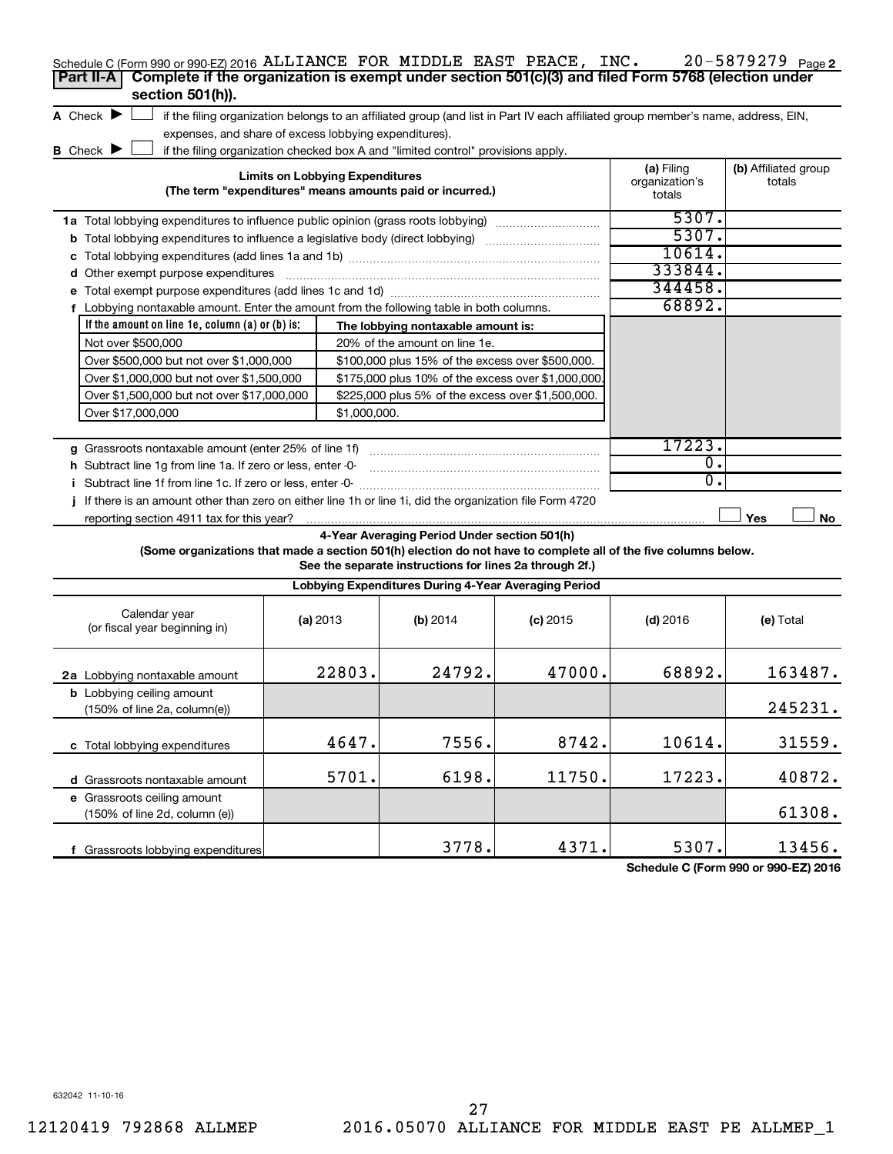|                                      | Schedule C (Form 990 or 990-EZ) 2016 ALLIANCE FOR MIDDLE EAST PEACE, $INC.$                                                                          |                                                                                                     |                                                         |                                                                                                                                   |                                        | 20-5879279 Page 2              |
|--------------------------------------|------------------------------------------------------------------------------------------------------------------------------------------------------|-----------------------------------------------------------------------------------------------------|---------------------------------------------------------|-----------------------------------------------------------------------------------------------------------------------------------|----------------------------------------|--------------------------------|
| Part II-A                            | Complete if the organization is exempt under section 501(c)(3) and filed Form 5768 (election under                                                   |                                                                                                     |                                                         |                                                                                                                                   |                                        |                                |
| A Check $\blacktriangleright$        | section 501(h)).                                                                                                                                     | expenses, and share of excess lobbying expenditures).                                               |                                                         | if the filing organization belongs to an affiliated group (and list in Part IV each affiliated group member's name, address, EIN, |                                        |                                |
| <b>B</b> Check $\blacktriangleright$ |                                                                                                                                                      | if the filing organization checked box A and "limited control" provisions apply.                    |                                                         |                                                                                                                                   |                                        |                                |
|                                      |                                                                                                                                                      | <b>Limits on Lobbying Expenditures</b><br>(The term "expenditures" means amounts paid or incurred.) |                                                         |                                                                                                                                   | (a) Filing<br>organization's<br>totals | (b) Affiliated group<br>totals |
|                                      | 1a Total lobbying expenditures to influence public opinion (grass roots lobbying)                                                                    |                                                                                                     |                                                         |                                                                                                                                   | 5307.                                  |                                |
|                                      | <b>b</b> Total lobbying expenditures to influence a legislative body (direct lobbying) <i>manumumumum</i>                                            |                                                                                                     |                                                         |                                                                                                                                   | 5307.                                  |                                |
| c                                    |                                                                                                                                                      |                                                                                                     |                                                         |                                                                                                                                   | 10614.                                 |                                |
|                                      | d Other exempt purpose expenditures                                                                                                                  |                                                                                                     |                                                         |                                                                                                                                   | 333844.                                |                                |
|                                      |                                                                                                                                                      |                                                                                                     |                                                         |                                                                                                                                   | 344458.                                |                                |
|                                      | f Lobbying nontaxable amount. Enter the amount from the following table in both columns.                                                             |                                                                                                     |                                                         |                                                                                                                                   | 68892.                                 |                                |
|                                      | If the amount on line 1e, column (a) or (b) is:                                                                                                      |                                                                                                     | The lobbying nontaxable amount is:                      |                                                                                                                                   |                                        |                                |
|                                      | Not over \$500,000                                                                                                                                   |                                                                                                     | 20% of the amount on line 1e.                           |                                                                                                                                   |                                        |                                |
|                                      | Over \$500,000 but not over \$1,000,000                                                                                                              |                                                                                                     | \$100,000 plus 15% of the excess over \$500,000.        |                                                                                                                                   |                                        |                                |
|                                      | Over \$1,000,000 but not over \$1,500,000                                                                                                            |                                                                                                     | \$175,000 plus 10% of the excess over \$1,000,000       |                                                                                                                                   |                                        |                                |
|                                      | Over \$1,500,000 but not over \$17,000,000                                                                                                           |                                                                                                     | \$225,000 plus 5% of the excess over \$1,500,000.       |                                                                                                                                   |                                        |                                |
|                                      | Over \$17,000,000                                                                                                                                    | \$1,000,000.                                                                                        |                                                         |                                                                                                                                   |                                        |                                |
|                                      | g Grassroots nontaxable amount (enter 25% of line 1f)                                                                                                |                                                                                                     |                                                         |                                                                                                                                   | 17223.                                 |                                |
|                                      | h Subtract line 1g from line 1a. If zero or less, enter -0-                                                                                          |                                                                                                     |                                                         |                                                                                                                                   | $\mathbf{0}$ .                         |                                |
|                                      | i Subtract line 1f from line 1c. If zero or less, enter -0-                                                                                          |                                                                                                     |                                                         |                                                                                                                                   | $\overline{0}$ .                       |                                |
|                                      | If there is an amount other than zero on either line 1h or line 1i, did the organization file Form 4720<br>reporting section 4911 tax for this year? |                                                                                                     |                                                         |                                                                                                                                   |                                        | Yes<br><b>No</b>               |
|                                      |                                                                                                                                                      |                                                                                                     | 4-Year Averaging Period Under section 501(h)            |                                                                                                                                   |                                        |                                |
|                                      | (Some organizations that made a section 501(h) election do not have to complete all of the five columns below.                                       |                                                                                                     | See the separate instructions for lines 2a through 2f.) |                                                                                                                                   |                                        |                                |
|                                      |                                                                                                                                                      |                                                                                                     | Lobbying Expenditures During 4-Year Averaging Period    |                                                                                                                                   |                                        |                                |
|                                      | Calendar year<br>(or fiscal year beginning in)                                                                                                       | (a) 2013                                                                                            | (b) 2014                                                | $(c)$ 2015                                                                                                                        | $(d)$ 2016                             | (e) Total                      |
|                                      | 2a Lobbying nontaxable amount                                                                                                                        | 22803.                                                                                              | 24792.                                                  | 47000.                                                                                                                            | 68892.                                 | 163487.                        |

**Schedule C (Form 990 or 990-EZ) 2016**

245231.

61308.

632042 11-10-16

4647. 7556. 8742. 10614. 31559.

5701. 6198. 11750. 17223. 40872.

3778. 4371. 5307. 13456.

**2a** Lobbying nontaxable amount **b** Lobbying ceiling amount

(150% of line 2a, column(e))

**c** Total lobbying expenditures

**d** Grassroots nontaxable amount **e** Grassroots ceiling amount

(150% of line 2d, column (e))

**f** Grassroots lobbying expenditures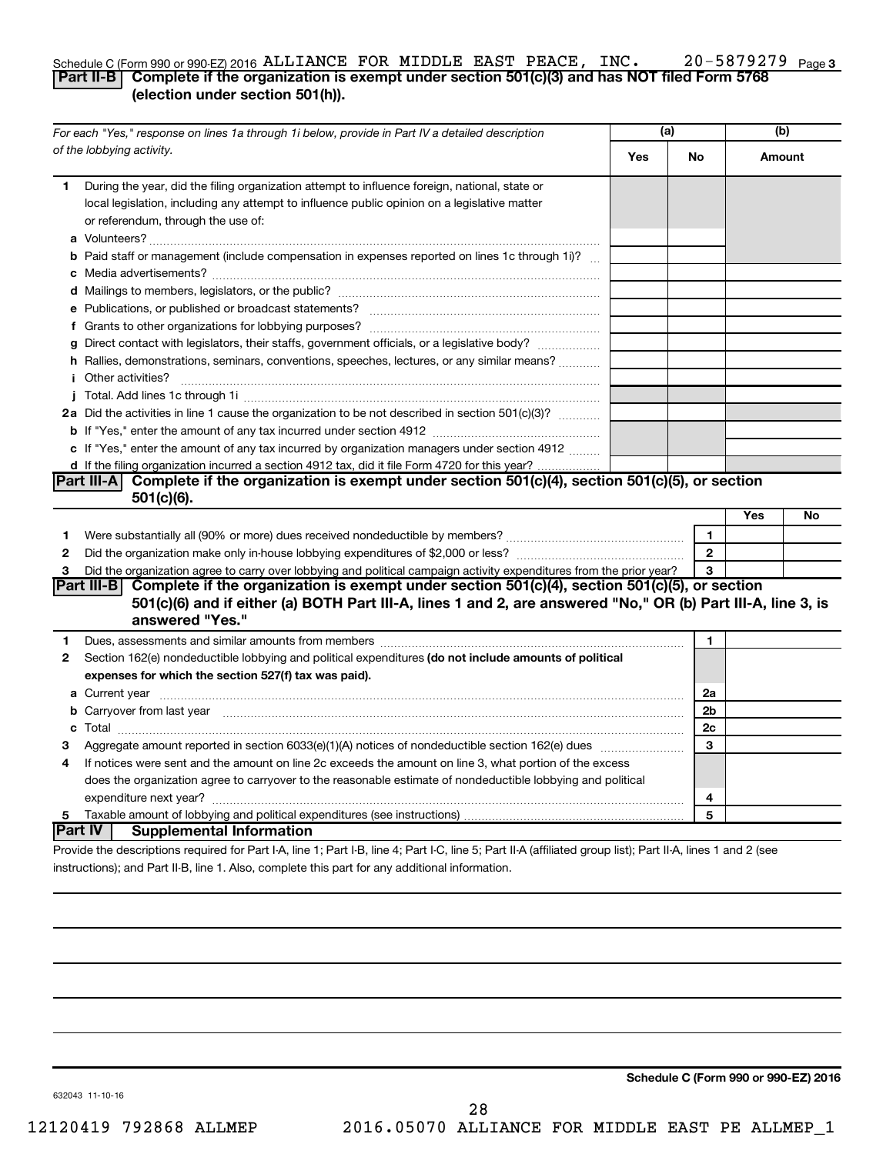### 20-5879279 Page 3 Schedule C (Form 990 or 990-EZ) 2016 ALLIANCE FOR MIDDLE EAST PEACE, INC.  $20-5879279$   $_{\sf Page}$ **Part II-B Complete if the organization is exempt under section 501(c)(3) and has NOT filed Form 5768 (election under section 501(h)).**

|    | For each "Yes," response on lines 1a through 1i below, provide in Part IV a detailed description                                                                                                                                            | (b)<br>(a) |              |     |        |
|----|---------------------------------------------------------------------------------------------------------------------------------------------------------------------------------------------------------------------------------------------|------------|--------------|-----|--------|
|    | of the lobbying activity.                                                                                                                                                                                                                   | Yes        | No           |     | Amount |
| 1. | During the year, did the filing organization attempt to influence foreign, national, state or<br>local legislation, including any attempt to influence public opinion on a legislative matter<br>or referendum, through the use of:         |            |              |     |        |
|    | <b>b</b> Paid staff or management (include compensation in expenses reported on lines 1c through 1i)?                                                                                                                                       |            |              |     |        |
|    |                                                                                                                                                                                                                                             |            |              |     |        |
|    |                                                                                                                                                                                                                                             |            |              |     |        |
|    |                                                                                                                                                                                                                                             |            |              |     |        |
|    | g Direct contact with legislators, their staffs, government officials, or a legislative body?                                                                                                                                               |            |              |     |        |
|    | h Rallies, demonstrations, seminars, conventions, speeches, lectures, or any similar means?                                                                                                                                                 |            |              |     |        |
|    | <i>i</i> Other activities?                                                                                                                                                                                                                  |            |              |     |        |
|    |                                                                                                                                                                                                                                             |            |              |     |        |
|    | 2a Did the activities in line 1 cause the organization to be not described in section 501(c)(3)?                                                                                                                                            |            |              |     |        |
|    |                                                                                                                                                                                                                                             |            |              |     |        |
|    | c If "Yes," enter the amount of any tax incurred by organization managers under section 4912                                                                                                                                                |            |              |     |        |
|    | d If the filing organization incurred a section 4912 tax, did it file Form 4720 for this year?                                                                                                                                              |            |              |     |        |
|    | Part III-A Complete if the organization is exempt under section $501(c)(4)$ , section $501(c)(5)$ , or section                                                                                                                              |            |              |     |        |
|    | $501(c)(6)$ .                                                                                                                                                                                                                               |            |              |     |        |
|    |                                                                                                                                                                                                                                             |            |              | Yes | No     |
| 1  | Were substantially all (90% or more) dues received nondeductible by members? www.communition.communition.                                                                                                                                   |            | $\mathbf{1}$ |     |        |
| 2  |                                                                                                                                                                                                                                             |            | $\mathbf{2}$ |     |        |
| 3  | Did the organization agree to carry over lobbying and political campaign activity expenditures from the prior year?                                                                                                                         |            | 3            |     |        |
|    | Part III-B Complete if the organization is exempt under section 501(c)(4), section 501(c)(5), or section<br>501(c)(6) and if either (a) BOTH Part III-A, lines 1 and 2, are answered "No," OR (b) Part III-A, line 3, is<br>answered "Yes." |            |              |     |        |
| 1. |                                                                                                                                                                                                                                             |            | 1            |     |        |
| 2  | Section 162(e) nondeductible lobbying and political expenditures (do not include amounts of political                                                                                                                                       |            |              |     |        |
|    | expenses for which the section 527(f) tax was paid).                                                                                                                                                                                        |            |              |     |        |
|    |                                                                                                                                                                                                                                             |            | 2a           |     |        |
|    | b Carryover from last year manufactured and content to content the content of the content of the content of the content of the content of the content of the content of the content of the content of the content of the conte              |            | 2b           |     |        |
|    |                                                                                                                                                                                                                                             |            | 2c           |     |        |
| З  |                                                                                                                                                                                                                                             |            | 3            |     |        |
| 4  | If notices were sent and the amount on line 2c exceeds the amount on line 3, what portion of the excess                                                                                                                                     |            |              |     |        |
|    | does the organization agree to carryover to the reasonable estimate of nondeductible lobbying and political                                                                                                                                 |            |              |     |        |
|    |                                                                                                                                                                                                                                             |            | 4            |     |        |
| 5  |                                                                                                                                                                                                                                             |            | 5            |     |        |
|    | Part IV  <br><b>Supplemental Information</b>                                                                                                                                                                                                |            |              |     |        |
|    | Provide the descriptions required for Part I-A, line 1; Part I-B, line 4; Part I-C, line 5; Part II-A (affiliated group list); Part II-A, lines 1 and 2 (see                                                                                |            |              |     |        |

instructions); and Part II-B, line 1. Also, complete this part for any additional information.

**Schedule C (Form 990 or 990-EZ) 2016**

632043 11-10-16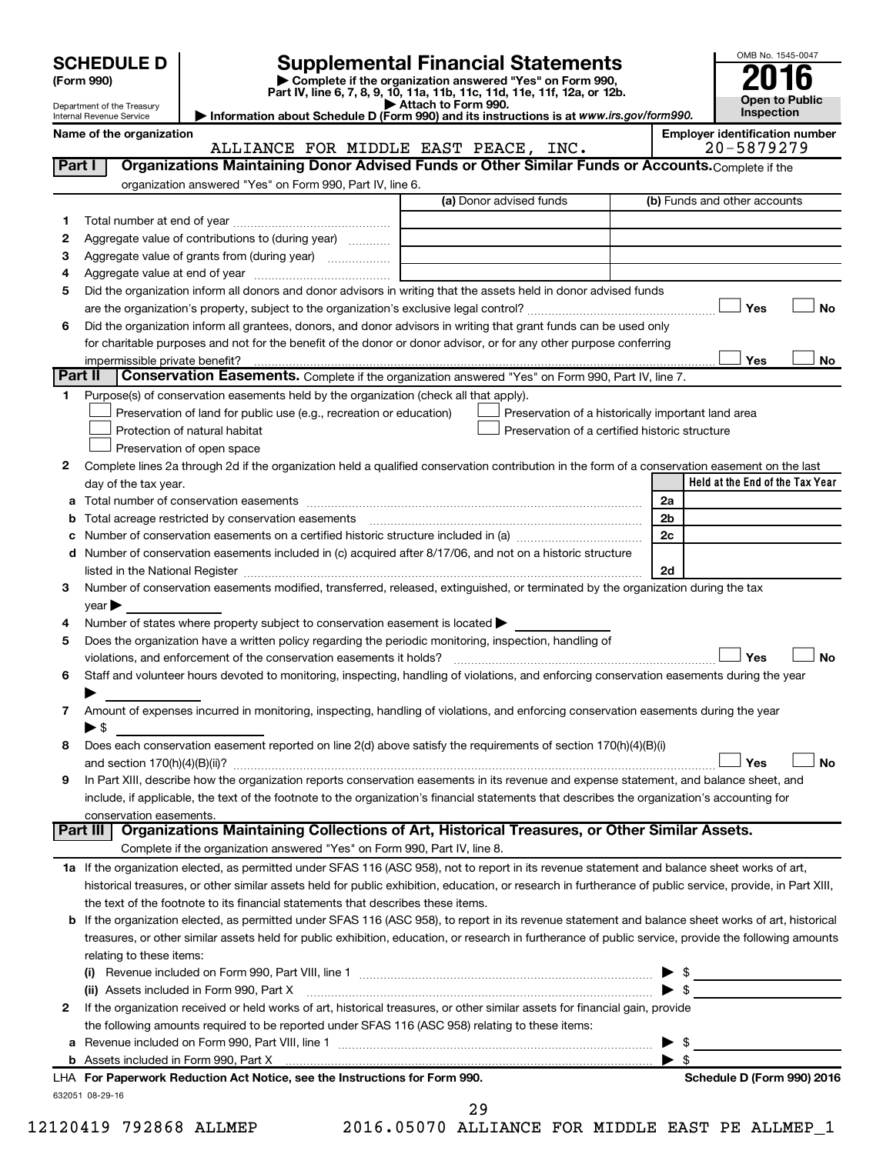| <b>SCHEDULE D</b> |  |
|-------------------|--|
|-------------------|--|

| (Form 990) |  |
|------------|--|
|------------|--|

## **SCHEDULE D Supplemental Financial Statements**<br> **Form 990 2016**<br> **Part IV** line 6.7.8.9.10, 11a, 11b, 11d, 11d, 11d, 11d, 11d, 12a, 0r, 12b

**(Form 990) | Complete if the organization answered "Yes" on Form 990, Part IV, line 6, 7, 8, 9, 10, 11a, 11b, 11c, 11d, 11e, 11f, 12a, or 12b.**

**| Attach to Form 990. | Information about Schedule D (Form 990) and its instructions is at**  *www.irs.gov/form990.*



|                | Department of the Treasury<br>Internal Revenue Service                                                                                                                                                                                        | ► Attach to Form 990.<br>Information about Schedule D (Form 990) and its instructions is at www.irs.gov/form990. |                          | Inspection                            |
|----------------|-----------------------------------------------------------------------------------------------------------------------------------------------------------------------------------------------------------------------------------------------|------------------------------------------------------------------------------------------------------------------|--------------------------|---------------------------------------|
|                | Name of the organization                                                                                                                                                                                                                      |                                                                                                                  |                          | <b>Employer identification number</b> |
|                |                                                                                                                                                                                                                                               | ALLIANCE FOR MIDDLE EAST PEACE, INC.                                                                             |                          | 20-5879279                            |
| Part I         | Organizations Maintaining Donor Advised Funds or Other Similar Funds or Accounts. Complete if the                                                                                                                                             |                                                                                                                  |                          |                                       |
|                | organization answered "Yes" on Form 990, Part IV, line 6.                                                                                                                                                                                     |                                                                                                                  |                          |                                       |
|                |                                                                                                                                                                                                                                               | (a) Donor advised funds                                                                                          |                          | (b) Funds and other accounts          |
| 1.             |                                                                                                                                                                                                                                               |                                                                                                                  |                          |                                       |
| 2              | Aggregate value of contributions to (during year)                                                                                                                                                                                             |                                                                                                                  |                          |                                       |
| з              | Aggregate value of grants from (during year)                                                                                                                                                                                                  |                                                                                                                  |                          |                                       |
| 4              |                                                                                                                                                                                                                                               |                                                                                                                  |                          |                                       |
| 5              | Did the organization inform all donors and donor advisors in writing that the assets held in donor advised funds                                                                                                                              |                                                                                                                  |                          |                                       |
|                |                                                                                                                                                                                                                                               |                                                                                                                  |                          | Yes<br>No                             |
| 6              | Did the organization inform all grantees, donors, and donor advisors in writing that grant funds can be used only                                                                                                                             |                                                                                                                  |                          |                                       |
|                | for charitable purposes and not for the benefit of the donor or donor advisor, or for any other purpose conferring                                                                                                                            |                                                                                                                  |                          |                                       |
| <b>Part II</b> | impermissible private benefit?<br><b>Conservation Easements.</b> Complete if the organization answered "Yes" on Form 990, Part IV, line 7.                                                                                                    |                                                                                                                  |                          | Yes<br>No                             |
|                | Purpose(s) of conservation easements held by the organization (check all that apply).                                                                                                                                                         |                                                                                                                  |                          |                                       |
| 1              | Preservation of land for public use (e.g., recreation or education)                                                                                                                                                                           |                                                                                                                  |                          |                                       |
|                | Protection of natural habitat                                                                                                                                                                                                                 | Preservation of a historically important land area<br>Preservation of a certified historic structure             |                          |                                       |
|                | Preservation of open space                                                                                                                                                                                                                    |                                                                                                                  |                          |                                       |
| 2              |                                                                                                                                                                                                                                               |                                                                                                                  |                          |                                       |
|                | Complete lines 2a through 2d if the organization held a qualified conservation contribution in the form of a conservation easement on the last<br>day of the tax year.                                                                        |                                                                                                                  |                          | Held at the End of the Tax Year       |
|                |                                                                                                                                                                                                                                               |                                                                                                                  | 2a                       |                                       |
| b              | Total acreage restricted by conservation easements                                                                                                                                                                                            |                                                                                                                  | 2b                       |                                       |
| с              |                                                                                                                                                                                                                                               |                                                                                                                  | 2c                       |                                       |
| d              | Number of conservation easements included in (c) acquired after 8/17/06, and not on a historic structure                                                                                                                                      |                                                                                                                  |                          |                                       |
|                |                                                                                                                                                                                                                                               |                                                                                                                  | 2d                       |                                       |
| 3              | Number of conservation easements modified, transferred, released, extinguished, or terminated by the organization during the tax                                                                                                              |                                                                                                                  |                          |                                       |
|                | $year \triangleright$                                                                                                                                                                                                                         |                                                                                                                  |                          |                                       |
| 4              | Number of states where property subject to conservation easement is located >                                                                                                                                                                 |                                                                                                                  |                          |                                       |
| 5              | Does the organization have a written policy regarding the periodic monitoring, inspection, handling of                                                                                                                                        |                                                                                                                  |                          |                                       |
|                | violations, and enforcement of the conservation easements it holds?                                                                                                                                                                           |                                                                                                                  |                          | Yes<br>No                             |
| 6              | Staff and volunteer hours devoted to monitoring, inspecting, handling of violations, and enforcing conservation easements during the year                                                                                                     |                                                                                                                  |                          |                                       |
|                |                                                                                                                                                                                                                                               |                                                                                                                  |                          |                                       |
| 7              | Amount of expenses incurred in monitoring, inspecting, handling of violations, and enforcing conservation easements during the year                                                                                                           |                                                                                                                  |                          |                                       |
|                | ► \$                                                                                                                                                                                                                                          |                                                                                                                  |                          |                                       |
| 8              | Does each conservation easement reported on line 2(d) above satisfy the requirements of section 170(h)(4)(B)(i)                                                                                                                               |                                                                                                                  |                          |                                       |
|                |                                                                                                                                                                                                                                               |                                                                                                                  |                          | J No<br>Yes                           |
| 9              | In Part XIII, describe how the organization reports conservation easements in its revenue and expense statement, and balance sheet, and                                                                                                       |                                                                                                                  |                          |                                       |
|                | include, if applicable, the text of the footnote to the organization's financial statements that describes the organization's accounting for                                                                                                  |                                                                                                                  |                          |                                       |
|                | conservation easements.                                                                                                                                                                                                                       |                                                                                                                  |                          |                                       |
|                | Organizations Maintaining Collections of Art, Historical Treasures, or Other Similar Assets.<br>Part III                                                                                                                                      |                                                                                                                  |                          |                                       |
|                | Complete if the organization answered "Yes" on Form 990, Part IV, line 8.                                                                                                                                                                     |                                                                                                                  |                          |                                       |
|                | 1a If the organization elected, as permitted under SFAS 116 (ASC 958), not to report in its revenue statement and balance sheet works of art,                                                                                                 |                                                                                                                  |                          |                                       |
|                | historical treasures, or other similar assets held for public exhibition, education, or research in furtherance of public service, provide, in Part XIII,<br>the text of the footnote to its financial statements that describes these items. |                                                                                                                  |                          |                                       |
|                | <b>b</b> If the organization elected, as permitted under SFAS 116 (ASC 958), to report in its revenue statement and balance sheet works of art, historical                                                                                    |                                                                                                                  |                          |                                       |
|                | treasures, or other similar assets held for public exhibition, education, or research in furtherance of public service, provide the following amounts                                                                                         |                                                                                                                  |                          |                                       |
|                | relating to these items:                                                                                                                                                                                                                      |                                                                                                                  |                          |                                       |
|                |                                                                                                                                                                                                                                               |                                                                                                                  |                          |                                       |
|                | (ii) Assets included in Form 990, Part X [11] [2000] [2010] Assets included in Form 990, Part X                                                                                                                                               |                                                                                                                  | $\blacktriangleright$ \$ |                                       |
| 2              | If the organization received or held works of art, historical treasures, or other similar assets for financial gain, provide                                                                                                                  |                                                                                                                  |                          |                                       |
|                | the following amounts required to be reported under SFAS 116 (ASC 958) relating to these items:                                                                                                                                               |                                                                                                                  |                          |                                       |
|                |                                                                                                                                                                                                                                               |                                                                                                                  | -5                       |                                       |
|                |                                                                                                                                                                                                                                               |                                                                                                                  | \$                       |                                       |
|                | LHA For Paperwork Reduction Act Notice, see the Instructions for Form 990.                                                                                                                                                                    |                                                                                                                  |                          | Schedule D (Form 990) 2016            |

29

632051 08-29-16

12120419 792868 ALLMEP 2016.05070 ALLIANCE FOR MIDDLE EAST PE ALLMEP\_1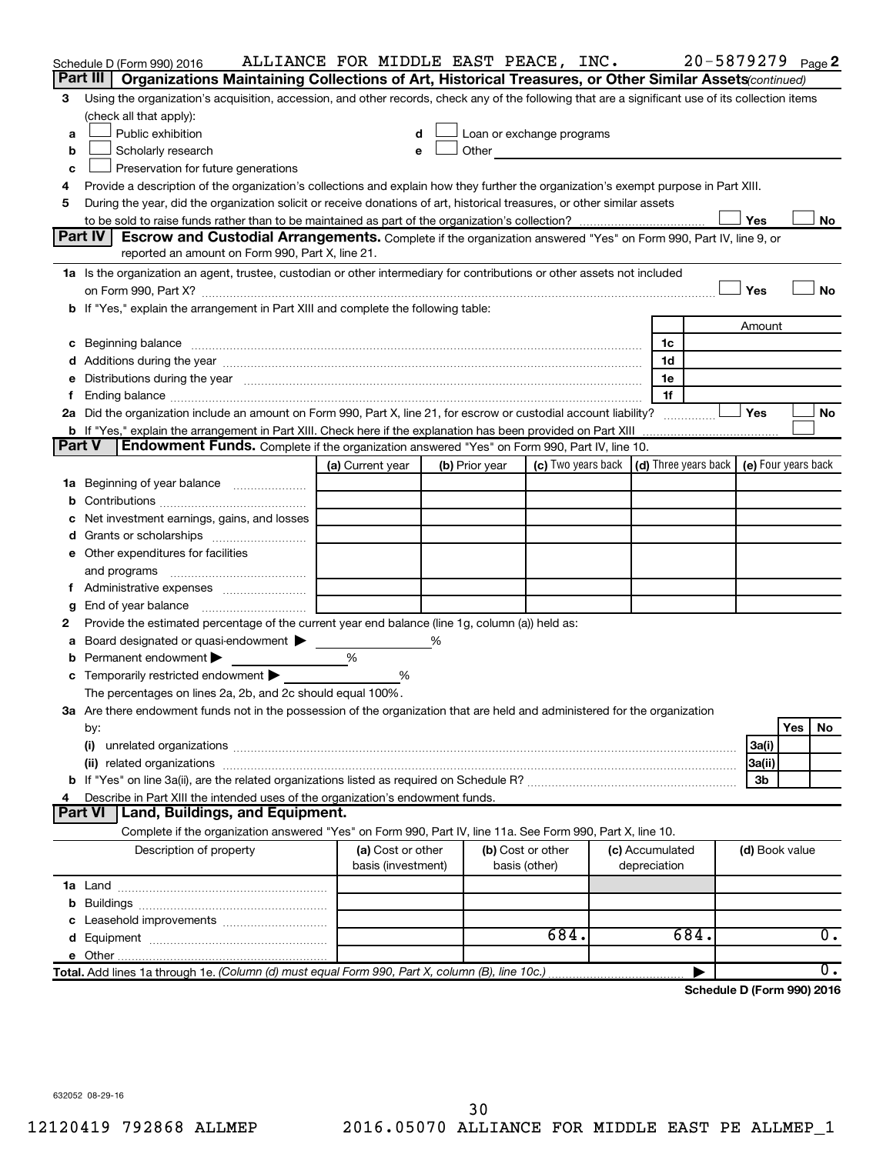|               | Schedule D (Form 990) 2016                                                                                                                                                                                                     | ALLIANCE FOR MIDDLE EAST PEACE, INC. |                |                                                                                                                                                                                                                               |                 | 20-5879279 Page 2 |                |     |           |
|---------------|--------------------------------------------------------------------------------------------------------------------------------------------------------------------------------------------------------------------------------|--------------------------------------|----------------|-------------------------------------------------------------------------------------------------------------------------------------------------------------------------------------------------------------------------------|-----------------|-------------------|----------------|-----|-----------|
|               | Part III<br>Organizations Maintaining Collections of Art, Historical Treasures, or Other Similar Assets (continued)                                                                                                            |                                      |                |                                                                                                                                                                                                                               |                 |                   |                |     |           |
| З             | Using the organization's acquisition, accession, and other records, check any of the following that are a significant use of its collection items<br>(check all that apply):                                                   |                                      |                |                                                                                                                                                                                                                               |                 |                   |                |     |           |
| a             | Public exhibition                                                                                                                                                                                                              |                                      |                | Loan or exchange programs                                                                                                                                                                                                     |                 |                   |                |     |           |
| b             | Scholarly research                                                                                                                                                                                                             |                                      |                | Other and the contract of the contract of the contract of the contract of the contract of the contract of the contract of the contract of the contract of the contract of the contract of the contract of the contract of the |                 |                   |                |     |           |
| c             | Preservation for future generations                                                                                                                                                                                            |                                      |                |                                                                                                                                                                                                                               |                 |                   |                |     |           |
| 4             | Provide a description of the organization's collections and explain how they further the organization's exempt purpose in Part XIII.                                                                                           |                                      |                |                                                                                                                                                                                                                               |                 |                   |                |     |           |
| 5             | During the year, did the organization solicit or receive donations of art, historical treasures, or other similar assets                                                                                                       |                                      |                |                                                                                                                                                                                                                               |                 |                   |                |     |           |
|               |                                                                                                                                                                                                                                |                                      |                |                                                                                                                                                                                                                               |                 |                   | Yes            |     | No        |
|               | Part IV<br><b>Escrow and Custodial Arrangements.</b> Complete if the organization answered "Yes" on Form 990, Part IV, line 9, or                                                                                              |                                      |                |                                                                                                                                                                                                                               |                 |                   |                |     |           |
|               | reported an amount on Form 990, Part X, line 21.                                                                                                                                                                               |                                      |                |                                                                                                                                                                                                                               |                 |                   |                |     |           |
|               | 1a Is the organization an agent, trustee, custodian or other intermediary for contributions or other assets not included                                                                                                       |                                      |                |                                                                                                                                                                                                                               |                 |                   |                |     |           |
|               | on Form 990, Part X? [11] matter and the contract of the contract of the contract of the contract of the contract of the contract of the contract of the contract of the contract of the contract of the contract of the contr |                                      |                |                                                                                                                                                                                                                               |                 |                   | Yes            |     | <b>No</b> |
|               | b If "Yes," explain the arrangement in Part XIII and complete the following table:                                                                                                                                             |                                      |                |                                                                                                                                                                                                                               |                 |                   |                |     |           |
|               |                                                                                                                                                                                                                                |                                      |                |                                                                                                                                                                                                                               |                 |                   | Amount         |     |           |
|               |                                                                                                                                                                                                                                |                                      |                |                                                                                                                                                                                                                               | 1c              |                   |                |     |           |
|               |                                                                                                                                                                                                                                |                                      |                |                                                                                                                                                                                                                               | 1d              |                   |                |     |           |
|               | e Distributions during the year manufactured and continuum control of the control of the control of the state of the control of the control of the control of the control of the control of the control of the control of the  |                                      |                |                                                                                                                                                                                                                               | 1e              |                   |                |     |           |
| f.            |                                                                                                                                                                                                                                |                                      |                |                                                                                                                                                                                                                               | 1f              |                   |                |     |           |
|               | 2a Did the organization include an amount on Form 990, Part X, line 21, for escrow or custodial account liability?                                                                                                             |                                      |                |                                                                                                                                                                                                                               |                 |                   | Yes            |     | No        |
| <b>Part V</b> | <b>b</b> If "Yes," explain the arrangement in Part XIII. Check here if the explanation has been provided on Part XIII<br><b>Endowment Funds.</b> Complete if the organization answered "Yes" on Form 990, Part IV, line 10.    |                                      |                |                                                                                                                                                                                                                               |                 |                   |                |     |           |
|               |                                                                                                                                                                                                                                | (a) Current year                     | (b) Prior year | (c) Two years back $\vert$ (d) Three years back $\vert$ (e) Four years back                                                                                                                                                   |                 |                   |                |     |           |
|               | 1a Beginning of year balance                                                                                                                                                                                                   |                                      |                |                                                                                                                                                                                                                               |                 |                   |                |     |           |
| b             |                                                                                                                                                                                                                                |                                      |                |                                                                                                                                                                                                                               |                 |                   |                |     |           |
| c             | Net investment earnings, gains, and losses                                                                                                                                                                                     |                                      |                |                                                                                                                                                                                                                               |                 |                   |                |     |           |
|               |                                                                                                                                                                                                                                |                                      |                |                                                                                                                                                                                                                               |                 |                   |                |     |           |
|               | e Other expenditures for facilities                                                                                                                                                                                            |                                      |                |                                                                                                                                                                                                                               |                 |                   |                |     |           |
|               | and programs                                                                                                                                                                                                                   |                                      |                |                                                                                                                                                                                                                               |                 |                   |                |     |           |
|               |                                                                                                                                                                                                                                |                                      |                |                                                                                                                                                                                                                               |                 |                   |                |     |           |
| g             |                                                                                                                                                                                                                                |                                      |                |                                                                                                                                                                                                                               |                 |                   |                |     |           |
| 2             | Provide the estimated percentage of the current year end balance (line 1g, column (a)) held as:                                                                                                                                |                                      |                |                                                                                                                                                                                                                               |                 |                   |                |     |           |
| а             | Board designated or quasi-endowment >                                                                                                                                                                                          |                                      | %              |                                                                                                                                                                                                                               |                 |                   |                |     |           |
| b             | Permanent endowment                                                                                                                                                                                                            | %                                    |                |                                                                                                                                                                                                                               |                 |                   |                |     |           |
|               | <b>c</b> Temporarily restricted endowment $\blacktriangleright$                                                                                                                                                                | %                                    |                |                                                                                                                                                                                                                               |                 |                   |                |     |           |
|               | The percentages on lines 2a, 2b, and 2c should equal 100%.                                                                                                                                                                     |                                      |                |                                                                                                                                                                                                                               |                 |                   |                |     |           |
|               | 3a Are there endowment funds not in the possession of the organization that are held and administered for the organization                                                                                                     |                                      |                |                                                                                                                                                                                                                               |                 |                   |                |     |           |
|               | by:                                                                                                                                                                                                                            |                                      |                |                                                                                                                                                                                                                               |                 |                   |                | Yes | No        |
|               | (i)                                                                                                                                                                                                                            |                                      |                |                                                                                                                                                                                                                               |                 |                   | 3a(i)          |     |           |
|               |                                                                                                                                                                                                                                |                                      |                |                                                                                                                                                                                                                               |                 |                   | 3a(ii)         |     |           |
|               |                                                                                                                                                                                                                                |                                      |                |                                                                                                                                                                                                                               |                 |                   | 3b             |     |           |
| 4             | Describe in Part XIII the intended uses of the organization's endowment funds.<br><b>Land, Buildings, and Equipment.</b><br><b>Part VI</b>                                                                                     |                                      |                |                                                                                                                                                                                                                               |                 |                   |                |     |           |
|               | Complete if the organization answered "Yes" on Form 990, Part IV, line 11a. See Form 990, Part X, line 10.                                                                                                                     |                                      |                |                                                                                                                                                                                                                               |                 |                   |                |     |           |
|               | Description of property                                                                                                                                                                                                        | (a) Cost or other                    |                | (b) Cost or other                                                                                                                                                                                                             | (c) Accumulated |                   | (d) Book value |     |           |
|               |                                                                                                                                                                                                                                | basis (investment)                   |                | basis (other)                                                                                                                                                                                                                 | depreciation    |                   |                |     |           |
|               |                                                                                                                                                                                                                                |                                      |                |                                                                                                                                                                                                                               |                 |                   |                |     |           |
|               |                                                                                                                                                                                                                                |                                      |                |                                                                                                                                                                                                                               |                 |                   |                |     |           |
|               |                                                                                                                                                                                                                                |                                      |                |                                                                                                                                                                                                                               |                 |                   |                |     |           |
|               |                                                                                                                                                                                                                                |                                      |                | 684.                                                                                                                                                                                                                          | 684.            |                   |                |     | 0.        |
|               |                                                                                                                                                                                                                                |                                      |                |                                                                                                                                                                                                                               |                 |                   |                |     |           |
|               | Total. Add lines 1a through 1e. (Column (d) must equal Form 990, Part X, column (B), line 10c.)                                                                                                                                |                                      |                |                                                                                                                                                                                                                               |                 |                   |                |     | 0.        |
|               |                                                                                                                                                                                                                                |                                      |                |                                                                                                                                                                                                                               |                 |                   |                |     |           |

**Schedule D (Form 990) 2016**

632052 08-29-16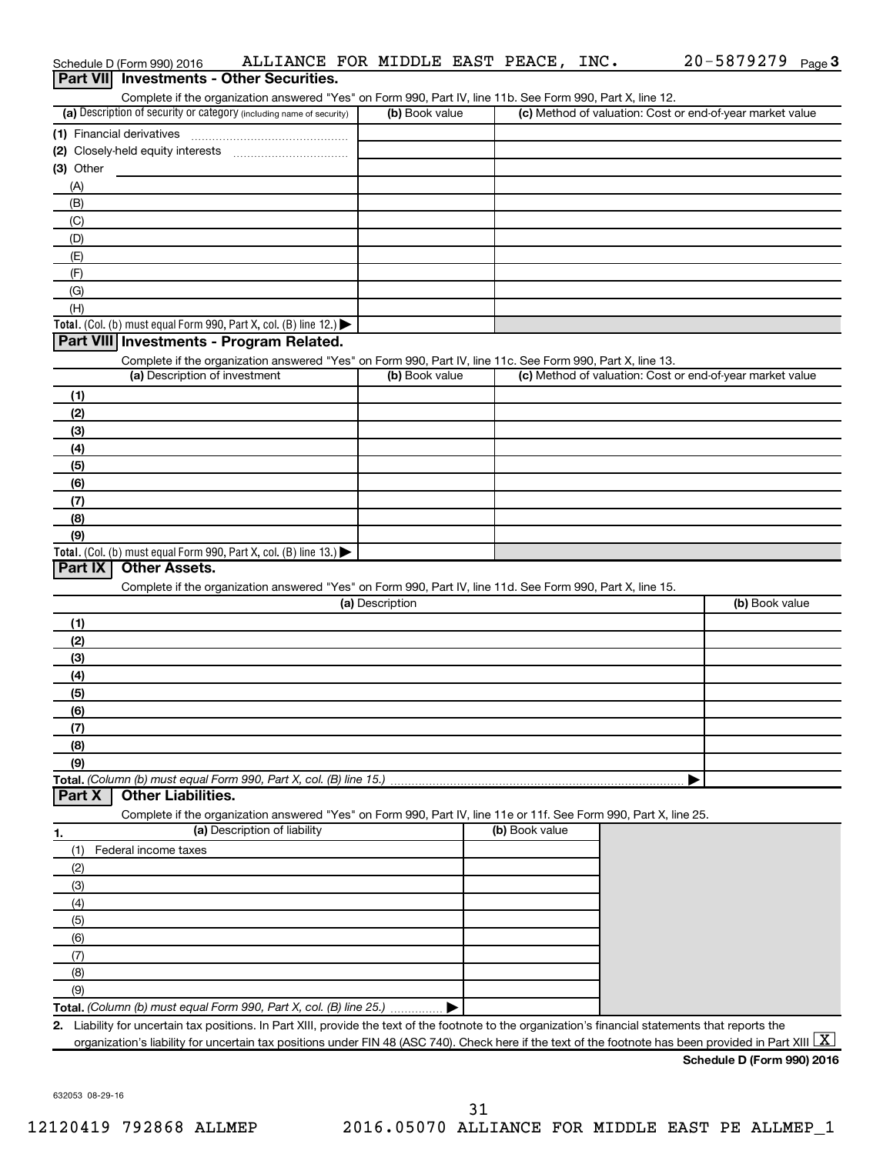|                            | Complete if the organization answered "Yes" on Form 990, Part IV, line 11b. See Form 990, Part X, line 12.                                                                                                                                                                                                       |                 |                |                                                           |
|----------------------------|------------------------------------------------------------------------------------------------------------------------------------------------------------------------------------------------------------------------------------------------------------------------------------------------------------------|-----------------|----------------|-----------------------------------------------------------|
|                            | (a) Description of security or category (including name of security)                                                                                                                                                                                                                                             | (b) Book value  |                | (c) Method of valuation: Cost or end-of-year market value |
|                            | (1) Financial derivatives                                                                                                                                                                                                                                                                                        |                 |                |                                                           |
|                            |                                                                                                                                                                                                                                                                                                                  |                 |                |                                                           |
| $(3)$ Other                |                                                                                                                                                                                                                                                                                                                  |                 |                |                                                           |
| (A)                        |                                                                                                                                                                                                                                                                                                                  |                 |                |                                                           |
| (B)                        |                                                                                                                                                                                                                                                                                                                  |                 |                |                                                           |
| (C)                        |                                                                                                                                                                                                                                                                                                                  |                 |                |                                                           |
| (D)                        |                                                                                                                                                                                                                                                                                                                  |                 |                |                                                           |
| (E)                        |                                                                                                                                                                                                                                                                                                                  |                 |                |                                                           |
| (F)<br>(G)                 |                                                                                                                                                                                                                                                                                                                  |                 |                |                                                           |
| (H)                        |                                                                                                                                                                                                                                                                                                                  |                 |                |                                                           |
|                            | Total. (Col. (b) must equal Form 990, Part X, col. (B) line 12.)                                                                                                                                                                                                                                                 |                 |                |                                                           |
|                            | Part VIII Investments - Program Related.                                                                                                                                                                                                                                                                         |                 |                |                                                           |
|                            | Complete if the organization answered "Yes" on Form 990, Part IV, line 11c. See Form 990, Part X, line 13.                                                                                                                                                                                                       |                 |                |                                                           |
|                            | (a) Description of investment                                                                                                                                                                                                                                                                                    | (b) Book value  |                | (c) Method of valuation: Cost or end-of-year market value |
| (1)                        |                                                                                                                                                                                                                                                                                                                  |                 |                |                                                           |
| (2)                        |                                                                                                                                                                                                                                                                                                                  |                 |                |                                                           |
| (3)                        |                                                                                                                                                                                                                                                                                                                  |                 |                |                                                           |
| (4)                        |                                                                                                                                                                                                                                                                                                                  |                 |                |                                                           |
| (5)                        |                                                                                                                                                                                                                                                                                                                  |                 |                |                                                           |
| (6)                        |                                                                                                                                                                                                                                                                                                                  |                 |                |                                                           |
| (7)                        |                                                                                                                                                                                                                                                                                                                  |                 |                |                                                           |
| (8)                        |                                                                                                                                                                                                                                                                                                                  |                 |                |                                                           |
| (9)                        |                                                                                                                                                                                                                                                                                                                  |                 |                |                                                           |
| <b>Part IX</b>             | Total. (Col. (b) must equal Form 990, Part X, col. (B) line 13.)<br><b>Other Assets.</b>                                                                                                                                                                                                                         |                 |                |                                                           |
|                            |                                                                                                                                                                                                                                                                                                                  |                 |                |                                                           |
|                            |                                                                                                                                                                                                                                                                                                                  |                 |                |                                                           |
|                            | Complete if the organization answered "Yes" on Form 990, Part IV, line 11d. See Form 990, Part X, line 15.                                                                                                                                                                                                       | (a) Description |                | (b) Book value                                            |
|                            |                                                                                                                                                                                                                                                                                                                  |                 |                |                                                           |
| (1)                        |                                                                                                                                                                                                                                                                                                                  |                 |                |                                                           |
| (2)                        |                                                                                                                                                                                                                                                                                                                  |                 |                |                                                           |
| (3)<br>(4)                 |                                                                                                                                                                                                                                                                                                                  |                 |                |                                                           |
| (5)                        |                                                                                                                                                                                                                                                                                                                  |                 |                |                                                           |
| (6)                        |                                                                                                                                                                                                                                                                                                                  |                 |                |                                                           |
| (7)                        |                                                                                                                                                                                                                                                                                                                  |                 |                |                                                           |
| (8)                        |                                                                                                                                                                                                                                                                                                                  |                 |                |                                                           |
| (9)                        |                                                                                                                                                                                                                                                                                                                  |                 |                |                                                           |
|                            | Total. (Column (b) must equal Form 990, Part X, col. (B) line 15.)                                                                                                                                                                                                                                               |                 |                |                                                           |
|                            | <b>Other Liabilities.</b>                                                                                                                                                                                                                                                                                        |                 |                |                                                           |
|                            | Complete if the organization answered "Yes" on Form 990, Part IV, line 11e or 11f. See Form 990, Part X, line 25.                                                                                                                                                                                                |                 |                |                                                           |
|                            | (a) Description of liability                                                                                                                                                                                                                                                                                     |                 | (b) Book value |                                                           |
| (1)                        | Federal income taxes                                                                                                                                                                                                                                                                                             |                 |                |                                                           |
| (2)                        |                                                                                                                                                                                                                                                                                                                  |                 |                |                                                           |
| (3)                        |                                                                                                                                                                                                                                                                                                                  |                 |                |                                                           |
| (4)                        |                                                                                                                                                                                                                                                                                                                  |                 |                |                                                           |
| (5)                        |                                                                                                                                                                                                                                                                                                                  |                 |                |                                                           |
| (6)<br>(7)                 |                                                                                                                                                                                                                                                                                                                  |                 |                |                                                           |
| <b>Part X</b><br>1.<br>(8) |                                                                                                                                                                                                                                                                                                                  |                 |                |                                                           |
| (9)                        |                                                                                                                                                                                                                                                                                                                  |                 |                |                                                           |
|                            | Total. (Column (b) must equal Form 990, Part X, col. (B) line 25.)                                                                                                                                                                                                                                               |                 |                |                                                           |
|                            | 2. Liability for uncertain tax positions. In Part XIII, provide the text of the footnote to the organization's financial statements that reports the<br>organization's liability for uncertain tax positions under FIN 48 (ASC 740). Check here if the text of the footnote has been provided in Part XIII $ X $ |                 |                |                                                           |

Schedule D (Form 990) 2016  $\;$  <code>ALLIANCE FOR MIDDLE EAST PEACE, INC.</code>  $\;$   $\;$  20-5879279 <code>Page</code>

20-5879279 Page 3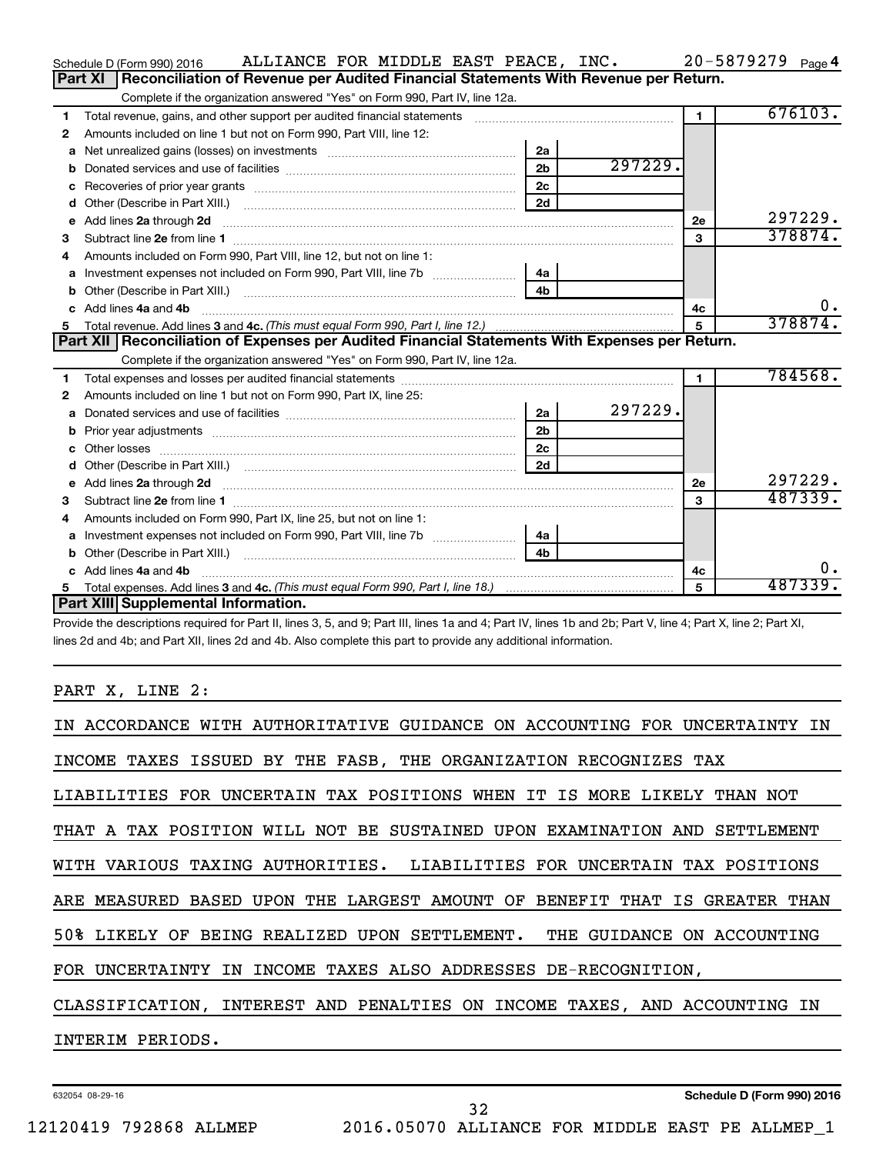|    | ALLIANCE FOR MIDDLE EAST PEACE, INC.<br>Schedule D (Form 990) 2016                                                                                                                                                                  |                |         |                | $20 - 5879279$ Page 4 |
|----|-------------------------------------------------------------------------------------------------------------------------------------------------------------------------------------------------------------------------------------|----------------|---------|----------------|-----------------------|
|    | Reconciliation of Revenue per Audited Financial Statements With Revenue per Return.<br><b>Part XI</b>                                                                                                                               |                |         |                |                       |
|    | Complete if the organization answered "Yes" on Form 990, Part IV, line 12a.                                                                                                                                                         |                |         |                |                       |
| 1  | Total revenue, gains, and other support per audited financial statements                                                                                                                                                            |                |         | $\overline{1}$ | 676103.               |
| 2  | Amounts included on line 1 but not on Form 990, Part VIII, line 12:                                                                                                                                                                 |                |         |                |                       |
| a  |                                                                                                                                                                                                                                     | 2a             |         |                |                       |
|    |                                                                                                                                                                                                                                     | 2 <sub>b</sub> | 297229. |                |                       |
| c  |                                                                                                                                                                                                                                     | 2c             |         |                |                       |
| d  | Other (Describe in Part XIII.) <b>2006</b> 2007 2010 2010 2010 2010 2011 2012 2013 2014 2015 2016 2017 2018 2019 2016 2016 2017 2018 2019 2016 2017 2018 2019 2016 2017 2018 2019 2018 2019 2016 2017 2018 2019 2019 2019 2018 2019 | 2d             |         |                |                       |
| е  |                                                                                                                                                                                                                                     |                |         | <b>2e</b>      | 297229.               |
| 3  |                                                                                                                                                                                                                                     |                |         | 3              | 378874.               |
| 4  | Amounts included on Form 990, Part VIII, line 12, but not on line 1:                                                                                                                                                                |                |         |                |                       |
|    | Investment expenses not included on Form 990, Part VIII, line 7b [11, 11, 120]   4a                                                                                                                                                 |                |         |                |                       |
|    |                                                                                                                                                                                                                                     | 4 <sub>h</sub> |         |                |                       |
|    | c Add lines 4a and 4b                                                                                                                                                                                                               |                |         | 4с             | 0.                    |
|    |                                                                                                                                                                                                                                     |                |         | $\mathbf{5}$   | 378874.               |
|    |                                                                                                                                                                                                                                     |                |         |                |                       |
|    | Part XII   Reconciliation of Expenses per Audited Financial Statements With Expenses per Return.                                                                                                                                    |                |         |                |                       |
|    | Complete if the organization answered "Yes" on Form 990, Part IV, line 12a.                                                                                                                                                         |                |         |                |                       |
| 1. |                                                                                                                                                                                                                                     |                |         | $\mathbf{1}$   | 784568.               |
| 2  | Amounts included on line 1 but not on Form 990, Part IX, line 25:                                                                                                                                                                   |                |         |                |                       |
| a  |                                                                                                                                                                                                                                     | 2a             | 297229. |                |                       |
| b  |                                                                                                                                                                                                                                     | 2 <sub>b</sub> |         |                |                       |
|    |                                                                                                                                                                                                                                     | 2 <sub>c</sub> |         |                |                       |
| d  |                                                                                                                                                                                                                                     | 2d             |         |                |                       |
|    |                                                                                                                                                                                                                                     |                |         | 2е             | 297229.               |
| 3  |                                                                                                                                                                                                                                     |                |         | 3              | 487339.               |
| 4  | Amounts included on Form 990, Part IX, line 25, but not on line 1:                                                                                                                                                                  |                |         |                |                       |
| a  | Investment expenses not included on Form 990, Part VIII, line 7b   4a                                                                                                                                                               |                |         |                |                       |
|    |                                                                                                                                                                                                                                     | 4 <sub>b</sub> |         |                |                       |
|    | c Add lines 4a and 4b                                                                                                                                                                                                               |                |         | 4с             | 0.                    |
|    | Part XIII Supplemental Information.                                                                                                                                                                                                 |                |         | 5              | 487339.               |

Provide the descriptions required for Part II, lines 3, 5, and 9; Part III, lines 1a and 4; Part IV, lines 1b and 2b; Part V, line 4; Part X, line 2; Part XI, lines 2d and 4b; and Part XII, lines 2d and 4b. Also complete this part to provide any additional information.

### PART X, LINE 2:

| IN ACCORDANCE WITH AUTHORITATIVE GUIDANCE ON ACCOUNTING FOR UNCERTAINTY IN |
|----------------------------------------------------------------------------|
| INCOME TAXES ISSUED BY THE FASB, THE ORGANIZATION RECOGNIZES TAX           |
| LIABILITIES FOR UNCERTAIN TAX POSITIONS WHEN IT IS MORE LIKELY THAN NOT    |
| THAT A TAX POSITION WILL NOT BE SUSTAINED UPON EXAMINATION AND SETTLEMENT  |
| WITH VARIOUS TAXING AUTHORITIES. LIABILITIES FOR UNCERTAIN TAX POSITIONS   |
| ARE MEASURED BASED UPON THE LARGEST AMOUNT OF BENEFIT THAT IS GREATER THAN |
| 50% LIKELY OF BEING REALIZED UPON SETTLEMENT. THE GUIDANCE ON ACCOUNTING   |
| FOR UNCERTAINTY IN INCOME TAXES ALSO ADDRESSES DE-RECOGNITION,             |
| CLASSIFICATION, INTEREST AND PENALTIES ON INCOME TAXES, AND ACCOUNTING IN  |
| INTERIM PERIODS.                                                           |
|                                                                            |

32

632054 08-29-16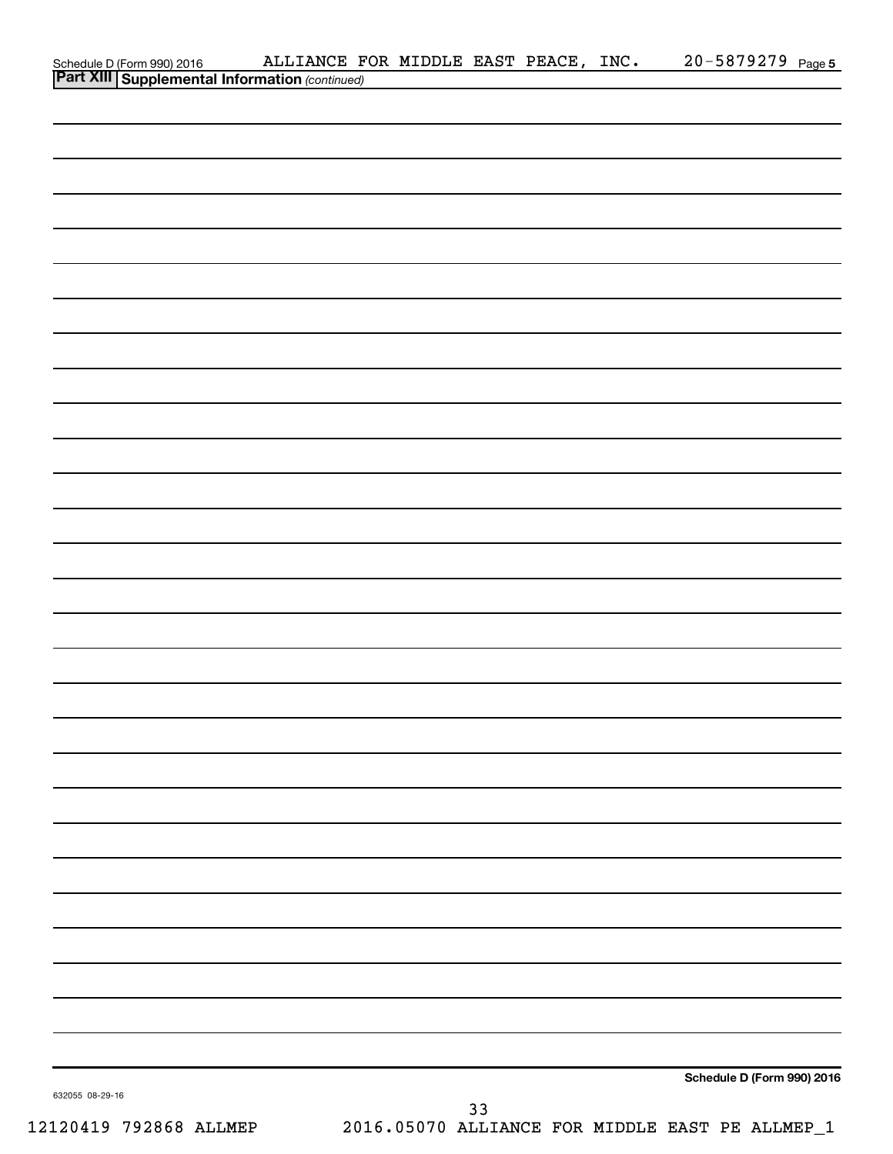|                                                                                           | ALLIANCE FOR MIDDLE EAST PEACE, INC. |     |  | 20-5879279 Page 5          |  |
|-------------------------------------------------------------------------------------------|--------------------------------------|-----|--|----------------------------|--|
| Schedule D (Form 990) 2016 ALLIANCE F<br>Part XIII   Supplemental Information (continued) |                                      |     |  |                            |  |
|                                                                                           |                                      |     |  |                            |  |
|                                                                                           |                                      |     |  |                            |  |
|                                                                                           |                                      |     |  |                            |  |
|                                                                                           |                                      |     |  |                            |  |
|                                                                                           |                                      |     |  |                            |  |
|                                                                                           |                                      |     |  |                            |  |
|                                                                                           |                                      |     |  |                            |  |
|                                                                                           |                                      |     |  |                            |  |
|                                                                                           |                                      |     |  |                            |  |
|                                                                                           |                                      |     |  |                            |  |
|                                                                                           |                                      |     |  |                            |  |
|                                                                                           |                                      |     |  |                            |  |
|                                                                                           |                                      |     |  |                            |  |
|                                                                                           |                                      |     |  |                            |  |
|                                                                                           |                                      |     |  |                            |  |
|                                                                                           |                                      |     |  |                            |  |
|                                                                                           |                                      |     |  |                            |  |
|                                                                                           |                                      |     |  |                            |  |
|                                                                                           |                                      |     |  |                            |  |
|                                                                                           |                                      |     |  |                            |  |
|                                                                                           |                                      |     |  |                            |  |
|                                                                                           |                                      |     |  |                            |  |
|                                                                                           |                                      |     |  |                            |  |
|                                                                                           |                                      |     |  |                            |  |
|                                                                                           |                                      |     |  |                            |  |
|                                                                                           |                                      |     |  |                            |  |
|                                                                                           |                                      |     |  |                            |  |
|                                                                                           |                                      |     |  |                            |  |
|                                                                                           |                                      |     |  |                            |  |
|                                                                                           |                                      |     |  |                            |  |
|                                                                                           |                                      |     |  |                            |  |
|                                                                                           |                                      |     |  |                            |  |
|                                                                                           |                                      |     |  |                            |  |
|                                                                                           |                                      |     |  |                            |  |
|                                                                                           |                                      |     |  |                            |  |
|                                                                                           |                                      |     |  |                            |  |
|                                                                                           |                                      |     |  |                            |  |
|                                                                                           |                                      |     |  |                            |  |
|                                                                                           |                                      |     |  |                            |  |
|                                                                                           |                                      |     |  |                            |  |
| 632055 08-29-16                                                                           |                                      |     |  | Schedule D (Form 990) 2016 |  |
|                                                                                           |                                      | າ າ |  |                            |  |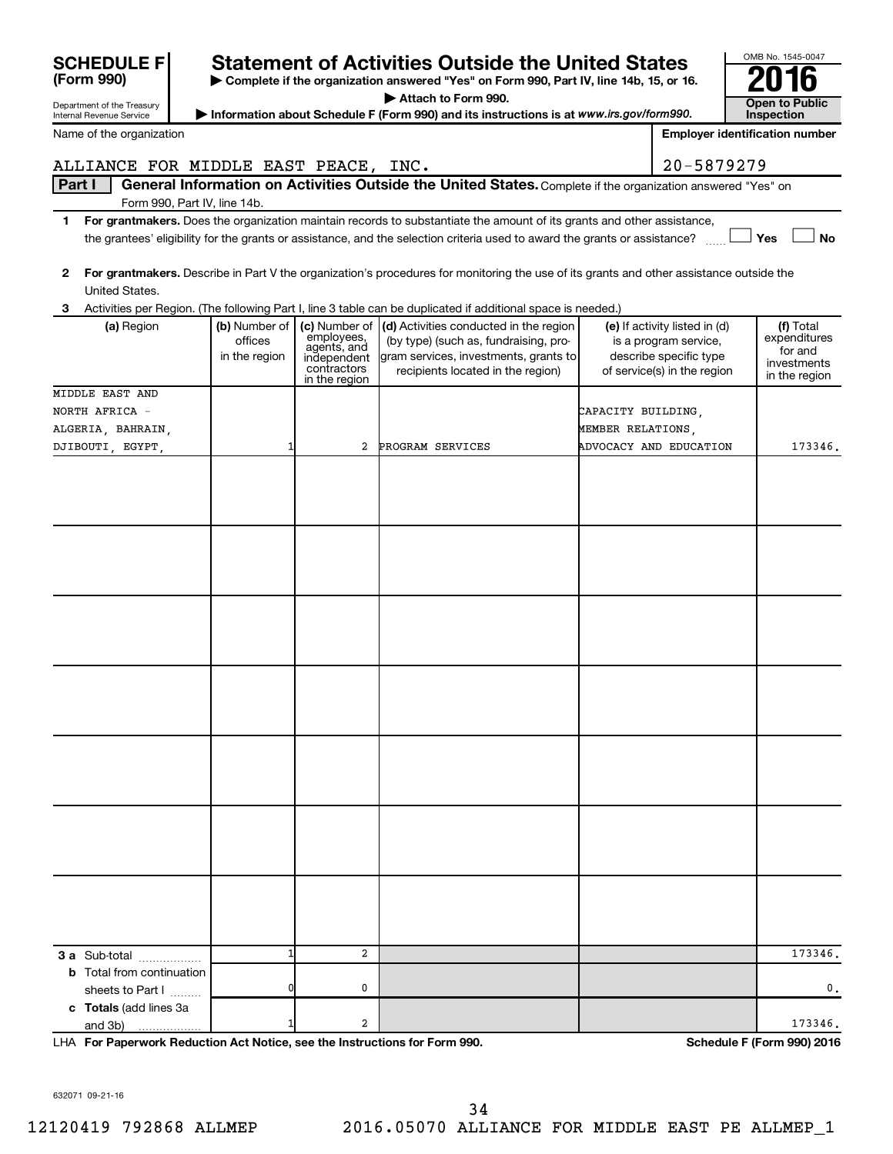| (Form 990)                                           |                                                             |                                                                          | > Complete if the organization answered "Yes" on Form 990, Part IV, line 14b, 15, or 16.                                                                                                                                                             |                        |                                                                                                                 | ZU 10                                                                |           |
|------------------------------------------------------|-------------------------------------------------------------|--------------------------------------------------------------------------|------------------------------------------------------------------------------------------------------------------------------------------------------------------------------------------------------------------------------------------------------|------------------------|-----------------------------------------------------------------------------------------------------------------|----------------------------------------------------------------------|-----------|
| Department of the Treasury                           |                                                             |                                                                          | Attach to Form 990.                                                                                                                                                                                                                                  |                        |                                                                                                                 | <b>Open to Public</b>                                                |           |
| Internal Revenue Service                             |                                                             |                                                                          | Information about Schedule F (Form 990) and its instructions is at www.irs.gov/form990.                                                                                                                                                              |                        |                                                                                                                 | <b>Inspection</b>                                                    |           |
| Name of the organization                             |                                                             |                                                                          |                                                                                                                                                                                                                                                      |                        |                                                                                                                 | <b>Employer identification number</b>                                |           |
| ALLIANCE FOR MIDDLE EAST PEACE, INC.                 |                                                             |                                                                          |                                                                                                                                                                                                                                                      |                        | 20-5879279                                                                                                      |                                                                      |           |
| Part I                                               |                                                             |                                                                          | General Information on Activities Outside the United States. Complete if the organization answered "Yes" on                                                                                                                                          |                        |                                                                                                                 |                                                                      |           |
| Form 990, Part IV, line 14b.                         |                                                             |                                                                          |                                                                                                                                                                                                                                                      |                        |                                                                                                                 |                                                                      |           |
| 1.                                                   |                                                             |                                                                          | For grantmakers. Does the organization maintain records to substantiate the amount of its grants and other assistance,<br>the grantees' eligibility for the grants or assistance, and the selection criteria used to award the grants or assistance? |                        |                                                                                                                 | Yes                                                                  | <b>No</b> |
| $\mathbf{2}$<br>United States.                       |                                                             |                                                                          | For grantmakers. Describe in Part V the organization's procedures for monitoring the use of its grants and other assistance outside the                                                                                                              |                        |                                                                                                                 |                                                                      |           |
| З                                                    |                                                             |                                                                          | Activities per Region. (The following Part I, line 3 table can be duplicated if additional space is needed.)                                                                                                                                         |                        |                                                                                                                 |                                                                      |           |
| (a) Region                                           | (b) Number of $ $ (c) Number of<br>offices<br>in the region | employees,<br>agents, and<br>independent<br>contractors<br>in the region | (d) Activities conducted in the region<br>(by type) (such as, fundraising, pro-<br>gram services, investments, grants to<br>recipients located in the region)                                                                                        |                        | (e) If activity listed in (d)<br>is a program service,<br>describe specific type<br>of service(s) in the region | (f) Total<br>expenditures<br>for and<br>investments<br>in the region |           |
| MIDDLE EAST AND                                      |                                                             |                                                                          |                                                                                                                                                                                                                                                      |                        |                                                                                                                 |                                                                      |           |
| NORTH AFRICA -                                       |                                                             |                                                                          |                                                                                                                                                                                                                                                      | CAPACITY BUILDING,     |                                                                                                                 |                                                                      |           |
| ALGERIA, BAHRAIN,                                    |                                                             |                                                                          |                                                                                                                                                                                                                                                      | MEMBER RELATIONS,      |                                                                                                                 |                                                                      |           |
| DJIBOUTI, EGYPT,                                     |                                                             | 2                                                                        | PROGRAM SERVICES                                                                                                                                                                                                                                     | ADVOCACY AND EDUCATION |                                                                                                                 | 173346.                                                              |           |
|                                                      |                                                             |                                                                          |                                                                                                                                                                                                                                                      |                        |                                                                                                                 |                                                                      |           |
|                                                      |                                                             |                                                                          |                                                                                                                                                                                                                                                      |                        |                                                                                                                 |                                                                      |           |
|                                                      |                                                             |                                                                          |                                                                                                                                                                                                                                                      |                        |                                                                                                                 |                                                                      |           |
|                                                      |                                                             |                                                                          |                                                                                                                                                                                                                                                      |                        |                                                                                                                 |                                                                      |           |
|                                                      |                                                             |                                                                          |                                                                                                                                                                                                                                                      |                        |                                                                                                                 |                                                                      |           |
|                                                      |                                                             |                                                                          |                                                                                                                                                                                                                                                      |                        |                                                                                                                 |                                                                      |           |
|                                                      |                                                             |                                                                          |                                                                                                                                                                                                                                                      |                        |                                                                                                                 |                                                                      |           |
|                                                      |                                                             |                                                                          |                                                                                                                                                                                                                                                      |                        |                                                                                                                 |                                                                      |           |
|                                                      |                                                             |                                                                          |                                                                                                                                                                                                                                                      |                        |                                                                                                                 |                                                                      |           |
|                                                      |                                                             |                                                                          |                                                                                                                                                                                                                                                      |                        |                                                                                                                 |                                                                      |           |
| 3 a Sub-total                                        | $\mathbf{1}$                                                | $\overline{a}$                                                           |                                                                                                                                                                                                                                                      |                        |                                                                                                                 | 173346.                                                              |           |
| <b>b</b> Total from continuation<br>sheets to Part I | 0                                                           | 0                                                                        |                                                                                                                                                                                                                                                      |                        |                                                                                                                 |                                                                      | 0.        |
| c Totals (add lines 3a<br>and 3b)<br>.               | 1                                                           | $\overline{\mathbf{2}}$                                                  |                                                                                                                                                                                                                                                      |                        |                                                                                                                 | 173346.                                                              |           |

**SCHEDULE F** Statement of Activities Outside the United States  $\frac{\text{OMB No. 1545-004}}{200-100}$ 

**For Paperwork Reduction Act Notice, see the Instructions for Form 990. Schedule F (Form 990) 2016** LHA

OMB No. 1545-0047

632071 09-21-16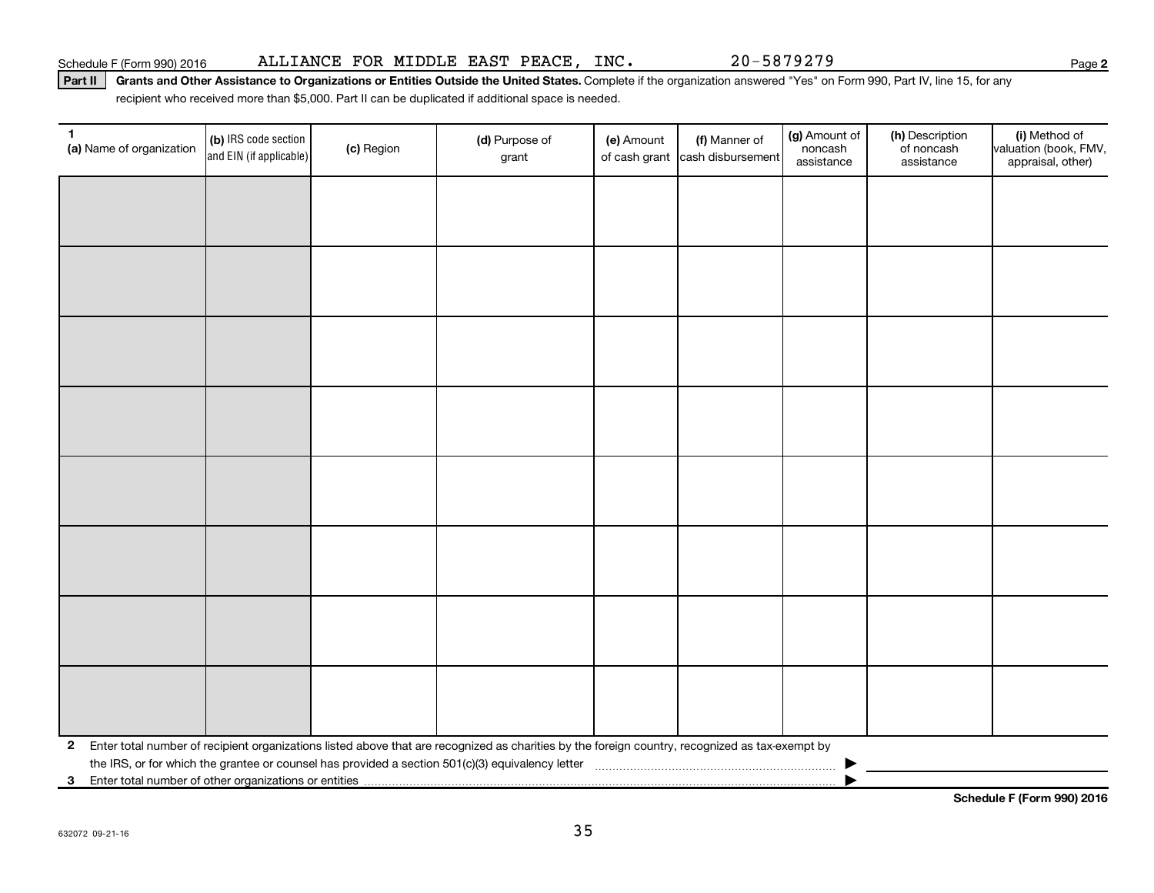Part II | Grants and Other Assistance to Organizations or Entities Outside the United States. Complete if the organization answered "Yes" on Form 990, Part IV, line 15, for any recipient who received more than \$5,000. Part II can be duplicated if additional space is needed.

| $\mathbf{1}$<br>(a) Name of organization                | (b) IRS code section<br>and EIN (if applicable) | (c) Region | (d) Purpose of<br>grant                                                                                                                         | (e) Amount | (f) Manner of<br>of cash grant cash disbursement | (g) Amount of<br>noncash<br>assistance | (h) Description<br>of noncash<br>assistance | (i) Method of<br>valuation (book, FMV,<br>appraisal, other) |
|---------------------------------------------------------|-------------------------------------------------|------------|-------------------------------------------------------------------------------------------------------------------------------------------------|------------|--------------------------------------------------|----------------------------------------|---------------------------------------------|-------------------------------------------------------------|
|                                                         |                                                 |            |                                                                                                                                                 |            |                                                  |                                        |                                             |                                                             |
|                                                         |                                                 |            |                                                                                                                                                 |            |                                                  |                                        |                                             |                                                             |
|                                                         |                                                 |            |                                                                                                                                                 |            |                                                  |                                        |                                             |                                                             |
|                                                         |                                                 |            |                                                                                                                                                 |            |                                                  |                                        |                                             |                                                             |
|                                                         |                                                 |            |                                                                                                                                                 |            |                                                  |                                        |                                             |                                                             |
|                                                         |                                                 |            |                                                                                                                                                 |            |                                                  |                                        |                                             |                                                             |
|                                                         |                                                 |            |                                                                                                                                                 |            |                                                  |                                        |                                             |                                                             |
|                                                         |                                                 |            |                                                                                                                                                 |            |                                                  |                                        |                                             |                                                             |
|                                                         |                                                 |            |                                                                                                                                                 |            |                                                  |                                        |                                             |                                                             |
|                                                         |                                                 |            |                                                                                                                                                 |            |                                                  |                                        |                                             |                                                             |
|                                                         |                                                 |            |                                                                                                                                                 |            |                                                  |                                        |                                             |                                                             |
|                                                         |                                                 |            |                                                                                                                                                 |            |                                                  |                                        |                                             |                                                             |
|                                                         |                                                 |            |                                                                                                                                                 |            |                                                  |                                        |                                             |                                                             |
|                                                         |                                                 |            |                                                                                                                                                 |            |                                                  |                                        |                                             |                                                             |
|                                                         |                                                 |            |                                                                                                                                                 |            |                                                  |                                        |                                             |                                                             |
|                                                         |                                                 |            |                                                                                                                                                 |            |                                                  |                                        |                                             |                                                             |
| $\mathbf{2}$                                            |                                                 |            | Enter total number of recipient organizations listed above that are recognized as charities by the foreign country, recognized as tax-exempt by |            |                                                  |                                        |                                             |                                                             |
|                                                         |                                                 |            |                                                                                                                                                 |            |                                                  |                                        |                                             |                                                             |
| 3 Enter total number of other organizations or entities |                                                 |            |                                                                                                                                                 |            |                                                  |                                        |                                             |                                                             |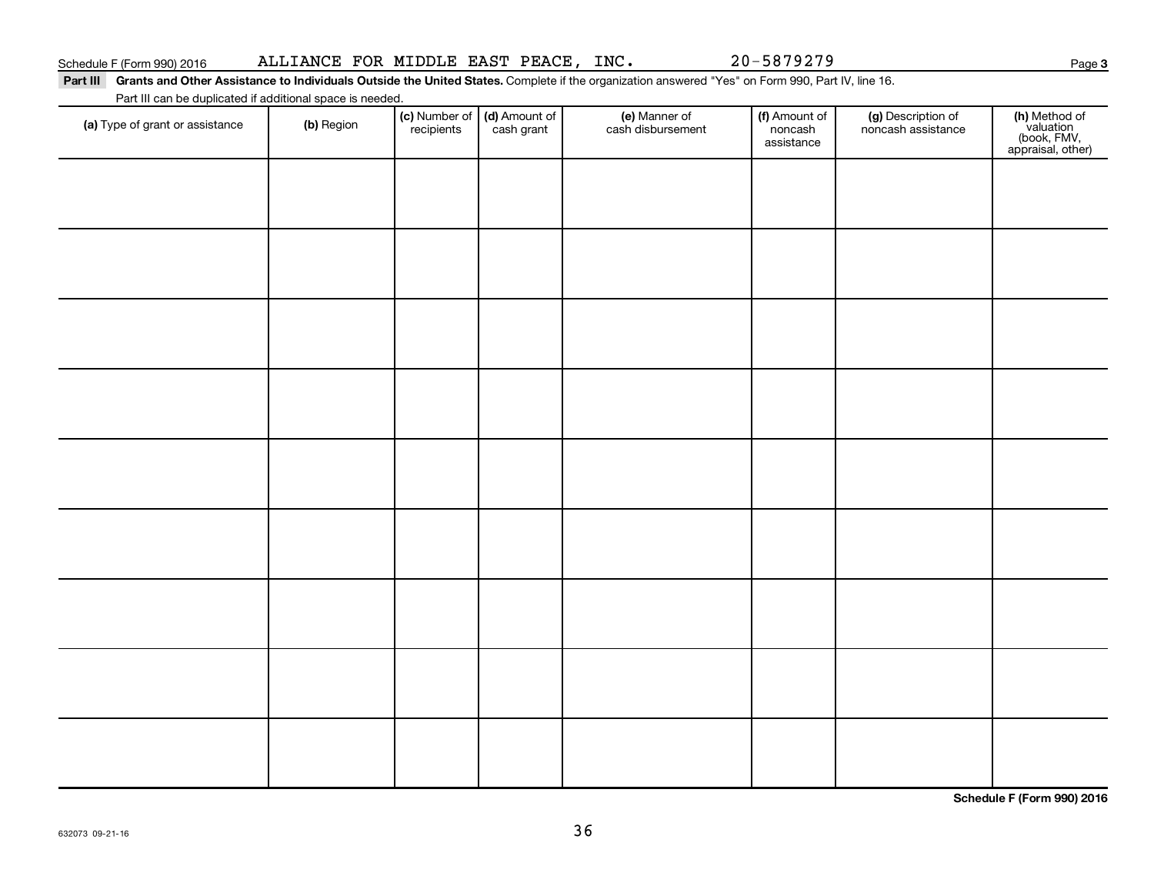### Schedule F (Form 990) 2016 Page ALLIANCE FOR MIDDLE EAST PEACE, INC. 20-5879279

Part III Grants and Other Assistance to Individuals Outside the United States. Complete if the organization answered "Yes" on Form 990, Part IV, line 16. Part III can be duplicated if additional space is needed.

| (a) Type of grant or assistance | (b) Region | (c) Number of (d) Amount of recipients cash grant | (e) Manner of<br>cash disbursement | (f) Amount of<br>noncash<br>assistance | (g) Description of<br>noncash assistance | (h) Method of<br>valuation<br>(book, FMV,<br>appraisal, other) |
|---------------------------------|------------|---------------------------------------------------|------------------------------------|----------------------------------------|------------------------------------------|----------------------------------------------------------------|
|                                 |            |                                                   |                                    |                                        |                                          |                                                                |
|                                 |            |                                                   |                                    |                                        |                                          |                                                                |
|                                 |            |                                                   |                                    |                                        |                                          |                                                                |
|                                 |            |                                                   |                                    |                                        |                                          |                                                                |
|                                 |            |                                                   |                                    |                                        |                                          |                                                                |
|                                 |            |                                                   |                                    |                                        |                                          |                                                                |
|                                 |            |                                                   |                                    |                                        |                                          |                                                                |
|                                 |            |                                                   |                                    |                                        |                                          |                                                                |
|                                 |            |                                                   |                                    |                                        |                                          |                                                                |
|                                 |            |                                                   |                                    |                                        |                                          |                                                                |
|                                 |            |                                                   |                                    |                                        |                                          |                                                                |

**Schedule F (Form 990) 2016**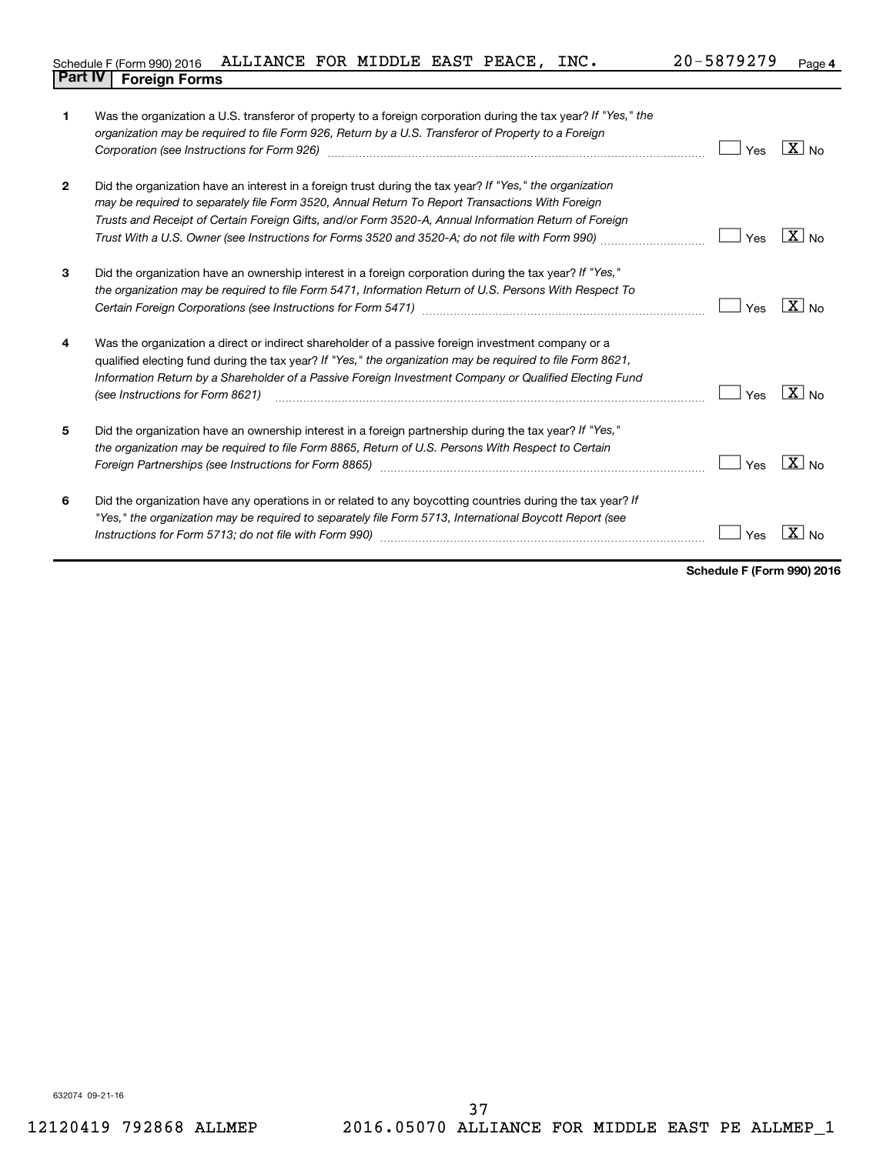| Schedule F (Form 990) 2016     | ALLIANCE FOR MIDDLE EAST |  | PEACE, | INC. | 20-5879279 | Page |
|--------------------------------|--------------------------|--|--------|------|------------|------|
| <b>Part IV   Foreign Forms</b> |                          |  |        |      |            |      |

| 1            | Was the organization a U.S. transferor of property to a foreign corporation during the tax year? If "Yes," the<br>organization may be required to file Form 926, Return by a U.S. Transferor of Property to a Foreign<br>Corporation (see Instructions for Form 926) manufactured control and the control of the control of the control of the control of the control of the control of the control of the control of the control of the control of the | Yes | $ X _{\sf No}$    |
|--------------|---------------------------------------------------------------------------------------------------------------------------------------------------------------------------------------------------------------------------------------------------------------------------------------------------------------------------------------------------------------------------------------------------------------------------------------------------------|-----|-------------------|
| $\mathbf{2}$ | Did the organization have an interest in a foreign trust during the tax year? If "Yes," the organization<br>may be required to separately file Form 3520, Annual Return To Report Transactions With Foreign<br>Trusts and Receipt of Certain Foreign Gifts, and/or Form 3520-A, Annual Information Return of Foreign<br>Trust With a U.S. Owner (see Instructions for Forms 3520 and 3520-A, do not file with Form 990) <i>managery compart</i>         | Yes | $ X _{\text{No}}$ |
| 3            | Did the organization have an ownership interest in a foreign corporation during the tax year? If "Yes,"<br>the organization may be required to file Form 5471, Information Return of U.S. Persons With Respect To                                                                                                                                                                                                                                       | Yes | $X _{N0}$         |
| 4            | Was the organization a direct or indirect shareholder of a passive foreign investment company or a<br>qualified electing fund during the tax year? If "Yes," the organization may be required to file Form 8621,<br>Information Return by a Shareholder of a Passive Foreign Investment Company or Qualified Electing Fund<br>(see Instructions for Form 8621)                                                                                          | Yes | $X _{\text{No}}$  |
| 5            | Did the organization have an ownership interest in a foreign partnership during the tax year? If "Yes,"<br>the organization may be required to file Form 8865, Return of U.S. Persons With Respect to Certain                                                                                                                                                                                                                                           | Yes | $\mid X \mid$ No  |
| 6            | Did the organization have any operations in or related to any boycotting countries during the tax year? If<br>"Yes," the organization may be required to separately file Form 5713, International Boycott Report (see                                                                                                                                                                                                                                   | Yes |                   |

**Schedule F (Form 990) 2016**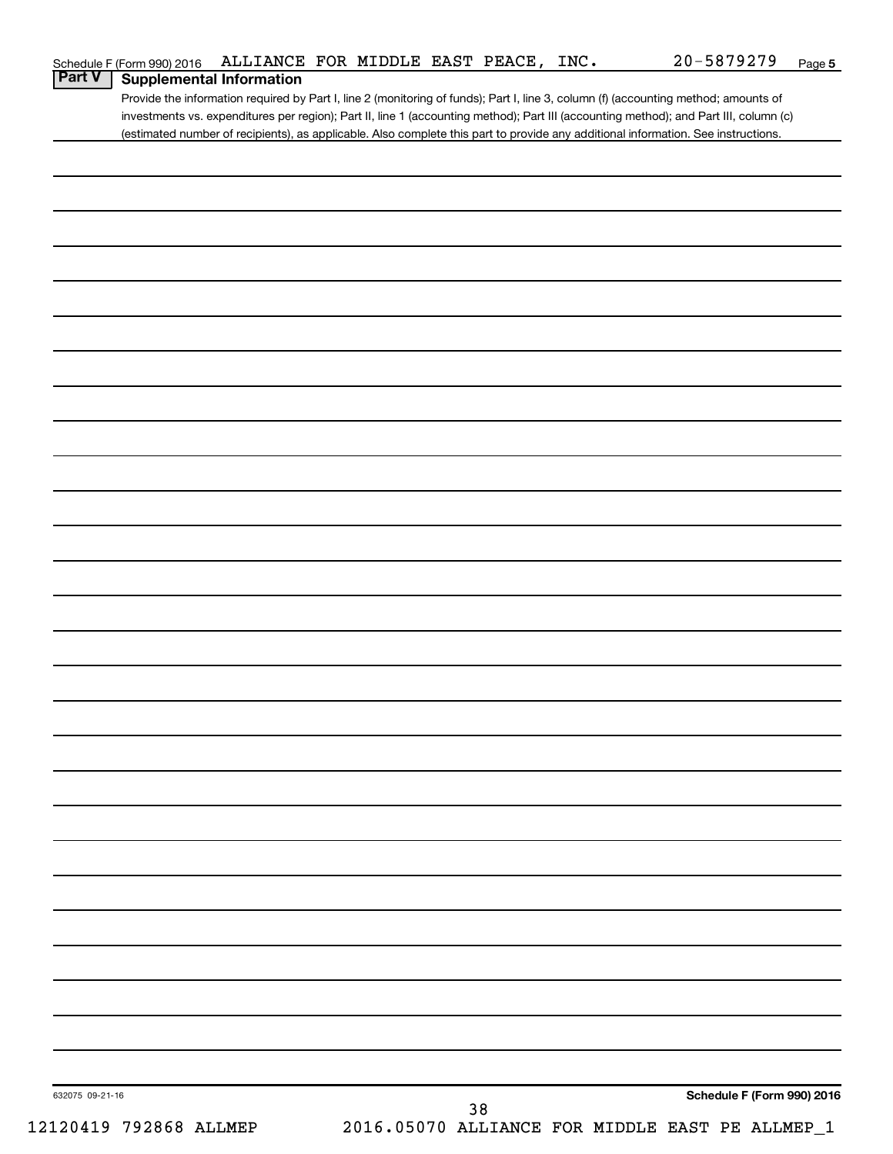|                                                                                                                                       |  | Schedule F (Form 990) 2016                                                                                                          | ALLIANCE FOR MIDDLE EAST PEACE, |  |  |  |  | INC. | $20 - 5879279$ | Page |
|---------------------------------------------------------------------------------------------------------------------------------------|--|-------------------------------------------------------------------------------------------------------------------------------------|---------------------------------|--|--|--|--|------|----------------|------|
| <b>Part V</b><br><b>Supplemental Information</b>                                                                                      |  |                                                                                                                                     |                                 |  |  |  |  |      |                |      |
|                                                                                                                                       |  | Provide the information required by Part I, line 2 (monitoring of funds); Part I, line 3, column (f) (accounting method; amounts of |                                 |  |  |  |  |      |                |      |
| investments vs. expenditures per region); Part II, line 1 (accounting method); Part III (accounting method); and Part III, column (c) |  |                                                                                                                                     |                                 |  |  |  |  |      |                |      |
| (estimated number of recipients), as applicable. Also complete this part to provide any additional information. See instructions.     |  |                                                                                                                                     |                                 |  |  |  |  |      |                |      |
|                                                                                                                                       |  |                                                                                                                                     |                                 |  |  |  |  |      |                |      |

| 632075 09-21-16        | Schedule F (Form 990) 2016                      |
|------------------------|-------------------------------------------------|
|                        | $38\,$                                          |
| 12120419 792868 ALLMEP | 2016.05070 ALLIANCE FOR MIDDLE EAST PE ALLMEP_1 |
|                        |                                                 |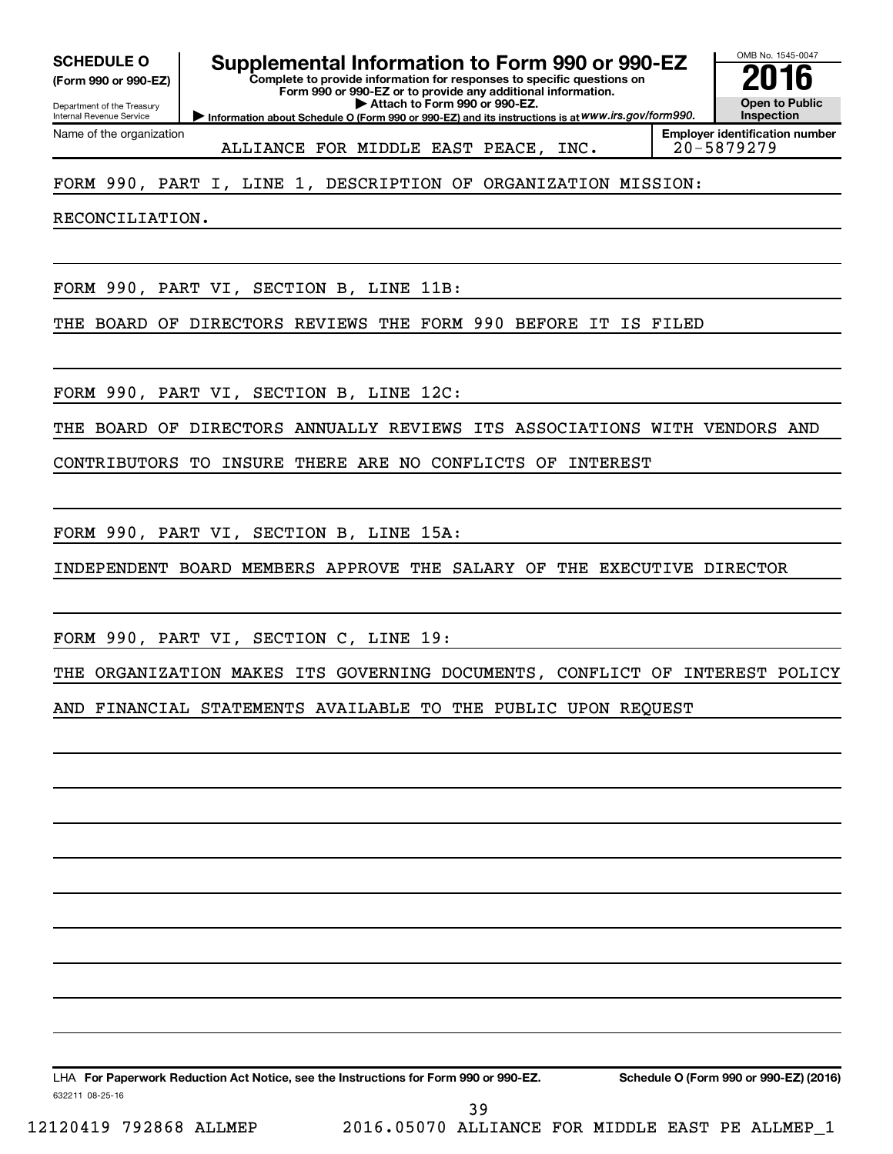**(Form 990 or 990-EZ)**

Department of the Treasury Internal Revenue Service Name of the organization

SCHEDULE O **Supplemental Information to Form 990 or 990-EZ 2016**<br>(Form 990 or 990-EZ) **2016** 

**Complete to provide information for responses to specific questions on Form 990 or 990-EZ or to provide any additional information.**

**| Attach to Form 990 or 990-EZ.**

**Information about Schedule O (Form 990 or 990-EZ) and its instructions is at WWW.irs.gov/form990.** 

OMB No. 1545-0047 **Open to Public Inspection**

ALLIANCE FOR MIDDLE EAST PEACE, INC. 20-5879279

**Employer identification number**

### FORM 990, PART I, LINE 1, DESCRIPTION OF ORGANIZATION MISSION:

RECONCILIATION.

FORM 990, PART VI, SECTION B, LINE 11B:

THE BOARD OF DIRECTORS REVIEWS THE FORM 990 BEFORE IT IS FILED

FORM 990, PART VI, SECTION B, LINE 12C:

THE BOARD OF DIRECTORS ANNUALLY REVIEWS ITS ASSOCIATIONS WITH VENDORS AND

CONTRIBUTORS TO INSURE THERE ARE NO CONFLICTS OF INTEREST

FORM 990, PART VI, SECTION B, LINE 15A:

INDEPENDENT BOARD MEMBERS APPROVE THE SALARY OF THE EXECUTIVE DIRECTOR

FORM 990, PART VI, SECTION C, LINE 19:

THE ORGANIZATION MAKES ITS GOVERNING DOCUMENTS, CONFLICT OF INTEREST POLICY AND FINANCIAL STATEMENTS AVAILABLE TO THE PUBLIC UPON REQUEST

632211 08-25-16 LHA For Paperwork Reduction Act Notice, see the Instructions for Form 990 or 990-EZ. Schedule O (Form 990 or 990-EZ) (2016)

12120419 792868 ALLMEP 2016.05070 ALLIANCE FOR MIDDLE EAST PE ALLMEP\_1 39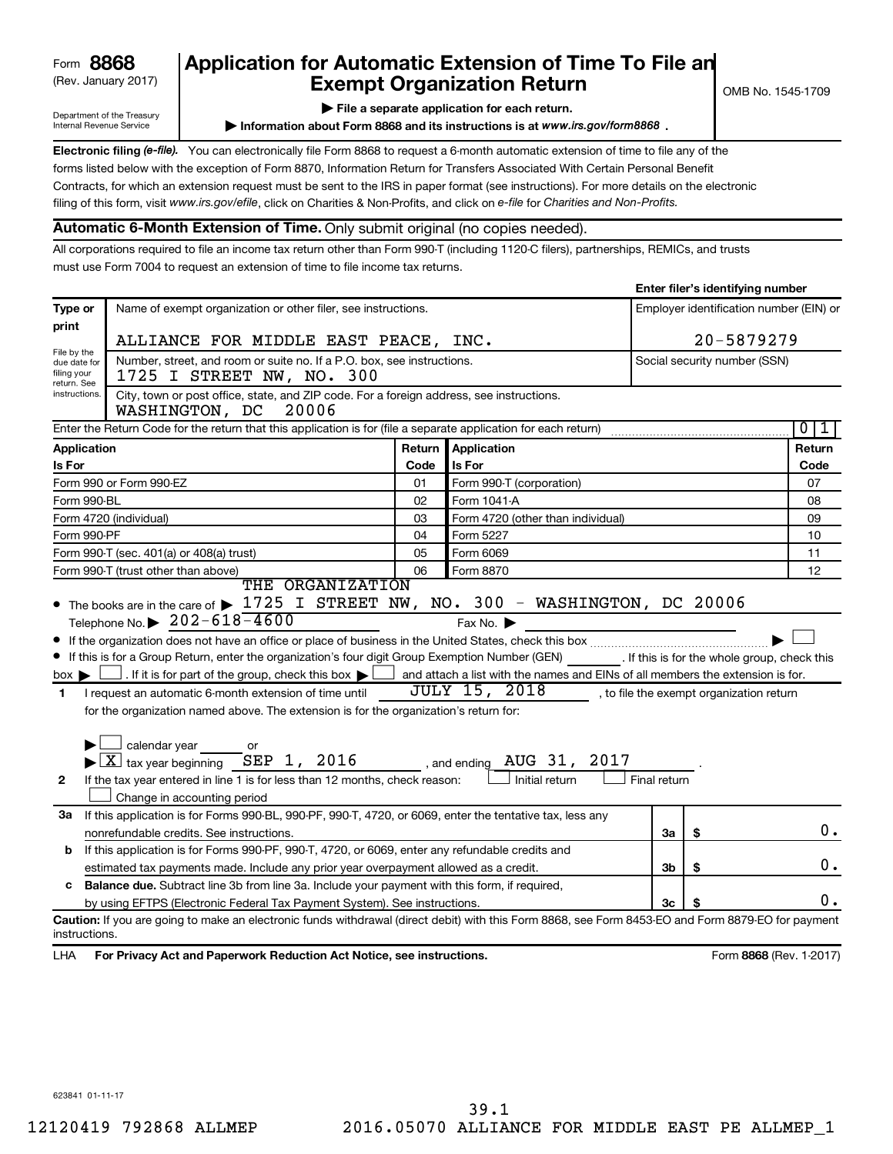### (Rev. January 2017) **Exempt Organization Return** and  $\overline{\text{C}}$  OMB No. 1545-1709 **Form 8868 Application for Automatic Extension of Time To File an**<br>**Exempt Organization Beturn**

**Enter filer's identifying number**

Department of the Treasury Internal Revenue Service

**| File a separate application for each return.**

**Information about Form 8868 and its instructions is at www.irs.gov/form8868.** 

Electronic filing (e-file). You can electronically file Form 8868 to request a 6-month automatic extension of time to file any of the filing of this form, visit www.irs.gov/efile, click on Charities & Non-Profits, and click on e-file for Charities and Non-Profits. forms listed below with the exception of Form 8870, Information Return for Transfers Associated With Certain Personal Benefit Contracts, for which an extension request must be sent to the IRS in paper format (see instructions). For more details on the electronic

### **Automatic 6-Month Extension of Time.** Only submit original (no copies needed).

All corporations required to file an income tax return other than Form 990-T (including 1120-C filers), partnerships, REMICs, and trusts must use Form 7004 to request an extension of time to file income tax returns.

|                                            |                                                                                                                                                                                                                                                                                                                                                                                                                                                                                                                                                                                                                                                                        |      |                                                                                                                                                                       |                                         | Enter mer 3 identifying number           |                         |  |  |
|--------------------------------------------|------------------------------------------------------------------------------------------------------------------------------------------------------------------------------------------------------------------------------------------------------------------------------------------------------------------------------------------------------------------------------------------------------------------------------------------------------------------------------------------------------------------------------------------------------------------------------------------------------------------------------------------------------------------------|------|-----------------------------------------------------------------------------------------------------------------------------------------------------------------------|-----------------------------------------|------------------------------------------|-------------------------|--|--|
| Type or                                    | Name of exempt organization or other filer, see instructions.                                                                                                                                                                                                                                                                                                                                                                                                                                                                                                                                                                                                          |      |                                                                                                                                                                       | Employer identification number (EIN) or |                                          |                         |  |  |
| print                                      |                                                                                                                                                                                                                                                                                                                                                                                                                                                                                                                                                                                                                                                                        |      |                                                                                                                                                                       |                                         |                                          |                         |  |  |
| File by the                                | ALLIANCE FOR MIDDLE EAST PEACE, INC.                                                                                                                                                                                                                                                                                                                                                                                                                                                                                                                                                                                                                                   |      |                                                                                                                                                                       |                                         |                                          | 20-5879279              |  |  |
| due date for<br>filing your<br>return. See | Number, street, and room or suite no. If a P.O. box, see instructions.<br>1725 I STREET NW, NO. 300                                                                                                                                                                                                                                                                                                                                                                                                                                                                                                                                                                    |      |                                                                                                                                                                       |                                         | Social security number (SSN)             |                         |  |  |
| instructions.                              | City, town or post office, state, and ZIP code. For a foreign address, see instructions.<br>WASHINGTON, DC<br>20006                                                                                                                                                                                                                                                                                                                                                                                                                                                                                                                                                    |      |                                                                                                                                                                       |                                         |                                          |                         |  |  |
|                                            | Enter the Return Code for the return that this application is for (file a separate application for each return)                                                                                                                                                                                                                                                                                                                                                                                                                                                                                                                                                        |      |                                                                                                                                                                       |                                         |                                          | $\overline{0}$<br>ı     |  |  |
| Application                                |                                                                                                                                                                                                                                                                                                                                                                                                                                                                                                                                                                                                                                                                        |      | Return Application                                                                                                                                                    |                                         |                                          | Return                  |  |  |
| Is For                                     |                                                                                                                                                                                                                                                                                                                                                                                                                                                                                                                                                                                                                                                                        | Code | Is For                                                                                                                                                                |                                         |                                          | Code                    |  |  |
|                                            | Form 990 or Form 990-EZ                                                                                                                                                                                                                                                                                                                                                                                                                                                                                                                                                                                                                                                | 01   | Form 990-T (corporation)                                                                                                                                              |                                         |                                          | 07                      |  |  |
| Form 990-BL                                |                                                                                                                                                                                                                                                                                                                                                                                                                                                                                                                                                                                                                                                                        | 02   | Form 1041 A                                                                                                                                                           |                                         |                                          | 08                      |  |  |
|                                            | Form 4720 (individual)                                                                                                                                                                                                                                                                                                                                                                                                                                                                                                                                                                                                                                                 | 03   | Form 4720 (other than individual)                                                                                                                                     |                                         |                                          | 09                      |  |  |
| Form 990-PF                                |                                                                                                                                                                                                                                                                                                                                                                                                                                                                                                                                                                                                                                                                        | 04   | Form 5227                                                                                                                                                             |                                         |                                          | 10                      |  |  |
|                                            | Form 990-T (sec. 401(a) or 408(a) trust)                                                                                                                                                                                                                                                                                                                                                                                                                                                                                                                                                                                                                               | 05   | Form 6069                                                                                                                                                             |                                         |                                          | 11                      |  |  |
|                                            | Form 990-T (trust other than above)<br>THE ORGANIZATION                                                                                                                                                                                                                                                                                                                                                                                                                                                                                                                                                                                                                | 06   | Form 8870                                                                                                                                                             |                                         |                                          | 12                      |  |  |
| $\mathbf{1}$<br>$\mathbf{2}$               | If this is for a Group Return, enter the organization's four digit Group Exemption Number (GEN) [16] . If this is for the whole group, check this<br>box $\blacktriangleright$ $\Box$ . If it is for part of the group, check this box $\blacktriangleright$ $\Box$<br>$\sim$ 1<br>I request an automatic 6-month extension of time until<br>for the organization named above. The extension is for the organization's return for:<br>$\Box$ calendar year $\qquad \qquad$ or<br>$\blacktriangleright$ $\boxed{\text{X}}$ tax year beginning SEP 1, 2016<br>If the tax year entered in line 1 is for less than 12 months, check reason:<br>Change in accounting period |      | and attach a list with the names and EINs of all members the extension is for.<br>$\overline{\text{JULY}}$ 15, 2018<br>AUG 31, 2017<br>, and ending<br>Initial return | Final return                            | , to file the exempt organization return |                         |  |  |
| За                                         | If this application is for Forms 990-BL, 990-PF, 990-T, 4720, or 6069, enter the tentative tax, less any                                                                                                                                                                                                                                                                                                                                                                                                                                                                                                                                                               |      |                                                                                                                                                                       |                                         |                                          |                         |  |  |
|                                            | nonrefundable credits. See instructions.                                                                                                                                                                                                                                                                                                                                                                                                                                                                                                                                                                                                                               |      |                                                                                                                                                                       | За                                      | \$                                       | 0.                      |  |  |
| b                                          | If this application is for Forms 990-PF, 990-T, 4720, or 6069, enter any refundable credits and                                                                                                                                                                                                                                                                                                                                                                                                                                                                                                                                                                        |      |                                                                                                                                                                       |                                         |                                          |                         |  |  |
|                                            | estimated tax payments made. Include any prior year overpayment allowed as a credit.                                                                                                                                                                                                                                                                                                                                                                                                                                                                                                                                                                                   |      |                                                                                                                                                                       | 3b                                      | \$                                       | 0.                      |  |  |
| c                                          | Balance due. Subtract line 3b from line 3a. Include your payment with this form, if required,                                                                                                                                                                                                                                                                                                                                                                                                                                                                                                                                                                          |      |                                                                                                                                                                       |                                         |                                          |                         |  |  |
|                                            | by using EFTPS (Electronic Federal Tax Payment System). See instructions.                                                                                                                                                                                                                                                                                                                                                                                                                                                                                                                                                                                              |      |                                                                                                                                                                       | Зс                                      |                                          | 0.                      |  |  |
| instructions.<br>LHA                       | Caution: If you are going to make an electronic funds withdrawal (direct debit) with this Form 8868, see Form 8453-EO and Form 8879-EO for payment<br>For Privacy Act and Paperwork Reduction Act Notice, see instructions.                                                                                                                                                                                                                                                                                                                                                                                                                                            |      |                                                                                                                                                                       |                                         |                                          | Form 8868 (Rev. 1-2017) |  |  |

623841 01-11-17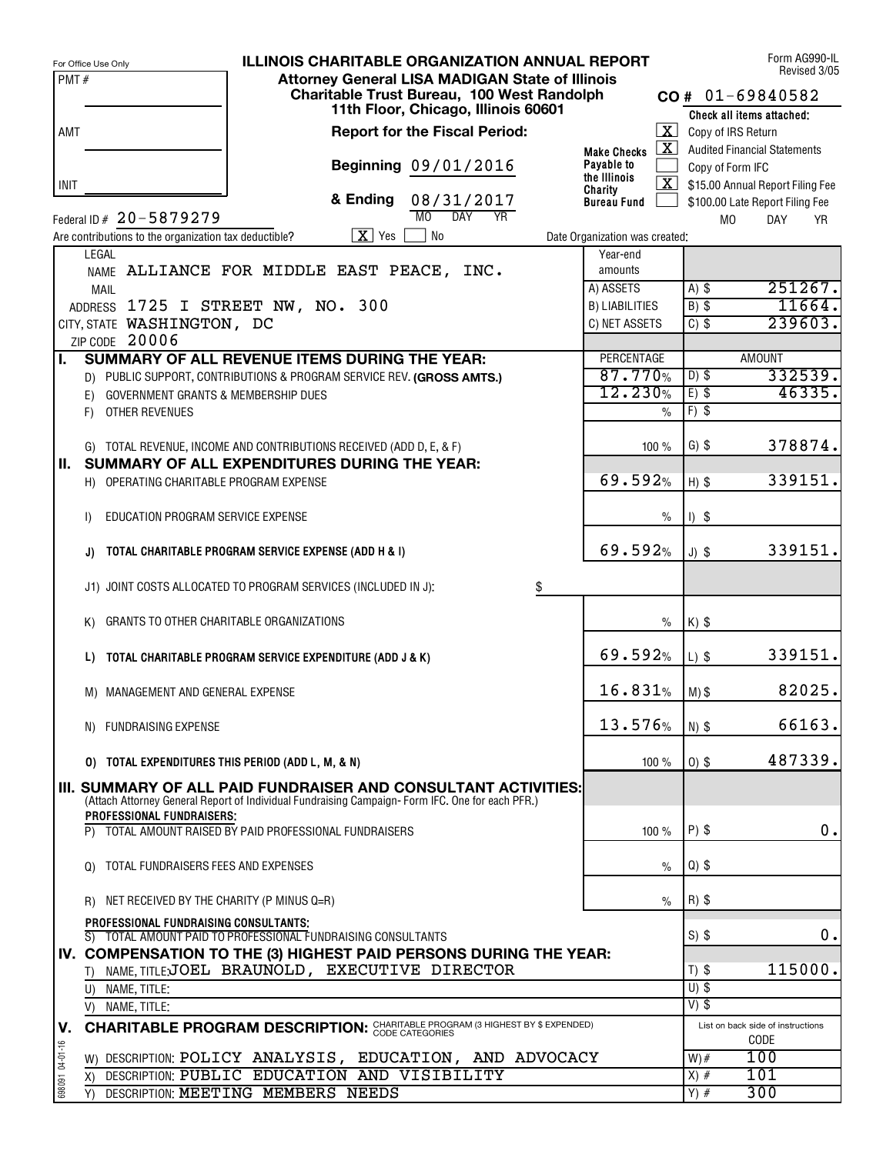|                 | <b>ILLINOIS CHARITABLE ORGANIZATION ANNUAL REPORT</b><br>For Office Use Only                                                        |                                |                      |                    | Form AG990-IL<br>Revised 3/05             |
|-----------------|-------------------------------------------------------------------------------------------------------------------------------------|--------------------------------|----------------------|--------------------|-------------------------------------------|
| PMT#            | <b>Attorney General LISA MADIGAN State of Illinois</b>                                                                              |                                |                      |                    |                                           |
|                 | Charitable Trust Bureau, 100 West Randolph<br>11th Floor, Chicago, Illinois 60601                                                   |                                |                      |                    | $CO# 01-69840582$                         |
|                 |                                                                                                                                     |                                |                      |                    | Check all items attached:                 |
| AMT             | <b>Report for the Fiscal Period:</b>                                                                                                |                                | $\boxed{\textbf{X}}$ | Copy of IRS Return |                                           |
|                 |                                                                                                                                     | <b>Make Checks</b>             |                      |                    | X Audited Financial Statements            |
|                 | Beginning 09/01/2016                                                                                                                | Payable to<br>the Illinois     |                      | Copy of Form IFC   |                                           |
| <b>INIT</b>     |                                                                                                                                     | Charity                        | $\boxed{\text{X}}$   |                    | \$15.00 Annual Report Filing Fee          |
|                 | & Ending<br>08/31/2017<br>M <sub>0</sub><br>DAY<br><b>YR</b>                                                                        | Bureau Fund                    |                      |                    | \$100.00 Late Report Filing Fee           |
|                 | Federal ID # 20-5879279<br>No                                                                                                       |                                |                      | M <sub>0</sub>     | <b>DAY</b><br><b>YR</b>                   |
|                 | $X$ Yes<br>Are contributions to the organization tax deductible?<br>LEGAL                                                           | Date Organization was created: |                      |                    |                                           |
|                 | NAME ALLIANCE FOR MIDDLE EAST PEACE, INC.                                                                                           | Year-end<br>amounts            |                      |                    |                                           |
|                 | MAIL                                                                                                                                | A) ASSETS                      |                      | $A)$ \$            | 251267.                                   |
|                 | ADDRESS 1725 I STREET NW, NO. 300                                                                                                   | <b>B) LIABILITIES</b>          |                      | $B)$ \$            | 11664.                                    |
|                 | CITY, STATE WASHINGTON, DC                                                                                                          | C) NET ASSETS                  |                      | $C)$ \$            | 239603.                                   |
|                 | ZIP CODE 20006                                                                                                                      |                                |                      |                    |                                           |
| L.              | <b>SUMMARY OF ALL REVENUE ITEMS DURING THE YEAR:</b>                                                                                | PERCENTAGE                     |                      |                    | <b>AMOUNT</b>                             |
|                 | D) PUBLIC SUPPORT, CONTRIBUTIONS & PROGRAM SERVICE REV. (GROSS AMTS.)                                                               | 87.770%                        |                      | $D)$ \$            | 332539.                                   |
|                 | GOVERNMENT GRANTS & MEMBERSHIP DUES<br>E)                                                                                           | 12.230%                        |                      | $E)$ \$            | 46335.                                    |
|                 | OTHER REVENUES<br>F)                                                                                                                |                                | $\%$                 | $F)$ \$            |                                           |
|                 |                                                                                                                                     |                                |                      |                    |                                           |
|                 | G) TOTAL REVENUE, INCOME AND CONTRIBUTIONS RECEIVED (ADD D, E, & F)                                                                 |                                | 100 %                | $G)$ \$            | 378874.                                   |
| Ш.              | SUMMARY OF ALL EXPENDITURES DURING THE YEAR:                                                                                        |                                |                      |                    |                                           |
|                 | H) OPERATING CHARITABLE PROGRAM EXPENSE                                                                                             | 69.592%                        |                      | $H)$ \$            | 339151.                                   |
|                 |                                                                                                                                     |                                |                      |                    |                                           |
|                 | EDUCATION PROGRAM SERVICE EXPENSE<br>$\vert$                                                                                        |                                | $\%$                 | $1)$ \$            |                                           |
|                 |                                                                                                                                     | 69.592%                        |                      |                    | 339151.                                   |
|                 | TOTAL CHARITABLE PROGRAM SERVICE EXPENSE (ADD H & I)<br>J)                                                                          |                                |                      | $J)$ \$            |                                           |
|                 | J1) JOINT COSTS ALLOCATED TO PROGRAM SERVICES (INCLUDED IN J):<br>\$                                                                |                                |                      |                    |                                           |
|                 |                                                                                                                                     |                                |                      |                    |                                           |
|                 | GRANTS TO OTHER CHARITABLE ORGANIZATIONS<br>K)                                                                                      |                                | $\%$                 | $K)$ \$            |                                           |
|                 |                                                                                                                                     |                                |                      |                    |                                           |
|                 | TOTAL CHARITABLE PROGRAM SERVICE EXPENDITURE (ADD J & K)<br>L)                                                                      | 69.592%                        |                      | $L)$ \$            | 339151.                                   |
|                 |                                                                                                                                     |                                |                      |                    |                                           |
|                 | M) MANAGEMENT AND GENERAL EXPENSE                                                                                                   | 16.831%                        |                      | $M)$ \$            | 82025.                                    |
|                 |                                                                                                                                     |                                |                      |                    |                                           |
|                 | N) FUNDRAISING EXPENSE                                                                                                              | 13.576%                        |                      | $N)$ \$            | 66163.                                    |
|                 |                                                                                                                                     |                                |                      |                    | 487339.                                   |
|                 | 0) TOTAL EXPENDITURES THIS PERIOD (ADD L, M, & N)                                                                                   |                                | 100 %                | $0)$ \$            |                                           |
|                 | III. SUMMARY OF ALL PAID FUNDRAISER AND CONSULTANT ACTIVITIES:                                                                      |                                |                      |                    |                                           |
|                 | (Attach Attorney General Report of Individual Fundraising Campaign-Form IFC. One for each PFR.)<br><b>PROFESSIONAL FUNDRAISERS:</b> |                                |                      |                    |                                           |
|                 | TOTAL AMOUNT RAISED BY PAID PROFESSIONAL FUNDRAISERS<br>P)                                                                          |                                | 100%                 | $P)$ \$            | 0.                                        |
|                 |                                                                                                                                     |                                |                      |                    |                                           |
|                 | TOTAL FUNDRAISERS FEES AND EXPENSES<br>$\Omega$                                                                                     |                                | $\%$                 | $Q)$ \$            |                                           |
|                 |                                                                                                                                     |                                |                      |                    |                                           |
|                 | R) NET RECEIVED BY THE CHARITY (P MINUS Q=R)                                                                                        |                                | $\%$                 | $R)$ \$            |                                           |
|                 | PROFESSIONAL FUNDRAISING CONSULTANTS;                                                                                               |                                |                      |                    |                                           |
|                 | S) TOTAL AMOUNT PAID TO PROFESSIONAL FUNDRAISING CONSULTANTS                                                                        |                                |                      | $S)$ \$            | 0.                                        |
|                 | IV. COMPENSATION TO THE (3) HIGHEST PAID PERSONS DURING THE YEAR:                                                                   |                                |                      |                    |                                           |
|                 | T) NAME, TITLE;JOEL BRAUNOLD, EXECUTIVE DIRECTOR                                                                                    |                                |                      | $T)$ \$<br>$U)$ \$ | 115000.                                   |
|                 | U) NAME, TITLE:<br>V) NAME, TITLE:                                                                                                  |                                |                      | $V)$ \$            |                                           |
|                 |                                                                                                                                     |                                |                      |                    |                                           |
| V.              | <b>CHARITABLE PROGRAM DESCRIPTION: CHARITABLE PROGRAM (3 HIGHEST BY \$ EXPENDED)</b>                                                |                                |                      |                    | List on back side of instructions<br>CODE |
|                 | W) DESCRIPTION: POLICY ANALYSIS, EDUCATION, AND ADVOCACY                                                                            |                                |                      | $W)$ #             | 100                                       |
| 698091 04-01-16 | DESCRIPTION: PUBLIC EDUCATION AND VISIBILITY<br>X)                                                                                  |                                |                      | $X)$ #             | 101                                       |
|                 | DESCRIPTION: MEETING MEMBERS NEEDS<br>Y)                                                                                            |                                |                      | $Y)$ #             | 300                                       |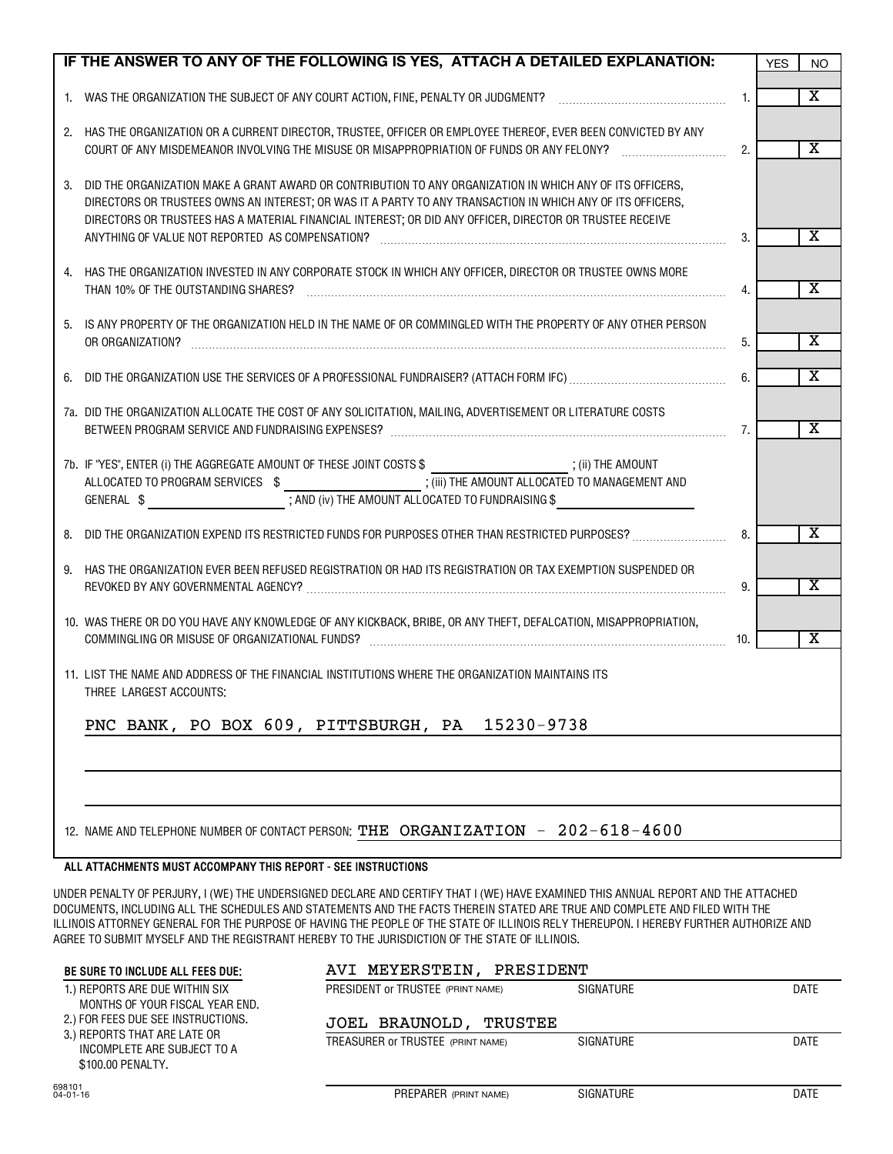|    | IF THE ANSWER TO ANY OF THE FOLLOWING IS YES, ATTACH A DETAILED EXPLANATION:                                                                                                                                                                                                                                                                                                           |     | <b>YES</b> | NO.                     |
|----|----------------------------------------------------------------------------------------------------------------------------------------------------------------------------------------------------------------------------------------------------------------------------------------------------------------------------------------------------------------------------------------|-----|------------|-------------------------|
|    |                                                                                                                                                                                                                                                                                                                                                                                        | 1.  |            | $\overline{\textbf{x}}$ |
|    | 2. HAS THE ORGANIZATION OR A CURRENT DIRECTOR, TRUSTEE, OFFICER OR EMPLOYEE THEREOF, EVER BEEN CONVICTED BY ANY<br>COURT OF ANY MISDEMEANOR INVOLVING THE MISUSE OR MISAPPROPRIATION OF FUNDS OR ANY FELONY?                                                                                                                                                                           | 2.  |            | $\overline{\textbf{x}}$ |
| 3. | DID THE ORGANIZATION MAKE A GRANT AWARD OR CONTRIBUTION TO ANY ORGANIZATION IN WHICH ANY OF ITS OFFICERS,<br>DIRECTORS OR TRUSTEES OWNS AN INTEREST; OR WAS IT A PARTY TO ANY TRANSACTION IN WHICH ANY OF ITS OFFICERS,<br>DIRECTORS OR TRUSTEES HAS A MATERIAL FINANCIAL INTEREST; OR DID ANY OFFICER, DIRECTOR OR TRUSTEE RECEIVE<br>ANYTHING OF VALUE NOT REPORTED AS COMPENSATION? | 3.  |            | х                       |
|    | HAS THE ORGANIZATION INVESTED IN ANY CORPORATE STOCK IN WHICH ANY OFFICER, DIRECTOR OR TRUSTEE OWNS MORE<br>THAN 10% OF THE OUTSTANDING SHARES?                                                                                                                                                                                                                                        | 4.  |            | $\overline{\textbf{x}}$ |
| 5. | IS ANY PROPERTY OF THE ORGANIZATION HELD IN THE NAME OF OR COMMINGLED WITH THE PROPERTY OF ANY OTHER PERSON<br>OR ORGANIZATION?                                                                                                                                                                                                                                                        | 5.  |            | х                       |
|    |                                                                                                                                                                                                                                                                                                                                                                                        | 6.  |            | х                       |
|    | 7a. DID THE ORGANIZATION ALLOCATE THE COST OF ANY SOLICITATION, MAILING, ADVERTISEMENT OR LITERATURE COSTS                                                                                                                                                                                                                                                                             | 7.  |            | X                       |
|    | 7b. IF "YES", ENTER (i) THE AGGREGATE AMOUNT OF THESE JOINT COSTS \$ ________________________; (ii) THE AMOUNT<br>ALLOCATED TO PROGRAM SERVICES \$<br>TAND (iv) THE AMOUNT ALLOCATED TO FUNDRAISING \$                                                                                                                                                                                 |     |            |                         |
|    |                                                                                                                                                                                                                                                                                                                                                                                        | 8.  |            | X                       |
| 9. | HAS THE ORGANIZATION EVER BEEN REFUSED REGISTRATION OR HAD ITS REGISTRATION OR TAX EXEMPTION SUSPENDED OR                                                                                                                                                                                                                                                                              | 9.  |            | X                       |
|    | 10. WAS THERE OR DO YOU HAVE ANY KNOWLEDGE OF ANY KICKBACK, BRIBE, OR ANY THEFT, DEFALCATION, MISAPPROPRIATION,<br>COMMINGLING OR MISUSE OF ORGANIZATIONAL FUNDS? [11] COMMINGLING COMMINGLING OR MISUSE OF ORGANIZATIONAL FUNDS?                                                                                                                                                      | 10. |            | $\overline{\textbf{x}}$ |
|    | 11. LIST THE NAME AND ADDRESS OF THE FINANCIAL INSTITUTIONS WHERE THE ORGANIZATION MAINTAINS ITS<br>THREE LARGEST ACCOUNTS:                                                                                                                                                                                                                                                            |     |            |                         |
|    | PNC BANK, PO BOX 609, PITTSBURGH, PA 15230-9738                                                                                                                                                                                                                                                                                                                                        |     |            |                         |
|    |                                                                                                                                                                                                                                                                                                                                                                                        |     |            |                         |
|    |                                                                                                                                                                                                                                                                                                                                                                                        |     |            |                         |
|    | 12. NAME AND TELEPHONE NUMBER OF CONTACT PERSON: THE ORGANIZATION - 202-618-4600                                                                                                                                                                                                                                                                                                       |     |            |                         |
|    |                                                                                                                                                                                                                                                                                                                                                                                        |     |            |                         |

### **ALL ATTACHMENTS MUST ACCOMPANY THIS REPORT - SEE INSTRUCTIONS**

UNDER PENALTY OF PERJURY, I (WE) THE UNDERSIGNED DECLARE AND CERTIFY THAT I (WE) HAVE EXAMINED THIS ANNUAL REPORT AND THE ATTACHED DOCUMENTS, INCLUDING ALL THE SCHEDULES AND STATEMENTS AND THE FACTS THEREIN STATED ARE TRUE AND COMPLETE AND FILED WITH THE ILLINOIS ATTORNEY GENERAL FOR THE PURPOSE OF HAVING THE PEOPLE OF THE STATE OF ILLINOIS RELY THEREUPON. I HEREBY FURTHER AUTHORIZE AND AGREE TO SUBMIT MYSELF AND THE REGISTRANT HEREBY TO THE JURISDICTION OF THE STATE OF ILLINOIS.

| BE SURE TO INCLUDE ALL FEES DUE:                                                 | AVI MEYERSTEIN.<br>PRESIDENT      |           |      |  |  |  |
|----------------------------------------------------------------------------------|-----------------------------------|-----------|------|--|--|--|
| 1.) REPORTS ARE DUE WITHIN SIX<br>MONTHS OF YOUR FISCAL YEAR END.                | PRESIDENT OF TRUSTEE (PRINT NAME) | SIGNATURE | DATE |  |  |  |
| 2.) FOR FEES DUE SEE INSTRUCTIONS.                                               | JOEL BRAUNOLD, TRUSTEE            |           |      |  |  |  |
| 3.) REPORTS THAT ARE LATE OR<br>INCOMPLETE ARE SUBJECT TO A<br>\$100.00 PENALTY. | TREASURER OF TRUSTEE (PRINT NAME) | SIGNATURE | DATE |  |  |  |
| 698101<br>$04 - 01 - 16$                                                         | PREPARER (PRINT NAME)             | SIGNATURE | DATE |  |  |  |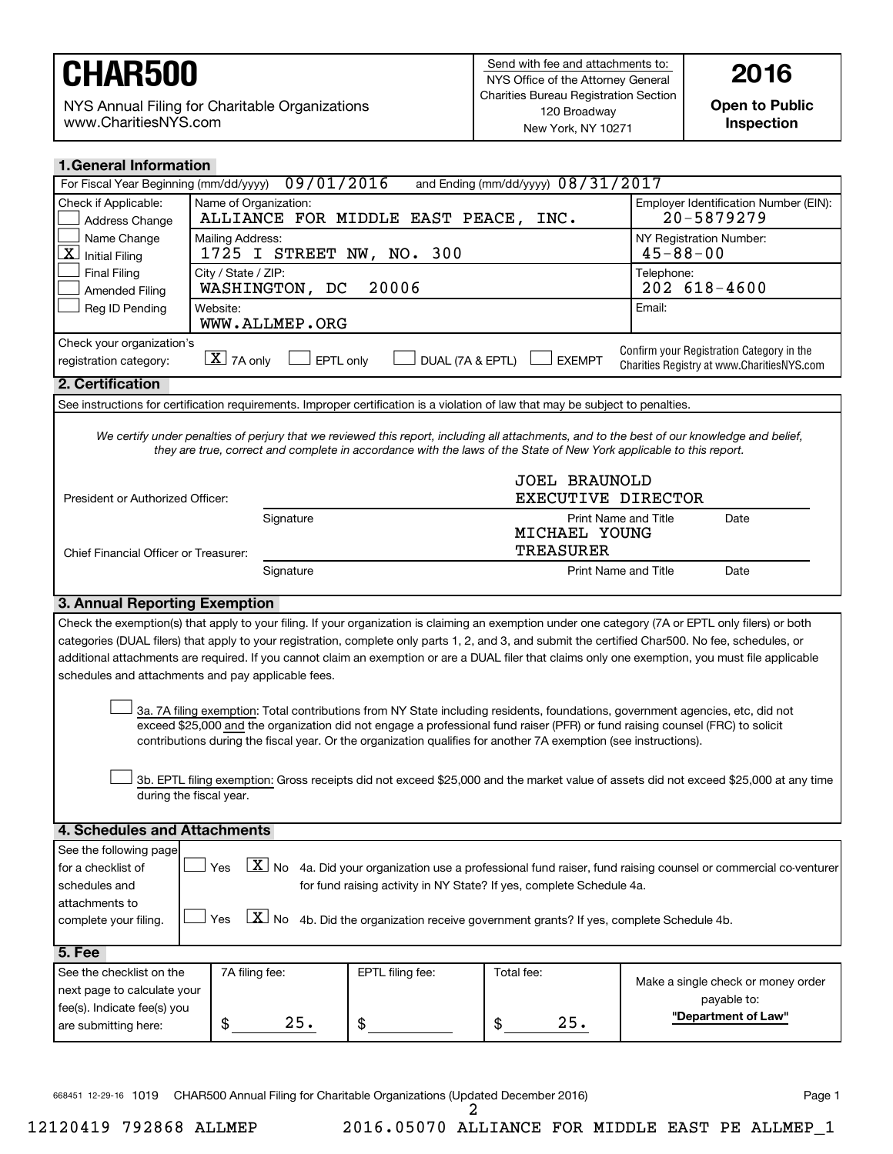NYS Annual Filing for Charitable Organizations www.CharitiesNYS.com

**Inspection**

| <b>1.General Information</b>                                                                                                                                                                                                     |                                                                                                                                                                                                                                                                                                                                                                                     |                  |                                                           |                                                                                                                                                     |  |  |  |  |  |
|----------------------------------------------------------------------------------------------------------------------------------------------------------------------------------------------------------------------------------|-------------------------------------------------------------------------------------------------------------------------------------------------------------------------------------------------------------------------------------------------------------------------------------------------------------------------------------------------------------------------------------|------------------|-----------------------------------------------------------|-----------------------------------------------------------------------------------------------------------------------------------------------------|--|--|--|--|--|
| 09/01/2016<br>and Ending (mm/dd/yyyy) 08/31/2017<br>For Fiscal Year Beginning (mm/dd/yyyy)                                                                                                                                       |                                                                                                                                                                                                                                                                                                                                                                                     |                  |                                                           |                                                                                                                                                     |  |  |  |  |  |
| Check if Applicable:<br>Address Change                                                                                                                                                                                           | Name of Organization:<br>ALLIANCE FOR MIDDLE EAST PEACE, INC.                                                                                                                                                                                                                                                                                                                       |                  |                                                           | Employer Identification Number (EIN):<br>20-5879279                                                                                                 |  |  |  |  |  |
| Name Change<br>$\overline{\mathbf{X}}$ Initial Filing                                                                                                                                                                            | Mailing Address:<br>NY Registration Number:<br>1725 I STREET NW, NO. 300                                                                                                                                                                                                                                                                                                            |                  |                                                           |                                                                                                                                                     |  |  |  |  |  |
| <b>Final Filing</b><br><b>Amended Filing</b>                                                                                                                                                                                     | City / State / ZIP:<br>20006<br>WASHINGTON, DC                                                                                                                                                                                                                                                                                                                                      |                  |                                                           |                                                                                                                                                     |  |  |  |  |  |
| Reg ID Pending                                                                                                                                                                                                                   | Website:<br>WWW.ALLMEP.ORG                                                                                                                                                                                                                                                                                                                                                          |                  |                                                           | Email:                                                                                                                                              |  |  |  |  |  |
| Check your organization's<br>Confirm your Registration Category in the<br>$\boxed{\textbf{X}}$ 7A only<br>EPTL only<br>DUAL (7A & EPTL)<br><b>EXEMPT</b><br>registration category:<br>Charities Registry at www.CharitiesNYS.com |                                                                                                                                                                                                                                                                                                                                                                                     |                  |                                                           |                                                                                                                                                     |  |  |  |  |  |
| 2. Certification                                                                                                                                                                                                                 |                                                                                                                                                                                                                                                                                                                                                                                     |                  |                                                           |                                                                                                                                                     |  |  |  |  |  |
|                                                                                                                                                                                                                                  | See instructions for certification requirements. Improper certification is a violation of law that may be subject to penalties.                                                                                                                                                                                                                                                     |                  |                                                           |                                                                                                                                                     |  |  |  |  |  |
|                                                                                                                                                                                                                                  | they are true, correct and complete in accordance with the laws of the State of New York applicable to this report.                                                                                                                                                                                                                                                                 |                  |                                                           | We certify under penalties of perjury that we reviewed this report, including all attachments, and to the best of our knowledge and belief,         |  |  |  |  |  |
| President or Authorized Officer:                                                                                                                                                                                                 |                                                                                                                                                                                                                                                                                                                                                                                     |                  | <b>JOEL BRAUNOLD</b><br>EXECUTIVE DIRECTOR                |                                                                                                                                                     |  |  |  |  |  |
| Chief Financial Officer or Treasurer:                                                                                                                                                                                            | Signature                                                                                                                                                                                                                                                                                                                                                                           |                  | Print Name and Title<br>MICHAEL YOUNG<br><b>TREASURER</b> | Date                                                                                                                                                |  |  |  |  |  |
|                                                                                                                                                                                                                                  | Signature                                                                                                                                                                                                                                                                                                                                                                           |                  | <b>Print Name and Title</b>                               | Date                                                                                                                                                |  |  |  |  |  |
| 3. Annual Reporting Exemption                                                                                                                                                                                                    |                                                                                                                                                                                                                                                                                                                                                                                     |                  |                                                           |                                                                                                                                                     |  |  |  |  |  |
|                                                                                                                                                                                                                                  |                                                                                                                                                                                                                                                                                                                                                                                     |                  |                                                           | Check the exemption(s) that apply to your filing. If your organization is claiming an exemption under one category (7A or EPTL only filers) or both |  |  |  |  |  |
|                                                                                                                                                                                                                                  |                                                                                                                                                                                                                                                                                                                                                                                     |                  |                                                           | categories (DUAL filers) that apply to your registration, complete only parts 1, 2, and 3, and submit the certified Char500. No fee, schedules, or  |  |  |  |  |  |
|                                                                                                                                                                                                                                  |                                                                                                                                                                                                                                                                                                                                                                                     |                  |                                                           | additional attachments are required. If you cannot claim an exemption or are a DUAL filer that claims only one exemption, you must file applicable  |  |  |  |  |  |
|                                                                                                                                                                                                                                  | schedules and attachments and pay applicable fees.                                                                                                                                                                                                                                                                                                                                  |                  |                                                           |                                                                                                                                                     |  |  |  |  |  |
|                                                                                                                                                                                                                                  | 3a. 7A filing exemption: Total contributions from NY State including residents, foundations, government agencies, etc, did not<br>exceed \$25,000 and the organization did not engage a professional fund raiser (PFR) or fund raising counsel (FRC) to solicit<br>contributions during the fiscal year. Or the organization qualifies for another 7A exemption (see instructions). |                  |                                                           |                                                                                                                                                     |  |  |  |  |  |
|                                                                                                                                                                                                                                  | during the fiscal year.                                                                                                                                                                                                                                                                                                                                                             |                  |                                                           | 3b. EPTL filing exemption: Gross receipts did not exceed \$25,000 and the market value of assets did not exceed \$25,000 at any time                |  |  |  |  |  |
| 4. Schedules and Attachments                                                                                                                                                                                                     |                                                                                                                                                                                                                                                                                                                                                                                     |                  |                                                           |                                                                                                                                                     |  |  |  |  |  |
| See the following page                                                                                                                                                                                                           |                                                                                                                                                                                                                                                                                                                                                                                     |                  |                                                           |                                                                                                                                                     |  |  |  |  |  |
| for a checklist of                                                                                                                                                                                                               | Yes                                                                                                                                                                                                                                                                                                                                                                                 |                  |                                                           |                                                                                                                                                     |  |  |  |  |  |
| schedules and                                                                                                                                                                                                                    | $\boxed{X}$ No 4a. Did your organization use a professional fund raiser, fund raising counsel or commercial co-venturer<br>for fund raising activity in NY State? If yes, complete Schedule 4a.                                                                                                                                                                                     |                  |                                                           |                                                                                                                                                     |  |  |  |  |  |
| attachments to                                                                                                                                                                                                                   |                                                                                                                                                                                                                                                                                                                                                                                     |                  |                                                           |                                                                                                                                                     |  |  |  |  |  |
| $\boxed{\mathbf{X}}$ No 4b. Did the organization receive government grants? If yes, complete Schedule 4b.<br>Yes<br>complete your filing.                                                                                        |                                                                                                                                                                                                                                                                                                                                                                                     |                  |                                                           |                                                                                                                                                     |  |  |  |  |  |
| 5. Fee                                                                                                                                                                                                                           |                                                                                                                                                                                                                                                                                                                                                                                     |                  |                                                           |                                                                                                                                                     |  |  |  |  |  |
| See the checklist on the                                                                                                                                                                                                         | 7A filing fee:                                                                                                                                                                                                                                                                                                                                                                      | EPTL filing fee: | Total fee:                                                |                                                                                                                                                     |  |  |  |  |  |
| next page to calculate your                                                                                                                                                                                                      |                                                                                                                                                                                                                                                                                                                                                                                     |                  |                                                           | Make a single check or money order                                                                                                                  |  |  |  |  |  |
| fee(s). Indicate fee(s) you                                                                                                                                                                                                      |                                                                                                                                                                                                                                                                                                                                                                                     |                  |                                                           | payable to:                                                                                                                                         |  |  |  |  |  |
| are submitting here:                                                                                                                                                                                                             | 25.<br>\$                                                                                                                                                                                                                                                                                                                                                                           | \$               | 25.<br>\$                                                 | "Department of Law"                                                                                                                                 |  |  |  |  |  |
|                                                                                                                                                                                                                                  |                                                                                                                                                                                                                                                                                                                                                                                     |                  |                                                           |                                                                                                                                                     |  |  |  |  |  |

668451 12-29-16 1019 CHAR500 Annual Filing for Charitable Organizations (Updated December 2016) Page 1 2